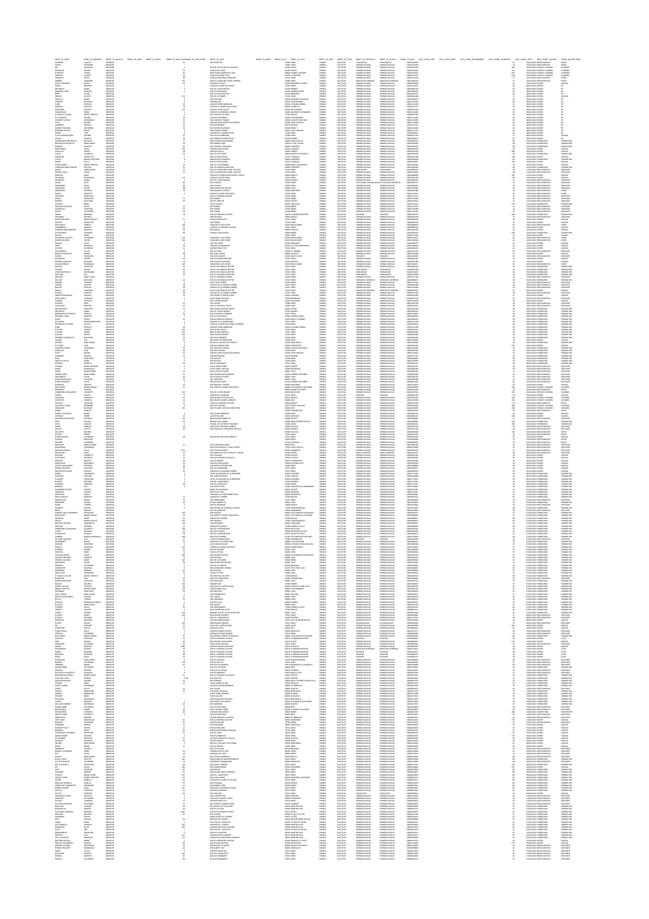| MNH <sub>2</sub> PL,NOM                                                                                                                                                                                                                                                                                   |                                                                                                                                                                                                     |                                                                                                                                                                                                                          |                                                                             | $\begin{array}{l} \hspace{-0.2cm}\textbf{mMSF\_PS\_VOS} \\ \hspace{-0.2cm}\textbf{RUS G-NRNS} \end{array}$                                                                                                                                                                                                                                                                                                                                                                        | импродат импров импровы                                                                                                                                                                                                                                         | <b>BONE PLANS</b>                                                            |                                                                                                                                                                                         |                                                                                                                                                                                                                                                                                                                                                                                                                              |
|-----------------------------------------------------------------------------------------------------------------------------------------------------------------------------------------------------------------------------------------------------------------------------------------------------------|-----------------------------------------------------------------------------------------------------------------------------------------------------------------------------------------------------|--------------------------------------------------------------------------------------------------------------------------------------------------------------------------------------------------------------------------|-----------------------------------------------------------------------------|-----------------------------------------------------------------------------------------------------------------------------------------------------------------------------------------------------------------------------------------------------------------------------------------------------------------------------------------------------------------------------------------------------------------------------------------------------------------------------------|-----------------------------------------------------------------------------------------------------------------------------------------------------------------------------------------------------------------------------------------------------------------|------------------------------------------------------------------------------|-----------------------------------------------------------------------------------------------------------------------------------------------------------------------------------------|------------------------------------------------------------------------------------------------------------------------------------------------------------------------------------------------------------------------------------------------------------------------------------------------------------------------------------------------------------------------------------------------------------------------------|
|                                                                                                                                                                                                                                                                                                           |                                                                                                                                                                                                     |                                                                                                                                                                                                                          |                                                                             |                                                                                                                                                                                                                                                                                                                                                                                                                                                                                   |                                                                                                                                                                                                                                                                 |                                                                              |                                                                                                                                                                                         |                                                                                                                                                                                                                                                                                                                                                                                                                              |
|                                                                                                                                                                                                                                                                                                           |                                                                                                                                                                                                     |                                                                                                                                                                                                                          |                                                                             |                                                                                                                                                                                                                                                                                                                                                                                                                                                                                   |                                                                                                                                                                                                                                                                 |                                                                              |                                                                                                                                                                                         |                                                                                                                                                                                                                                                                                                                                                                                                                              |
|                                                                                                                                                                                                                                                                                                           |                                                                                                                                                                                                     |                                                                                                                                                                                                                          |                                                                             |                                                                                                                                                                                                                                                                                                                                                                                                                                                                                   |                                                                                                                                                                                                                                                                 |                                                                              |                                                                                                                                                                                         |                                                                                                                                                                                                                                                                                                                                                                                                                              |
|                                                                                                                                                                                                                                                                                                           |                                                                                                                                                                                                     |                                                                                                                                                                                                                          |                                                                             |                                                                                                                                                                                                                                                                                                                                                                                                                                                                                   |                                                                                                                                                                                                                                                                 |                                                                              |                                                                                                                                                                                         |                                                                                                                                                                                                                                                                                                                                                                                                                              |
|                                                                                                                                                                                                                                                                                                           |                                                                                                                                                                                                     |                                                                                                                                                                                                                          |                                                                             |                                                                                                                                                                                                                                                                                                                                                                                                                                                                                   |                                                                                                                                                                                                                                                                 |                                                                              |                                                                                                                                                                                         |                                                                                                                                                                                                                                                                                                                                                                                                                              |
|                                                                                                                                                                                                                                                                                                           |                                                                                                                                                                                                     |                                                                                                                                                                                                                          |                                                                             |                                                                                                                                                                                                                                                                                                                                                                                                                                                                                   |                                                                                                                                                                                                                                                                 |                                                                              |                                                                                                                                                                                         |                                                                                                                                                                                                                                                                                                                                                                                                                              |
|                                                                                                                                                                                                                                                                                                           |                                                                                                                                                                                                     |                                                                                                                                                                                                                          |                                                                             |                                                                                                                                                                                                                                                                                                                                                                                                                                                                                   |                                                                                                                                                                                                                                                                 |                                                                              |                                                                                                                                                                                         |                                                                                                                                                                                                                                                                                                                                                                                                                              |
|                                                                                                                                                                                                                                                                                                           |                                                                                                                                                                                                     |                                                                                                                                                                                                                          |                                                                             |                                                                                                                                                                                                                                                                                                                                                                                                                                                                                   |                                                                                                                                                                                                                                                                 |                                                                              |                                                                                                                                                                                         |                                                                                                                                                                                                                                                                                                                                                                                                                              |
|                                                                                                                                                                                                                                                                                                           |                                                                                                                                                                                                     |                                                                                                                                                                                                                          |                                                                             |                                                                                                                                                                                                                                                                                                                                                                                                                                                                                   |                                                                                                                                                                                                                                                                 |                                                                              |                                                                                                                                                                                         |                                                                                                                                                                                                                                                                                                                                                                                                                              |
|                                                                                                                                                                                                                                                                                                           |                                                                                                                                                                                                     |                                                                                                                                                                                                                          |                                                                             |                                                                                                                                                                                                                                                                                                                                                                                                                                                                                   |                                                                                                                                                                                                                                                                 |                                                                              |                                                                                                                                                                                         |                                                                                                                                                                                                                                                                                                                                                                                                                              |
|                                                                                                                                                                                                                                                                                                           |                                                                                                                                                                                                     |                                                                                                                                                                                                                          |                                                                             |                                                                                                                                                                                                                                                                                                                                                                                                                                                                                   |                                                                                                                                                                                                                                                                 |                                                                              |                                                                                                                                                                                         |                                                                                                                                                                                                                                                                                                                                                                                                                              |
|                                                                                                                                                                                                                                                                                                           |                                                                                                                                                                                                     |                                                                                                                                                                                                                          |                                                                             |                                                                                                                                                                                                                                                                                                                                                                                                                                                                                   |                                                                                                                                                                                                                                                                 |                                                                              |                                                                                                                                                                                         |                                                                                                                                                                                                                                                                                                                                                                                                                              |
|                                                                                                                                                                                                                                                                                                           |                                                                                                                                                                                                     |                                                                                                                                                                                                                          |                                                                             |                                                                                                                                                                                                                                                                                                                                                                                                                                                                                   |                                                                                                                                                                                                                                                                 |                                                                              |                                                                                                                                                                                         |                                                                                                                                                                                                                                                                                                                                                                                                                              |
|                                                                                                                                                                                                                                                                                                           |                                                                                                                                                                                                     |                                                                                                                                                                                                                          |                                                                             |                                                                                                                                                                                                                                                                                                                                                                                                                                                                                   |                                                                                                                                                                                                                                                                 |                                                                              |                                                                                                                                                                                         |                                                                                                                                                                                                                                                                                                                                                                                                                              |
|                                                                                                                                                                                                                                                                                                           |                                                                                                                                                                                                     |                                                                                                                                                                                                                          |                                                                             |                                                                                                                                                                                                                                                                                                                                                                                                                                                                                   |                                                                                                                                                                                                                                                                 |                                                                              |                                                                                                                                                                                         |                                                                                                                                                                                                                                                                                                                                                                                                                              |
|                                                                                                                                                                                                                                                                                                           |                                                                                                                                                                                                     |                                                                                                                                                                                                                          |                                                                             |                                                                                                                                                                                                                                                                                                                                                                                                                                                                                   |                                                                                                                                                                                                                                                                 |                                                                              |                                                                                                                                                                                         |                                                                                                                                                                                                                                                                                                                                                                                                                              |
|                                                                                                                                                                                                                                                                                                           |                                                                                                                                                                                                     |                                                                                                                                                                                                                          |                                                                             |                                                                                                                                                                                                                                                                                                                                                                                                                                                                                   |                                                                                                                                                                                                                                                                 |                                                                              |                                                                                                                                                                                         |                                                                                                                                                                                                                                                                                                                                                                                                                              |
|                                                                                                                                                                                                                                                                                                           |                                                                                                                                                                                                     |                                                                                                                                                                                                                          |                                                                             |                                                                                                                                                                                                                                                                                                                                                                                                                                                                                   |                                                                                                                                                                                                                                                                 |                                                                              |                                                                                                                                                                                         |                                                                                                                                                                                                                                                                                                                                                                                                                              |
|                                                                                                                                                                                                                                                                                                           |                                                                                                                                                                                                     |                                                                                                                                                                                                                          |                                                                             |                                                                                                                                                                                                                                                                                                                                                                                                                                                                                   |                                                                                                                                                                                                                                                                 |                                                                              |                                                                                                                                                                                         |                                                                                                                                                                                                                                                                                                                                                                                                                              |
|                                                                                                                                                                                                                                                                                                           |                                                                                                                                                                                                     |                                                                                                                                                                                                                          |                                                                             |                                                                                                                                                                                                                                                                                                                                                                                                                                                                                   |                                                                                                                                                                                                                                                                 |                                                                              |                                                                                                                                                                                         |                                                                                                                                                                                                                                                                                                                                                                                                                              |
|                                                                                                                                                                                                                                                                                                           |                                                                                                                                                                                                     |                                                                                                                                                                                                                          |                                                                             |                                                                                                                                                                                                                                                                                                                                                                                                                                                                                   |                                                                                                                                                                                                                                                                 |                                                                              |                                                                                                                                                                                         |                                                                                                                                                                                                                                                                                                                                                                                                                              |
|                                                                                                                                                                                                                                                                                                           |                                                                                                                                                                                                     |                                                                                                                                                                                                                          |                                                                             |                                                                                                                                                                                                                                                                                                                                                                                                                                                                                   |                                                                                                                                                                                                                                                                 |                                                                              |                                                                                                                                                                                         |                                                                                                                                                                                                                                                                                                                                                                                                                              |
|                                                                                                                                                                                                                                                                                                           |                                                                                                                                                                                                     |                                                                                                                                                                                                                          |                                                                             |                                                                                                                                                                                                                                                                                                                                                                                                                                                                                   |                                                                                                                                                                                                                                                                 |                                                                              |                                                                                                                                                                                         |                                                                                                                                                                                                                                                                                                                                                                                                                              |
|                                                                                                                                                                                                                                                                                                           |                                                                                                                                                                                                     |                                                                                                                                                                                                                          |                                                                             |                                                                                                                                                                                                                                                                                                                                                                                                                                                                                   |                                                                                                                                                                                                                                                                 |                                                                              |                                                                                                                                                                                         |                                                                                                                                                                                                                                                                                                                                                                                                                              |
|                                                                                                                                                                                                                                                                                                           |                                                                                                                                                                                                     |                                                                                                                                                                                                                          |                                                                             |                                                                                                                                                                                                                                                                                                                                                                                                                                                                                   |                                                                                                                                                                                                                                                                 |                                                                              |                                                                                                                                                                                         |                                                                                                                                                                                                                                                                                                                                                                                                                              |
|                                                                                                                                                                                                                                                                                                           |                                                                                                                                                                                                     |                                                                                                                                                                                                                          |                                                                             |                                                                                                                                                                                                                                                                                                                                                                                                                                                                                   |                                                                                                                                                                                                                                                                 |                                                                              |                                                                                                                                                                                         |                                                                                                                                                                                                                                                                                                                                                                                                                              |
|                                                                                                                                                                                                                                                                                                           |                                                                                                                                                                                                     |                                                                                                                                                                                                                          |                                                                             |                                                                                                                                                                                                                                                                                                                                                                                                                                                                                   |                                                                                                                                                                                                                                                                 |                                                                              |                                                                                                                                                                                         |                                                                                                                                                                                                                                                                                                                                                                                                                              |
|                                                                                                                                                                                                                                                                                                           |                                                                                                                                                                                                     |                                                                                                                                                                                                                          |                                                                             |                                                                                                                                                                                                                                                                                                                                                                                                                                                                                   |                                                                                                                                                                                                                                                                 |                                                                              |                                                                                                                                                                                         |                                                                                                                                                                                                                                                                                                                                                                                                                              |
|                                                                                                                                                                                                                                                                                                           |                                                                                                                                                                                                     |                                                                                                                                                                                                                          |                                                                             |                                                                                                                                                                                                                                                                                                                                                                                                                                                                                   |                                                                                                                                                                                                                                                                 |                                                                              |                                                                                                                                                                                         |                                                                                                                                                                                                                                                                                                                                                                                                                              |
|                                                                                                                                                                                                                                                                                                           |                                                                                                                                                                                                     |                                                                                                                                                                                                                          |                                                                             |                                                                                                                                                                                                                                                                                                                                                                                                                                                                                   |                                                                                                                                                                                                                                                                 |                                                                              |                                                                                                                                                                                         |                                                                                                                                                                                                                                                                                                                                                                                                                              |
|                                                                                                                                                                                                                                                                                                           |                                                                                                                                                                                                     |                                                                                                                                                                                                                          |                                                                             |                                                                                                                                                                                                                                                                                                                                                                                                                                                                                   |                                                                                                                                                                                                                                                                 |                                                                              |                                                                                                                                                                                         |                                                                                                                                                                                                                                                                                                                                                                                                                              |
|                                                                                                                                                                                                                                                                                                           |                                                                                                                                                                                                     |                                                                                                                                                                                                                          |                                                                             |                                                                                                                                                                                                                                                                                                                                                                                                                                                                                   |                                                                                                                                                                                                                                                                 |                                                                              |                                                                                                                                                                                         |                                                                                                                                                                                                                                                                                                                                                                                                                              |
|                                                                                                                                                                                                                                                                                                           |                                                                                                                                                                                                     |                                                                                                                                                                                                                          |                                                                             |                                                                                                                                                                                                                                                                                                                                                                                                                                                                                   |                                                                                                                                                                                                                                                                 |                                                                              |                                                                                                                                                                                         |                                                                                                                                                                                                                                                                                                                                                                                                                              |
|                                                                                                                                                                                                                                                                                                           |                                                                                                                                                                                                     |                                                                                                                                                                                                                          |                                                                             |                                                                                                                                                                                                                                                                                                                                                                                                                                                                                   |                                                                                                                                                                                                                                                                 |                                                                              |                                                                                                                                                                                         |                                                                                                                                                                                                                                                                                                                                                                                                                              |
|                                                                                                                                                                                                                                                                                                           |                                                                                                                                                                                                     |                                                                                                                                                                                                                          |                                                                             |                                                                                                                                                                                                                                                                                                                                                                                                                                                                                   |                                                                                                                                                                                                                                                                 |                                                                              |                                                                                                                                                                                         |                                                                                                                                                                                                                                                                                                                                                                                                                              |
|                                                                                                                                                                                                                                                                                                           |                                                                                                                                                                                                     |                                                                                                                                                                                                                          |                                                                             |                                                                                                                                                                                                                                                                                                                                                                                                                                                                                   |                                                                                                                                                                                                                                                                 |                                                                              |                                                                                                                                                                                         |                                                                                                                                                                                                                                                                                                                                                                                                                              |
|                                                                                                                                                                                                                                                                                                           |                                                                                                                                                                                                     |                                                                                                                                                                                                                          |                                                                             |                                                                                                                                                                                                                                                                                                                                                                                                                                                                                   |                                                                                                                                                                                                                                                                 |                                                                              |                                                                                                                                                                                         |                                                                                                                                                                                                                                                                                                                                                                                                                              |
|                                                                                                                                                                                                                                                                                                           |                                                                                                                                                                                                     |                                                                                                                                                                                                                          |                                                                             |                                                                                                                                                                                                                                                                                                                                                                                                                                                                                   |                                                                                                                                                                                                                                                                 |                                                                              |                                                                                                                                                                                         |                                                                                                                                                                                                                                                                                                                                                                                                                              |
|                                                                                                                                                                                                                                                                                                           |                                                                                                                                                                                                     |                                                                                                                                                                                                                          |                                                                             |                                                                                                                                                                                                                                                                                                                                                                                                                                                                                   |                                                                                                                                                                                                                                                                 |                                                                              |                                                                                                                                                                                         |                                                                                                                                                                                                                                                                                                                                                                                                                              |
|                                                                                                                                                                                                                                                                                                           |                                                                                                                                                                                                     |                                                                                                                                                                                                                          |                                                                             |                                                                                                                                                                                                                                                                                                                                                                                                                                                                                   |                                                                                                                                                                                                                                                                 |                                                                              |                                                                                                                                                                                         |                                                                                                                                                                                                                                                                                                                                                                                                                              |
|                                                                                                                                                                                                                                                                                                           |                                                                                                                                                                                                     |                                                                                                                                                                                                                          |                                                                             |                                                                                                                                                                                                                                                                                                                                                                                                                                                                                   |                                                                                                                                                                                                                                                                 |                                                                              |                                                                                                                                                                                         |                                                                                                                                                                                                                                                                                                                                                                                                                              |
|                                                                                                                                                                                                                                                                                                           |                                                                                                                                                                                                     |                                                                                                                                                                                                                          |                                                                             |                                                                                                                                                                                                                                                                                                                                                                                                                                                                                   |                                                                                                                                                                                                                                                                 |                                                                              |                                                                                                                                                                                         |                                                                                                                                                                                                                                                                                                                                                                                                                              |
|                                                                                                                                                                                                                                                                                                           |                                                                                                                                                                                                     |                                                                                                                                                                                                                          |                                                                             |                                                                                                                                                                                                                                                                                                                                                                                                                                                                                   |                                                                                                                                                                                                                                                                 |                                                                              |                                                                                                                                                                                         |                                                                                                                                                                                                                                                                                                                                                                                                                              |
|                                                                                                                                                                                                                                                                                                           |                                                                                                                                                                                                     |                                                                                                                                                                                                                          |                                                                             |                                                                                                                                                                                                                                                                                                                                                                                                                                                                                   |                                                                                                                                                                                                                                                                 |                                                                              |                                                                                                                                                                                         |                                                                                                                                                                                                                                                                                                                                                                                                                              |
|                                                                                                                                                                                                                                                                                                           |                                                                                                                                                                                                     |                                                                                                                                                                                                                          |                                                                             |                                                                                                                                                                                                                                                                                                                                                                                                                                                                                   |                                                                                                                                                                                                                                                                 |                                                                              |                                                                                                                                                                                         |                                                                                                                                                                                                                                                                                                                                                                                                                              |
|                                                                                                                                                                                                                                                                                                           |                                                                                                                                                                                                     |                                                                                                                                                                                                                          |                                                                             |                                                                                                                                                                                                                                                                                                                                                                                                                                                                                   |                                                                                                                                                                                                                                                                 |                                                                              |                                                                                                                                                                                         |                                                                                                                                                                                                                                                                                                                                                                                                                              |
|                                                                                                                                                                                                                                                                                                           |                                                                                                                                                                                                     |                                                                                                                                                                                                                          |                                                                             |                                                                                                                                                                                                                                                                                                                                                                                                                                                                                   |                                                                                                                                                                                                                                                                 |                                                                              |                                                                                                                                                                                         |                                                                                                                                                                                                                                                                                                                                                                                                                              |
|                                                                                                                                                                                                                                                                                                           |                                                                                                                                                                                                     |                                                                                                                                                                                                                          |                                                                             |                                                                                                                                                                                                                                                                                                                                                                                                                                                                                   |                                                                                                                                                                                                                                                                 |                                                                              |                                                                                                                                                                                         |                                                                                                                                                                                                                                                                                                                                                                                                                              |
|                                                                                                                                                                                                                                                                                                           |                                                                                                                                                                                                     |                                                                                                                                                                                                                          |                                                                             |                                                                                                                                                                                                                                                                                                                                                                                                                                                                                   |                                                                                                                                                                                                                                                                 |                                                                              |                                                                                                                                                                                         |                                                                                                                                                                                                                                                                                                                                                                                                                              |
|                                                                                                                                                                                                                                                                                                           |                                                                                                                                                                                                     |                                                                                                                                                                                                                          |                                                                             |                                                                                                                                                                                                                                                                                                                                                                                                                                                                                   |                                                                                                                                                                                                                                                                 |                                                                              |                                                                                                                                                                                         |                                                                                                                                                                                                                                                                                                                                                                                                                              |
|                                                                                                                                                                                                                                                                                                           |                                                                                                                                                                                                     |                                                                                                                                                                                                                          |                                                                             |                                                                                                                                                                                                                                                                                                                                                                                                                                                                                   |                                                                                                                                                                                                                                                                 |                                                                              |                                                                                                                                                                                         |                                                                                                                                                                                                                                                                                                                                                                                                                              |
|                                                                                                                                                                                                                                                                                                           |                                                                                                                                                                                                     |                                                                                                                                                                                                                          |                                                                             |                                                                                                                                                                                                                                                                                                                                                                                                                                                                                   |                                                                                                                                                                                                                                                                 |                                                                              | , интернетительно получительно получительно получительно получительно получительно получительно получительно п                                                                          |                                                                                                                                                                                                                                                                                                                                                                                                                              |
|                                                                                                                                                                                                                                                                                                           |                                                                                                                                                                                                     |                                                                                                                                                                                                                          |                                                                             |                                                                                                                                                                                                                                                                                                                                                                                                                                                                                   |                                                                                                                                                                                                                                                                 |                                                                              |                                                                                                                                                                                         |                                                                                                                                                                                                                                                                                                                                                                                                                              |
|                                                                                                                                                                                                                                                                                                           |                                                                                                                                                                                                     |                                                                                                                                                                                                                          |                                                                             |                                                                                                                                                                                                                                                                                                                                                                                                                                                                                   |                                                                                                                                                                                                                                                                 |                                                                              |                                                                                                                                                                                         |                                                                                                                                                                                                                                                                                                                                                                                                                              |
|                                                                                                                                                                                                                                                                                                           |                                                                                                                                                                                                     |                                                                                                                                                                                                                          |                                                                             |                                                                                                                                                                                                                                                                                                                                                                                                                                                                                   |                                                                                                                                                                                                                                                                 |                                                                              |                                                                                                                                                                                         |                                                                                                                                                                                                                                                                                                                                                                                                                              |
|                                                                                                                                                                                                                                                                                                           |                                                                                                                                                                                                     |                                                                                                                                                                                                                          |                                                                             |                                                                                                                                                                                                                                                                                                                                                                                                                                                                                   |                                                                                                                                                                                                                                                                 |                                                                              |                                                                                                                                                                                         |                                                                                                                                                                                                                                                                                                                                                                                                                              |
|                                                                                                                                                                                                                                                                                                           |                                                                                                                                                                                                     |                                                                                                                                                                                                                          |                                                                             |                                                                                                                                                                                                                                                                                                                                                                                                                                                                                   |                                                                                                                                                                                                                                                                 |                                                                              |                                                                                                                                                                                         |                                                                                                                                                                                                                                                                                                                                                                                                                              |
|                                                                                                                                                                                                                                                                                                           |                                                                                                                                                                                                     |                                                                                                                                                                                                                          |                                                                             |                                                                                                                                                                                                                                                                                                                                                                                                                                                                                   |                                                                                                                                                                                                                                                                 |                                                                              |                                                                                                                                                                                         |                                                                                                                                                                                                                                                                                                                                                                                                                              |
|                                                                                                                                                                                                                                                                                                           |                                                                                                                                                                                                     |                                                                                                                                                                                                                          |                                                                             |                                                                                                                                                                                                                                                                                                                                                                                                                                                                                   |                                                                                                                                                                                                                                                                 |                                                                              |                                                                                                                                                                                         |                                                                                                                                                                                                                                                                                                                                                                                                                              |
|                                                                                                                                                                                                                                                                                                           |                                                                                                                                                                                                     |                                                                                                                                                                                                                          |                                                                             |                                                                                                                                                                                                                                                                                                                                                                                                                                                                                   |                                                                                                                                                                                                                                                                 |                                                                              |                                                                                                                                                                                         |                                                                                                                                                                                                                                                                                                                                                                                                                              |
|                                                                                                                                                                                                                                                                                                           |                                                                                                                                                                                                     |                                                                                                                                                                                                                          |                                                                             | Nuo II ANNI ANTONI MINISIPA<br>ALLES PALAJNO<br>ALLES PALAJN<br>ROLLEVARD GAMBETTA<br>MPRASE OSE VIOSES<br>ANTANAD DU PRESIDENT VILLEN<br>ROLLEVARD DU PRESIDENT VILLEN<br>ROLLEVARD DU PRESIDENT VILLEN                                                                                                                                                                                                                                                                          |                                                                                                                                                                                                                                                                 |                                                                              |                                                                                                                                                                                         |                                                                                                                                                                                                                                                                                                                                                                                                                              |
|                                                                                                                                                                                                                                                                                                           |                                                                                                                                                                                                     |                                                                                                                                                                                                                          |                                                                             |                                                                                                                                                                                                                                                                                                                                                                                                                                                                                   |                                                                                                                                                                                                                                                                 |                                                                              |                                                                                                                                                                                         |                                                                                                                                                                                                                                                                                                                                                                                                                              |
|                                                                                                                                                                                                                                                                                                           |                                                                                                                                                                                                     |                                                                                                                                                                                                                          |                                                                             |                                                                                                                                                                                                                                                                                                                                                                                                                                                                                   |                                                                                                                                                                                                                                                                 |                                                                              |                                                                                                                                                                                         |                                                                                                                                                                                                                                                                                                                                                                                                                              |
|                                                                                                                                                                                                                                                                                                           |                                                                                                                                                                                                     |                                                                                                                                                                                                                          |                                                                             | $\begin{tabular}{l c c c} \hline \multicolumn{2}{l}{\multicolumn{2}{l}{\multicolumn{2}{l}{\multicolumn{2}{l}{\multicolumn{2}{l}{\multicolumn{2}{l}{\multicolumn{2}{l}{\multicolumn{2}{l}{\multicolumn{2}{l}{\multicolumn{2}{l}{\multicolumn{2}{l}{\multicolumn{2}{l}{\multicolumn{2}{l}{\multicolumn{2}{l}{\multicolumn{2}{l}{\multicolumn{2}{l}{\multicolumn{2}{l}{\multicolumn{2}{l}{\multicolumn{2}{l}{\multicolumn{2}{l}{\multicolumn{2}{l}{\multicolumn{2}{l}{\multicolumn{$ |                                                                                                                                                                                                                                                                 |                                                                              |                                                                                                                                                                                         |                                                                                                                                                                                                                                                                                                                                                                                                                              |
|                                                                                                                                                                                                                                                                                                           |                                                                                                                                                                                                     |                                                                                                                                                                                                                          |                                                                             |                                                                                                                                                                                                                                                                                                                                                                                                                                                                                   |                                                                                                                                                                                                                                                                 |                                                                              |                                                                                                                                                                                         |                                                                                                                                                                                                                                                                                                                                                                                                                              |
|                                                                                                                                                                                                                                                                                                           |                                                                                                                                                                                                     |                                                                                                                                                                                                                          |                                                                             |                                                                                                                                                                                                                                                                                                                                                                                                                                                                                   |                                                                                                                                                                                                                                                                 |                                                                              |                                                                                                                                                                                         |                                                                                                                                                                                                                                                                                                                                                                                                                              |
|                                                                                                                                                                                                                                                                                                           |                                                                                                                                                                                                     |                                                                                                                                                                                                                          |                                                                             |                                                                                                                                                                                                                                                                                                                                                                                                                                                                                   |                                                                                                                                                                                                                                                                 |                                                                              |                                                                                                                                                                                         |                                                                                                                                                                                                                                                                                                                                                                                                                              |
|                                                                                                                                                                                                                                                                                                           |                                                                                                                                                                                                     |                                                                                                                                                                                                                          |                                                                             |                                                                                                                                                                                                                                                                                                                                                                                                                                                                                   |                                                                                                                                                                                                                                                                 |                                                                              |                                                                                                                                                                                         |                                                                                                                                                                                                                                                                                                                                                                                                                              |
|                                                                                                                                                                                                                                                                                                           |                                                                                                                                                                                                     |                                                                                                                                                                                                                          |                                                                             |                                                                                                                                                                                                                                                                                                                                                                                                                                                                                   |                                                                                                                                                                                                                                                                 |                                                                              |                                                                                                                                                                                         |                                                                                                                                                                                                                                                                                                                                                                                                                              |
|                                                                                                                                                                                                                                                                                                           |                                                                                                                                                                                                     |                                                                                                                                                                                                                          |                                                                             |                                                                                                                                                                                                                                                                                                                                                                                                                                                                                   |                                                                                                                                                                                                                                                                 |                                                                              |                                                                                                                                                                                         |                                                                                                                                                                                                                                                                                                                                                                                                                              |
|                                                                                                                                                                                                                                                                                                           |                                                                                                                                                                                                     |                                                                                                                                                                                                                          |                                                                             |                                                                                                                                                                                                                                                                                                                                                                                                                                                                                   |                                                                                                                                                                                                                                                                 |                                                                              |                                                                                                                                                                                         |                                                                                                                                                                                                                                                                                                                                                                                                                              |
|                                                                                                                                                                                                                                                                                                           |                                                                                                                                                                                                     |                                                                                                                                                                                                                          |                                                                             |                                                                                                                                                                                                                                                                                                                                                                                                                                                                                   |                                                                                                                                                                                                                                                                 |                                                                              |                                                                                                                                                                                         |                                                                                                                                                                                                                                                                                                                                                                                                                              |
|                                                                                                                                                                                                                                                                                                           |                                                                                                                                                                                                     |                                                                                                                                                                                                                          |                                                                             |                                                                                                                                                                                                                                                                                                                                                                                                                                                                                   |                                                                                                                                                                                                                                                                 |                                                                              |                                                                                                                                                                                         |                                                                                                                                                                                                                                                                                                                                                                                                                              |
|                                                                                                                                                                                                                                                                                                           |                                                                                                                                                                                                     |                                                                                                                                                                                                                          |                                                                             |                                                                                                                                                                                                                                                                                                                                                                                                                                                                                   |                                                                                                                                                                                                                                                                 |                                                                              |                                                                                                                                                                                         |                                                                                                                                                                                                                                                                                                                                                                                                                              |
| BENACHOUR                                                                                                                                                                                                                                                                                                 |                                                                                                                                                                                                     |                                                                                                                                                                                                                          |                                                                             |                                                                                                                                                                                                                                                                                                                                                                                                                                                                                   |                                                                                                                                                                                                                                                                 |                                                                              |                                                                                                                                                                                         | DERMATOLOGIJE                                                                                                                                                                                                                                                                                                                                                                                                                |
| RLANC<br>ROCOUST<br>ROHU                                                                                                                                                                                                                                                                                  |                                                                                                                                                                                                     |                                                                                                                                                                                                                          |                                                                             |                                                                                                                                                                                                                                                                                                                                                                                                                                                                                   |                                                                                                                                                                                                                                                                 |                                                                              |                                                                                                                                                                                         | DERMATOLOGIJE<br>DERMATOLOGIJE<br>DERMATOLOGIJE                                                                                                                                                                                                                                                                                                                                                                              |
| BONNET NEUSCH<br>BOUTHENET                                                                                                                                                                                                                                                                                |                                                                                                                                                                                                     |                                                                                                                                                                                                                          |                                                                             |                                                                                                                                                                                                                                                                                                                                                                                                                                                                                   | 69800 VILLEFRANCHE SUR SACRIE<br>04747 VILLEFRANCE SUR SACRIE                                                                                                                                                                                                   |                                                                              |                                                                                                                                                                                         | DERMATOLOGIJE                                                                                                                                                                                                                                                                                                                                                                                                                |
|                                                                                                                                                                                                                                                                                                           |                                                                                                                                                                                                     |                                                                                                                                                                                                                          |                                                                             |                                                                                                                                                                                                                                                                                                                                                                                                                                                                                   |                                                                                                                                                                                                                                                                 |                                                                              |                                                                                                                                                                                         |                                                                                                                                                                                                                                                                                                                                                                                                                              |
|                                                                                                                                                                                                                                                                                                           |                                                                                                                                                                                                     |                                                                                                                                                                                                                          |                                                                             |                                                                                                                                                                                                                                                                                                                                                                                                                                                                                   |                                                                                                                                                                                                                                                                 |                                                                              |                                                                                                                                                                                         |                                                                                                                                                                                                                                                                                                                                                                                                                              |
| ROUTHEAST<br>RANGO<br>RANGO<br>RANGO<br>RANGO<br>CHÉAN<br>CHÉAN<br>DE TORO SARCHEZ<br>DE TORO SARCHEZ<br>DE TORO SARCHEZ<br>DE TORO SARCHEZ<br>DE TORO SARCHEZ<br>DE TORO SARCHEZ<br>DE TORO SARCHEZ                                                                                                      |                                                                                                                                                                                                     | MEDICAL<br>MEDICAL<br>MEDICAL<br>MEDICAL<br>MEDICAL<br>MEDICAL<br>MEDICAL<br>MEDICAL<br>MEDICAL<br>MEDICAL<br>MEDICAL<br>MEDICAL<br>MEDICAL<br>MEDICAL<br>MEDICAL<br>MEDICAL<br>MEDICAL<br>MEDICAL<br>MEDICAL<br>MEDICAL |                                                                             | COMBILIONS<br>COMBINATION<br>REGIATIONS CONSUMER LEGERIC<br>REGIATIONS CONSUMERS CONSUMER<br>REGIATIONS CONSUMERS<br>REGIATIONS<br>REGIATIONS<br>REGIATIONS<br>REGIATIONS<br>CONSUMERS<br>REGIATIONS<br>REGIATIONS<br>REGIATIONS<br>REGIATIONS<br>REGIATI                                                                                                                                                                                                                         | 04747 VILLEMANNS SUN SACRE<br>177000 MAILIN<br>17700 MAILIN<br>69290 CANPONAS<br>69290 CANPONAS<br>6920 MAILING ANG VILLE<br>18920 MAILING NUS<br>6920 MAILING NG VILLE<br>67200 MAILING NG VILLE<br>67200 MAILING NG VILLE<br>67200 MAILING NG VILLEMAN<br>189 |                                                                              | DOCTIVE<br>DOCTIVE<br>DOCTIVE<br>DOCTIVE<br>DOCTIVE<br>DOCTIVE<br>DOCTIVE<br>DOCTIVE                                                                                                    | EKIMATOUDIAJI<br>EKIMATOUDIAJI<br>EKIMATOUDIAJI<br>EKIMATOUDIAJI<br>EKIMATOUDIAJI<br>EKIMATOUDIAJI<br>EKIMATOUDIAJI<br>FEDATIS<br>EKIMATOUDIAJI<br>EKIMATOUDIAJI<br>EKIMATOUDIAJI<br>EKIMATOUDIAJI<br>EKIMATOUDIAJI                                                                                                                                                                                                          |
|                                                                                                                                                                                                                                                                                                           |                                                                                                                                                                                                     |                                                                                                                                                                                                                          |                                                                             |                                                                                                                                                                                                                                                                                                                                                                                                                                                                                   |                                                                                                                                                                                                                                                                 |                                                                              |                                                                                                                                                                                         |                                                                                                                                                                                                                                                                                                                                                                                                                              |
|                                                                                                                                                                                                                                                                                                           |                                                                                                                                                                                                     |                                                                                                                                                                                                                          |                                                                             | PLACE DE HANGUENAU<br>AVÊNUE DE LA VÊRPILLERE                                                                                                                                                                                                                                                                                                                                                                                                                                     |                                                                                                                                                                                                                                                                 |                                                                              | DOCTEUR<br>DOCTEUR                                                                                                                                                                      |                                                                                                                                                                                                                                                                                                                                                                                                                              |
| COLLAGE                                                                                                                                                                                                                                                                                                   | ORISTING                                                                                                                                                                                            | MIDSCIN<br>MIDSCIN                                                                                                                                                                                                       |                                                                             | ALLEE JEAN MOULIN                                                                                                                                                                                                                                                                                                                                                                                                                                                                 | <b>ISSIO LE PEAGE DE ROUSSILLON</b>                                                                                                                                                                                                                             |                                                                              | DOCTRUR<br>DOCTRUR<br>DOCTRUR<br>DOCTRUR<br>DOCTRUR                                                                                                                                     |                                                                                                                                                                                                                                                                                                                                                                                                                              |
|                                                                                                                                                                                                                                                                                                           |                                                                                                                                                                                                     | MIDSCN<br>MIDSCN                                                                                                                                                                                                         |                                                                             |                                                                                                                                                                                                                                                                                                                                                                                                                                                                                   | 69310 PERRE BENTE<br>69003 LYCN<br>69006 LYCN<br>69000 VILLEFRANCHE SUR SACNE                                                                                                                                                                                   | FRANCE<br>FRANCE                                                             |                                                                                                                                                                                         | DERMATOLOGIJE<br>DERMATOLOGIJE<br>DERMATOLOGIJE<br>DERMATOLOGIJE                                                                                                                                                                                                                                                                                                                                                             |
|                                                                                                                                                                                                                                                                                                           |                                                                                                                                                                                                     |                                                                                                                                                                                                                          | 28.22.23.23.23.24.24.25                                                     |                                                                                                                                                                                                                                                                                                                                                                                                                                                                                   |                                                                                                                                                                                                                                                                 |                                                                              |                                                                                                                                                                                         |                                                                                                                                                                                                                                                                                                                                                                                                                              |
|                                                                                                                                                                                                                                                                                                           |                                                                                                                                                                                                     |                                                                                                                                                                                                                          |                                                                             |                                                                                                                                                                                                                                                                                                                                                                                                                                                                                   |                                                                                                                                                                                                                                                                 |                                                                              |                                                                                                                                                                                         |                                                                                                                                                                                                                                                                                                                                                                                                                              |
| DOMMI<br>FRANCIS<br>GALORIZACION<br>GALORIZACION<br>GALORIZACION<br>GALORIZACION<br>GALORIZACION<br>VANGONI<br>KANGONI<br>KANGONI<br>GALORIZACION<br>GALORIZACION<br>GALORIZACION<br>GALORIZACION<br>GALORIZACION<br>GALORIZACION<br>GALORIZACION<br>GALORIZACION                                         | FRANCOS<br>FRANCOS<br>CARNE<br>CARNE<br>CARNE<br>CARNEO<br>CARNEO<br>MARNEO<br>MARNEO<br>CARNEO<br>CARNEO<br>CARNEO<br>CARNEO<br>CARNEO<br>CARNEO<br>CARNEO<br>CARNEO<br>CARNEO<br>CARNEO<br>CARNEO | MIDICH<br>MIDICH<br>MIDICH<br>MIDICH<br>MIDICH<br>MIDICH<br>MIDICH<br>MIDICH<br>MIDICH<br>MIDICH<br>MIDICH<br>MIDICH<br>MIDICH<br>MIDICH<br>MIDICH<br>MIDICH<br>MIDICH<br>MIDICH                                         |                                                                             |                                                                                                                                                                                                                                                                                                                                                                                                                                                                                   | 69820 VILLERANDHE SL<br>69956 SHON<br>69950 BRON<br>69956 BRON<br>69956 SVON<br>69956 SVON<br>69956 SVON<br>69956 SVON<br>77950 MELSIN<br>77950 MELSIN<br>77950 MELSIN                                                                                          | FRANCE<br>FRANCE<br>FRANCE<br>FRANCE<br>FRANCE<br>FRANCE<br>FRANCE<br>FRANCE | DOCTRUR<br>DOCTRUR<br>DOCTRUR<br>DOCTRUR<br>DOCTRUR<br>DOCTRUR<br>DOCTRUR<br>DOCTRUR                                                                                                    | <b>DÉRANTOUDEUS</b><br>DÉRANTOUDEUS<br>DÉRANTOUDEUS<br>DÉRANTOUDEUS<br>DÉRANTOUDEUS<br>DÉRANTOUDEUS<br>DÉRANTOUDEUS<br>DÉRANTOUDEUS<br>DÉRANTOUDEUS<br>DÉRANTOUDEUS<br>DÉRANTOUDEUS                                                                                                                                                                                                                                          |
|                                                                                                                                                                                                                                                                                                           |                                                                                                                                                                                                     |                                                                                                                                                                                                                          |                                                                             |                                                                                                                                                                                                                                                                                                                                                                                                                                                                                   |                                                                                                                                                                                                                                                                 |                                                                              |                                                                                                                                                                                         |                                                                                                                                                                                                                                                                                                                                                                                                                              |
|                                                                                                                                                                                                                                                                                                           |                                                                                                                                                                                                     |                                                                                                                                                                                                                          |                                                                             |                                                                                                                                                                                                                                                                                                                                                                                                                                                                                   | 77000 MÄLUN<br>67000 STRASADUNG<br>68002 LYON<br>671700 MMHBEL<br>66600 VELEVISAANNE<br>68003 LYON<br>68003 LYON<br>68600 OULLING                                                                                                                               |                                                                              | DOCTRUR<br>DOCTRUR                                                                                                                                                                      |                                                                                                                                                                                                                                                                                                                                                                                                                              |
|                                                                                                                                                                                                                                                                                                           |                                                                                                                                                                                                     |                                                                                                                                                                                                                          | 一緒の話は、                                                                      |                                                                                                                                                                                                                                                                                                                                                                                                                                                                                   |                                                                                                                                                                                                                                                                 |                                                                              | DOCTEUR<br>DOCTEUR<br>DOCTEUR<br>DOCTEUR<br>DOCTEUR                                                                                                                                     |                                                                                                                                                                                                                                                                                                                                                                                                                              |
|                                                                                                                                                                                                                                                                                                           |                                                                                                                                                                                                     |                                                                                                                                                                                                                          |                                                                             |                                                                                                                                                                                                                                                                                                                                                                                                                                                                                   |                                                                                                                                                                                                                                                                 |                                                                              |                                                                                                                                                                                         |                                                                                                                                                                                                                                                                                                                                                                                                                              |
|                                                                                                                                                                                                                                                                                                           |                                                                                                                                                                                                     |                                                                                                                                                                                                                          |                                                                             |                                                                                                                                                                                                                                                                                                                                                                                                                                                                                   |                                                                                                                                                                                                                                                                 |                                                                              |                                                                                                                                                                                         |                                                                                                                                                                                                                                                                                                                                                                                                                              |
| LE CARLE TRAUER<br>MARGOUR<br>MARGOURD RADDET<br>MARGOURD RADDET<br>FIRIST URADET<br>REDONAL<br>REGINAL<br>SAGNI LE CARLE<br>SAGNI<br>SAGNI<br>TRAUER<br>TRAUER<br>TRAUER<br>TRAUER<br>TRAUER<br>TRAUER<br>TRAUER<br>TRAUER<br>TRAUER<br>TRAUER<br>TRAUER<br>TRAUER<br>TRAUER<br>TRAUER<br>TRAUER<br>TRAU | CANDING<br>MENGLA<br>FRINGA<br>MARCA<br>MARCANG<br>MARCANG<br>TORINA<br>DEMARCANG<br>CANDING<br>CANDING<br>FRINA<br>FRINA<br>FRINA<br>MARCANG<br>FRINA<br>MARCANG<br>FRINA                          | MÉDICA<br>MÉDICA<br>MÉDICA<br>MÉDICA<br>MÉDICA<br>MÉDICA<br>MÉDICA<br>MÉDICA<br>MÉDICA                                                                                                                                   |                                                                             |                                                                                                                                                                                                                                                                                                                                                                                                                                                                                   | 69600 Dulling<br>69001 UVDN<br>69006 LYDN<br>69001 LYDN<br>69001 LYDN<br>77800 Conaig Lav Ville<br>77800 Bally Bos<br>61200 Bally Bos<br>61200 Bally Bost<br>61200 Bally Bost<br>9210 California<br>1761 Lav Bally Bost<br>1761 Lav Bally Bost                  |                                                                              | DOCTRUR<br>DOCTRUR<br>DOCTRUR<br>DOCTRUR<br>DOCTRUR<br>DOCTRUR<br>DOCTRUR<br>DOCTRUR                                                                                                    | EGRANTOLOGIJI<br>EGRANTOLOGIJI<br>EGRANTOLOGIJI<br>EGRANTOLOGIJI<br>EGRANTOLOGIJI<br>EGRANTOLOGIJI<br>EGRANTOLOGIJI<br>EGRANTOLOGIJI<br>EGRANTOLOGIJI<br>EGRANTOLOGIJI<br>EGRANTOLOGIJI<br>EGRANTOLOGIJI<br>EGRANTOLOGIJI<br>EGRANTOLOGIJI<br>EGRANTOLOGIJI<br>EGRANTOLOGIJ                                                                                                                                                  |
|                                                                                                                                                                                                                                                                                                           |                                                                                                                                                                                                     |                                                                                                                                                                                                                          | $\frac{5}{128}$                                                             |                                                                                                                                                                                                                                                                                                                                                                                                                                                                                   |                                                                                                                                                                                                                                                                 |                                                                              |                                                                                                                                                                                         |                                                                                                                                                                                                                                                                                                                                                                                                                              |
| KHOLIRY<br>RSBOURG                                                                                                                                                                                                                                                                                        | ANTONG<br>MARGING                                                                                                                                                                                   | MIDSCR<br>MIDSCR                                                                                                                                                                                                         | $\frac{3}{4}$                                                               |                                                                                                                                                                                                                                                                                                                                                                                                                                                                                   |                                                                                                                                                                                                                                                                 |                                                                              | DOCTEUR<br>DOCTEUR                                                                                                                                                                      |                                                                                                                                                                                                                                                                                                                                                                                                                              |
|                                                                                                                                                                                                                                                                                                           |                                                                                                                                                                                                     |                                                                                                                                                                                                                          |                                                                             |                                                                                                                                                                                                                                                                                                                                                                                                                                                                                   |                                                                                                                                                                                                                                                                 |                                                                              |                                                                                                                                                                                         |                                                                                                                                                                                                                                                                                                                                                                                                                              |
|                                                                                                                                                                                                                                                                                                           |                                                                                                                                                                                                     | MERCH<br>MERCH<br>MERCH<br>MERCH<br>MERCH<br>MERCH                                                                                                                                                                       |                                                                             |                                                                                                                                                                                                                                                                                                                                                                                                                                                                                   |                                                                                                                                                                                                                                                                 |                                                                              | DOCTIUR<br>DOCTIUR<br>DOCTIUR<br>DOCTIUR<br>DOCTIUR                                                                                                                                     |                                                                                                                                                                                                                                                                                                                                                                                                                              |
|                                                                                                                                                                                                                                                                                                           |                                                                                                                                                                                                     |                                                                                                                                                                                                                          |                                                                             |                                                                                                                                                                                                                                                                                                                                                                                                                                                                                   |                                                                                                                                                                                                                                                                 |                                                                              |                                                                                                                                                                                         |                                                                                                                                                                                                                                                                                                                                                                                                                              |
| RSEOURS<br>SLOST<br>LOUISTRES<br>LOUISTRES<br>TORESRESS<br>SLUSE<br>GALLOT<br>MAGRADUI<br>PRAM<br>PRAM<br>RSEOURS<br>RSEOURS<br>RSEOURS<br>RSEOURS<br>RSEOURS                                                                                                                                             |                                                                                                                                                                                                     | MÉDICA<br>MÉDICA<br>MÉDICA<br>MÉDICA<br>MÉDICA<br>MÉDICA<br>MÉDICA<br>MÉDICA<br>MÉDICA                                                                                                                                   |                                                                             |                                                                                                                                                                                                                                                                                                                                                                                                                                                                                   |                                                                                                                                                                                                                                                                 |                                                                              | DOCTRUR<br>DOCTRUR<br>DOCTRUR<br>DOCTRUR<br>DOCTRUR<br>DOCTRUR<br>DOCTRUR<br>DOCTRUR<br>DOCTRUR                                                                                         |                                                                                                                                                                                                                                                                                                                                                                                                                              |
|                                                                                                                                                                                                                                                                                                           |                                                                                                                                                                                                     |                                                                                                                                                                                                                          |                                                                             |                                                                                                                                                                                                                                                                                                                                                                                                                                                                                   |                                                                                                                                                                                                                                                                 |                                                                              |                                                                                                                                                                                         |                                                                                                                                                                                                                                                                                                                                                                                                                              |
|                                                                                                                                                                                                                                                                                                           |                                                                                                                                                                                                     |                                                                                                                                                                                                                          |                                                                             |                                                                                                                                                                                                                                                                                                                                                                                                                                                                                   |                                                                                                                                                                                                                                                                 |                                                                              | DOCTEUR<br>DOCTEUR                                                                                                                                                                      |                                                                                                                                                                                                                                                                                                                                                                                                                              |
|                                                                                                                                                                                                                                                                                                           |                                                                                                                                                                                                     | MERICH<br>MERICH<br>MERICH<br>MERICH<br>MERICH<br>MERICH<br>MERICH                                                                                                                                                       |                                                                             |                                                                                                                                                                                                                                                                                                                                                                                                                                                                                   |                                                                                                                                                                                                                                                                 |                                                                              |                                                                                                                                                                                         |                                                                                                                                                                                                                                                                                                                                                                                                                              |
|                                                                                                                                                                                                                                                                                                           |                                                                                                                                                                                                     |                                                                                                                                                                                                                          |                                                                             |                                                                                                                                                                                                                                                                                                                                                                                                                                                                                   |                                                                                                                                                                                                                                                                 |                                                                              | DOCTRUR<br>DOCTRUR<br>DOCTRUR<br>DOCTRUR<br>DOCTRUR                                                                                                                                     |                                                                                                                                                                                                                                                                                                                                                                                                                              |
|                                                                                                                                                                                                                                                                                                           |                                                                                                                                                                                                     |                                                                                                                                                                                                                          |                                                                             |                                                                                                                                                                                                                                                                                                                                                                                                                                                                                   |                                                                                                                                                                                                                                                                 |                                                                              |                                                                                                                                                                                         |                                                                                                                                                                                                                                                                                                                                                                                                                              |
|                                                                                                                                                                                                                                                                                                           |                                                                                                                                                                                                     |                                                                                                                                                                                                                          | $\begin{smallmatrix} 21\cr 6&0&6\cr 14&11\cr 13&\cr\end{smallmatrix}$       |                                                                                                                                                                                                                                                                                                                                                                                                                                                                                   |                                                                                                                                                                                                                                                                 |                                                                              |                                                                                                                                                                                         |                                                                                                                                                                                                                                                                                                                                                                                                                              |
| REGINA<br>REGINAL<br>SORGINAL<br>SURGINAL<br>REGINAL<br>REGINAL<br>REGINAL<br>COURNAL<br>COURNAL<br>COURNAL<br>SURGINAL<br>SURGINAL<br>SURGINAL<br>SURGINAL<br>SURGINAL<br>SURGINAL<br>SURGINAL<br>SURGINAL<br>SURGINAL<br>SURGINAL<br>SURGINAL<br>SURGINAL<br>SURGINAL<br>SURGINAL<br>SURGINAL           |                                                                                                                                                                                                     |                                                                                                                                                                                                                          |                                                                             | We in the objective of the state of the state of the state of the state of the state of the state of the state of the state of the state of the state of the state of the state of the state of the state of the state of the                                                                                                                                                                                                                                                     |                                                                                                                                                                                                                                                                 |                                                                              | DOCTIVE<br>DOCTIVE<br>DOCTIVE<br>DOCTIVE<br>DOCTIVE<br>DOCTIVE<br>DOCTIVE<br>DOCTIVE                                                                                                    |                                                                                                                                                                                                                                                                                                                                                                                                                              |
|                                                                                                                                                                                                                                                                                                           |                                                                                                                                                                                                     |                                                                                                                                                                                                                          | $\frac{14}{48}$                                                             |                                                                                                                                                                                                                                                                                                                                                                                                                                                                                   |                                                                                                                                                                                                                                                                 |                                                                              |                                                                                                                                                                                         |                                                                                                                                                                                                                                                                                                                                                                                                                              |
| -<br>PARANT<br>PASTRIKI<br>WALION DUMONT<br>WALION DUMONT<br>NGC MARANT<br>NGC DUMON<br>SEGRAPI DUMON<br>SEGRAPI DUMON<br>SEGRAPI DUMON<br>SEGRAPI DUMON<br>SEGRAPI DUMON<br>SEGRAPI DUMON<br>SEGRAPI DUMON<br>SEGRAPI DUMON<br>TESSIMUSI DUMON<br>TESSIMUSI DUMON                                        |                                                                                                                                                                                                     |                                                                                                                                                                                                                          |                                                                             |                                                                                                                                                                                                                                                                                                                                                                                                                                                                                   |                                                                                                                                                                                                                                                                 | FRANCE<br>FRANCE                                                             | DOCTEUR<br>DOCTEUR                                                                                                                                                                      |                                                                                                                                                                                                                                                                                                                                                                                                                              |
|                                                                                                                                                                                                                                                                                                           |                                                                                                                                                                                                     |                                                                                                                                                                                                                          |                                                                             |                                                                                                                                                                                                                                                                                                                                                                                                                                                                                   |                                                                                                                                                                                                                                                                 |                                                                              | DOCTIVA<br>DOCTIVA<br>DOCTIVA<br>DOCTIVA<br>DOCTIVA                                                                                                                                     |                                                                                                                                                                                                                                                                                                                                                                                                                              |
|                                                                                                                                                                                                                                                                                                           |                                                                                                                                                                                                     |                                                                                                                                                                                                                          | $\begin{array}{c} 1\\ 10\\ 4\\ 18\\ 4\\ \end{array}$                        |                                                                                                                                                                                                                                                                                                                                                                                                                                                                                   |                                                                                                                                                                                                                                                                 |                                                                              |                                                                                                                                                                                         |                                                                                                                                                                                                                                                                                                                                                                                                                              |
|                                                                                                                                                                                                                                                                                                           |                                                                                                                                                                                                     |                                                                                                                                                                                                                          |                                                                             |                                                                                                                                                                                                                                                                                                                                                                                                                                                                                   |                                                                                                                                                                                                                                                                 |                                                                              |                                                                                                                                                                                         |                                                                                                                                                                                                                                                                                                                                                                                                                              |
|                                                                                                                                                                                                                                                                                                           |                                                                                                                                                                                                     |                                                                                                                                                                                                                          |                                                                             |                                                                                                                                                                                                                                                                                                                                                                                                                                                                                   |                                                                                                                                                                                                                                                                 |                                                                              |                                                                                                                                                                                         |                                                                                                                                                                                                                                                                                                                                                                                                                              |
|                                                                                                                                                                                                                                                                                                           |                                                                                                                                                                                                     |                                                                                                                                                                                                                          | $\begin{array}{l} \hbox{m} \\ \hbox{m} \\ \hbox{m} \\ \hbox{m} \end{array}$ |                                                                                                                                                                                                                                                                                                                                                                                                                                                                                   |                                                                                                                                                                                                                                                                 |                                                                              | DOCTIVE<br>DOCTIVE<br>DOCTIVE<br>DOCTIVE<br>DOCTIVE<br>DOCTIVE<br>DOCTIVE<br>DOCTIVE                                                                                                    |                                                                                                                                                                                                                                                                                                                                                                                                                              |
|                                                                                                                                                                                                                                                                                                           |                                                                                                                                                                                                     |                                                                                                                                                                                                                          |                                                                             |                                                                                                                                                                                                                                                                                                                                                                                                                                                                                   |                                                                                                                                                                                                                                                                 |                                                                              |                                                                                                                                                                                         |                                                                                                                                                                                                                                                                                                                                                                                                                              |
| ADAM TESSER<br>DE CARRERE                                                                                                                                                                                                                                                                                 |                                                                                                                                                                                                     |                                                                                                                                                                                                                          |                                                                             |                                                                                                                                                                                                                                                                                                                                                                                                                                                                                   |                                                                                                                                                                                                                                                                 |                                                                              | DOCTFUR<br>DOCTFUR<br>DOCTFUR<br>DOCTFUR                                                                                                                                                |                                                                                                                                                                                                                                                                                                                                                                                                                              |
| GLORICAL<br>HELDES<br>SERRE                                                                                                                                                                                                                                                                               |                                                                                                                                                                                                     |                                                                                                                                                                                                                          |                                                                             |                                                                                                                                                                                                                                                                                                                                                                                                                                                                                   |                                                                                                                                                                                                                                                                 |                                                                              |                                                                                                                                                                                         |                                                                                                                                                                                                                                                                                                                                                                                                                              |
| SERIES<br>ANDERS MARIE SOURCE<br>MANTE JOURNAL<br>VALUE<br>CUTE SYSCOUP<br>CUTE SYSCOUP<br>DE LA MARIE<br>SOURCE PORT<br>COURL LOTE<br>COURL LOTE<br>COURL LOTE<br>VARAGE PORTURE<br>MARIE COURCE<br>MARIE SOURCE<br>MARIE SOURCE<br>MARIE SOURCE<br>MARIE VARAGE                                         |                                                                                                                                                                                                     |                                                                                                                                                                                                                          |                                                                             |                                                                                                                                                                                                                                                                                                                                                                                                                                                                                   |                                                                                                                                                                                                                                                                 |                                                                              | DOCTRUR<br>DOCTRUR                                                                                                                                                                      |                                                                                                                                                                                                                                                                                                                                                                                                                              |
|                                                                                                                                                                                                                                                                                                           |                                                                                                                                                                                                     |                                                                                                                                                                                                                          | $\begin{array}{c} 16 \\ 10 \\ 25 \end{array}$                               |                                                                                                                                                                                                                                                                                                                                                                                                                                                                                   |                                                                                                                                                                                                                                                                 |                                                                              |                                                                                                                                                                                         |                                                                                                                                                                                                                                                                                                                                                                                                                              |
|                                                                                                                                                                                                                                                                                                           |                                                                                                                                                                                                     |                                                                                                                                                                                                                          |                                                                             |                                                                                                                                                                                                                                                                                                                                                                                                                                                                                   |                                                                                                                                                                                                                                                                 |                                                                              | DOCTEUR<br>DOCTEUR<br>DOCTEUR<br>DOCTEUR<br>DOCTEUR<br>DOCTEUR<br>DOCTEUR<br>DOCTEUR<br>DOCTEUR<br>DOCTEUR<br>DOCTEUR<br>DOCTEUR<br>DOCTEUR<br>DOCTEUR<br>DOCTEUR<br>DOCTEUR<br>DOCTEUR |                                                                                                                                                                                                                                                                                                                                                                                                                              |
|                                                                                                                                                                                                                                                                                                           |                                                                                                                                                                                                     |                                                                                                                                                                                                                          |                                                                             |                                                                                                                                                                                                                                                                                                                                                                                                                                                                                   |                                                                                                                                                                                                                                                                 |                                                                              |                                                                                                                                                                                         |                                                                                                                                                                                                                                                                                                                                                                                                                              |
|                                                                                                                                                                                                                                                                                                           |                                                                                                                                                                                                     |                                                                                                                                                                                                                          |                                                                             |                                                                                                                                                                                                                                                                                                                                                                                                                                                                                   |                                                                                                                                                                                                                                                                 |                                                                              |                                                                                                                                                                                         |                                                                                                                                                                                                                                                                                                                                                                                                                              |
|                                                                                                                                                                                                                                                                                                           |                                                                                                                                                                                                     |                                                                                                                                                                                                                          |                                                                             |                                                                                                                                                                                                                                                                                                                                                                                                                                                                                   |                                                                                                                                                                                                                                                                 |                                                                              |                                                                                                                                                                                         |                                                                                                                                                                                                                                                                                                                                                                                                                              |
|                                                                                                                                                                                                                                                                                                           |                                                                                                                                                                                                     |                                                                                                                                                                                                                          |                                                                             |                                                                                                                                                                                                                                                                                                                                                                                                                                                                                   |                                                                                                                                                                                                                                                                 |                                                                              |                                                                                                                                                                                         |                                                                                                                                                                                                                                                                                                                                                                                                                              |
|                                                                                                                                                                                                                                                                                                           |                                                                                                                                                                                                     |                                                                                                                                                                                                                          |                                                                             |                                                                                                                                                                                                                                                                                                                                                                                                                                                                                   |                                                                                                                                                                                                                                                                 |                                                                              |                                                                                                                                                                                         |                                                                                                                                                                                                                                                                                                                                                                                                                              |
|                                                                                                                                                                                                                                                                                                           |                                                                                                                                                                                                     |                                                                                                                                                                                                                          |                                                                             |                                                                                                                                                                                                                                                                                                                                                                                                                                                                                   |                                                                                                                                                                                                                                                                 |                                                                              | DOCTFUR<br>DOCTFUR<br>DOCTFUR<br>DOCTFUR<br>DOCTFUR<br>DOCTFUR<br>DOCTFUR<br>DOCTFUR<br>DOCTFUR<br>DOCTFUR<br>DOCTFUR                                                                   |                                                                                                                                                                                                                                                                                                                                                                                                                              |
|                                                                                                                                                                                                                                                                                                           |                                                                                                                                                                                                     |                                                                                                                                                                                                                          |                                                                             |                                                                                                                                                                                                                                                                                                                                                                                                                                                                                   |                                                                                                                                                                                                                                                                 |                                                                              |                                                                                                                                                                                         |                                                                                                                                                                                                                                                                                                                                                                                                                              |
|                                                                                                                                                                                                                                                                                                           |                                                                                                                                                                                                     |                                                                                                                                                                                                                          |                                                                             |                                                                                                                                                                                                                                                                                                                                                                                                                                                                                   |                                                                                                                                                                                                                                                                 |                                                                              |                                                                                                                                                                                         |                                                                                                                                                                                                                                                                                                                                                                                                                              |
|                                                                                                                                                                                                                                                                                                           |                                                                                                                                                                                                     |                                                                                                                                                                                                                          | 1587<br>63                                                                  |                                                                                                                                                                                                                                                                                                                                                                                                                                                                                   |                                                                                                                                                                                                                                                                 |                                                                              |                                                                                                                                                                                         |                                                                                                                                                                                                                                                                                                                                                                                                                              |
|                                                                                                                                                                                                                                                                                                           |                                                                                                                                                                                                     |                                                                                                                                                                                                                          | $\frac{50}{1}$                                                              |                                                                                                                                                                                                                                                                                                                                                                                                                                                                                   |                                                                                                                                                                                                                                                                 |                                                                              |                                                                                                                                                                                         |                                                                                                                                                                                                                                                                                                                                                                                                                              |
|                                                                                                                                                                                                                                                                                                           |                                                                                                                                                                                                     |                                                                                                                                                                                                                          |                                                                             |                                                                                                                                                                                                                                                                                                                                                                                                                                                                                   |                                                                                                                                                                                                                                                                 |                                                                              | DOCTIVA<br>DOCTIVA<br>DOCTIVA<br>DOCTIVA<br>DOCTIVA                                                                                                                                     |                                                                                                                                                                                                                                                                                                                                                                                                                              |
|                                                                                                                                                                                                                                                                                                           |                                                                                                                                                                                                     |                                                                                                                                                                                                                          |                                                                             |                                                                                                                                                                                                                                                                                                                                                                                                                                                                                   |                                                                                                                                                                                                                                                                 |                                                                              |                                                                                                                                                                                         |                                                                                                                                                                                                                                                                                                                                                                                                                              |
|                                                                                                                                                                                                                                                                                                           |                                                                                                                                                                                                     | MIDSON<br>MIDSON<br>MIDSON<br>MIDSON<br>MIDSON<br>MIDSON<br>MIDSON<br>MIDSON<br>MIDSON<br>MIDSON<br>MIDSON<br>MIDSON<br>MIDSON<br>MIDSON                                                                                 |                                                                             |                                                                                                                                                                                                                                                                                                                                                                                                                                                                                   |                                                                                                                                                                                                                                                                 |                                                                              |                                                                                                                                                                                         |                                                                                                                                                                                                                                                                                                                                                                                                                              |
|                                                                                                                                                                                                                                                                                                           |                                                                                                                                                                                                     |                                                                                                                                                                                                                          |                                                                             |                                                                                                                                                                                                                                                                                                                                                                                                                                                                                   |                                                                                                                                                                                                                                                                 |                                                                              |                                                                                                                                                                                         |                                                                                                                                                                                                                                                                                                                                                                                                                              |
|                                                                                                                                                                                                                                                                                                           |                                                                                                                                                                                                     |                                                                                                                                                                                                                          |                                                                             |                                                                                                                                                                                                                                                                                                                                                                                                                                                                                   |                                                                                                                                                                                                                                                                 |                                                                              |                                                                                                                                                                                         |                                                                                                                                                                                                                                                                                                                                                                                                                              |
|                                                                                                                                                                                                                                                                                                           |                                                                                                                                                                                                     |                                                                                                                                                                                                                          |                                                                             |                                                                                                                                                                                                                                                                                                                                                                                                                                                                                   |                                                                                                                                                                                                                                                                 |                                                                              |                                                                                                                                                                                         |                                                                                                                                                                                                                                                                                                                                                                                                                              |
| PICOT<br>PARADINAL<br>SANTONI<br>TEOT VALENTIN IRCOLATI<br>IRCOLOT UPONI<br>CERNANI LUTRAN<br>SERIAL<br>SERIAL<br>SERIAL<br>SERIAL<br>SERIAL<br>SERIAL<br>SERIAL<br>SERIAL<br>SERIAL<br>SERIAL                                                                                                            |                                                                                                                                                                                                     | MIDION<br>MIDION<br>MIDION<br>MIDION<br>MIDION<br>MIDION<br>MIDION<br>MIDION<br>MIDION<br>MIDION<br>MIDION                                                                                                               |                                                                             | <b>OLIVI DE JEMMAPES</b>                                                                                                                                                                                                                                                                                                                                                                                                                                                          | THE SURFACE OF THE MAIN CONTRACT CONTRACT CONTRACT CONTRACT CONTRACT CONTRACT CONTRACT CONTRACT CONTRACT CONTRACT CONTRACT CONTRACT CONTRACT CONTRACT CONTRACT CONTRACT CONTRACT CONTRACT CONTRACT CONTRACT CONTRACT CONTRACT                                   |                                                                              | DOCTEUR<br>DOCTEUR<br>DOCTEUR<br>DOCTEUR<br>DOCTEUR<br>DOCTEUR<br>DOCTEUR<br>DOCTEUR<br>DOCTEUR<br>DOCTEUR<br>DOCTEUR<br>DOCTEUR<br>poctrius                                            | $\begin{array}{l} \textbf{GSPAMNIGGAG} \\ \textbf{GSPAMNIGGAG} \\ \textbf{GSPAMNIGGAG} \\ \textbf{GSPAMNIGGAG} \\ \textbf{GSPAMNIGGAG} \\ \textbf{GSPAMNIGGAG} \\ \textbf{GSPAMNIGGAG} \\ \textbf{GSPAMNIGGAG} \\ \textbf{GSPAMNIGGAG} \\ \textbf{GSPAMNIGGAG} \\ \textbf{GSPAMNIGGAG} \\ \textbf{GSPAMNIGGAG} \\ \textbf{GSPAMNIGGAG} \\ \textbf{GSPAMNIGGAG} \\ \textbf{GSPAMNIGGAG} \\ \textbf{GSPAMNIGGAG} \\ \textbf{G$ |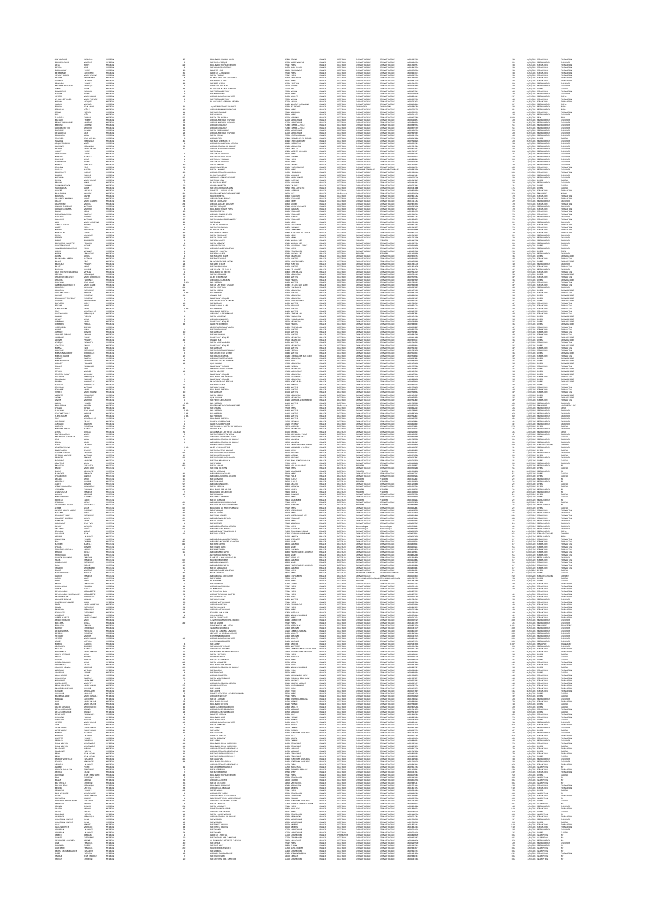|                                                                                                                                                                                                                                                                                                                                                                                                                                                                | VASLEOS                                                                                                         |                                                                                                                                                                                         |                                                                                                                                                                                                                                                                                                                                                                                                                                       | <b>BOLLEVARD MAXIME GOR</b>                                                                                                                                                                                                                                  | 13240 STANS                                                                                                                                                                                                                                                              |                                                                                                              | <b>DEMANDLOGUE</b>                                                                                                                                                                                                                                          | DERMATOLOGIC                                                                                                                                                                                                                                                                                                                                                                                                                                                   |                                                                                                                                                                                        |                                                       | 28/02/2013 FORMATION                                                                                                                                                                                                                                                                                                                                                                                                                      |                                                                                                                                                                                                                                                                                                                                                                                                                                          |
|----------------------------------------------------------------------------------------------------------------------------------------------------------------------------------------------------------------------------------------------------------------------------------------------------------------------------------------------------------------------------------------------------------------------------------------------------------------|-----------------------------------------------------------------------------------------------------------------|-----------------------------------------------------------------------------------------------------------------------------------------------------------------------------------------|---------------------------------------------------------------------------------------------------------------------------------------------------------------------------------------------------------------------------------------------------------------------------------------------------------------------------------------------------------------------------------------------------------------------------------------|--------------------------------------------------------------------------------------------------------------------------------------------------------------------------------------------------------------------------------------------------------------|--------------------------------------------------------------------------------------------------------------------------------------------------------------------------------------------------------------------------------------------------------------------------|--------------------------------------------------------------------------------------------------------------|-------------------------------------------------------------------------------------------------------------------------------------------------------------------------------------------------------------------------------------------------------------|----------------------------------------------------------------------------------------------------------------------------------------------------------------------------------------------------------------------------------------------------------------------------------------------------------------------------------------------------------------------------------------------------------------------------------------------------------------|----------------------------------------------------------------------------------------------------------------------------------------------------------------------------------------|-------------------------------------------------------|-------------------------------------------------------------------------------------------------------------------------------------------------------------------------------------------------------------------------------------------------------------------------------------------------------------------------------------------------------------------------------------------------------------------------------------------|------------------------------------------------------------------------------------------------------------------------------------------------------------------------------------------------------------------------------------------------------------------------------------------------------------------------------------------------------------------------------------------------------------------------------------------|
| ROKOBÍA TAER<br>DEGA<br>DEVICO<br>DOKODMAT<br>DOKODMAT                                                                                                                                                                                                                                                                                                                                                                                                         |                                                                                                                 | MEDECH<br>MEDECH<br>MEDECH<br>MEDECH<br>MEDECH<br>MEDECH<br>MEDECH<br>MEDECH<br>MEDECH<br>MEDECH<br>MEDECH<br>MEDECH<br>MEDECH<br>MEDECH                                                |                                                                                                                                                                                                                                                                                                                                                                                                                                       | ROLLEVARIA MANIMA (GREGIA)<br>ROLLEVARIA MANIMA (GREGIA)<br>ROLLEVARIA MANIMA (GREGIA)<br>ROLLEVARIA (GREGIA)<br>PARCI DE L'IRIS<br>ROLLEVARIA (GREGIA)<br>ROLLEVARIA (GREGIA)<br>ROLLEVARIA (GREGIA)<br>PARCI DES DEPORTE<br>ROLLEVARIA (GREGIA)<br>ROLLEVA | 9 3240 STANS<br>1920 AUSBIN<br>1951 - PARS<br>1951 - PARS<br>19420 COURRAYES<br>19420 COURRAYES<br>19420 - PARS<br>19420 - PARTISLUS<br>19520 - PARTISLUS<br>6000 Gruppis<br>6000 Gruppis<br>19520 - PARTISLUS<br>6000 PARTISLUS<br>19500 - PARTISLUS<br>19500 - PARTISL |                                                                                                              | DEMATOLOGUE<br>DEMATOLOGUE<br>DEMATOLOGUE<br>DEMATOLOGUE<br>DEMATOLOGUE                                                                                                                                                                                     | piawatopis<br>Simultopis<br>Simultopis<br>Simultopis<br>Simultopis<br>Simultopis<br>Simultopis<br>Simultopis<br>Simultopis<br>Simultopis<br>Simultopis<br>Simultopis<br>Simultopis<br>Simultopis<br>Simultopis<br>Simultopis<br>Simultopis<br>Simultopis<br>Simultopis<br>Simultopis<br>Si                                                                                                                                                                     | 10000496934<br>10001390557<br>10000378790<br>10000156176                                                                                                                               |                                                       | AR/02/2013 RISTAURATION<br>28/02/2013 ROBMATION<br>28/02/2013 FORMATION<br>28/02/2013 FORMATION<br>28/02/2013 FORMATION                                                                                                                                                                                                                                                                                                                   | STERMEN MARINE RESERVATION AND RESERVATION AND RESERVATION OF THE RESERVATION OF THE RESERVATION OF THE RESERVATION OF THE RESERVATION OF THE RESERVATION OF THE RESERVATION OF THE RESERVATION OF THE RESERVATION OF THE RESE                                                                                                                                                                                                           |
|                                                                                                                                                                                                                                                                                                                                                                                                                                                                |                                                                                                                 |                                                                                                                                                                                         |                                                                                                                                                                                                                                                                                                                                                                                                                                       |                                                                                                                                                                                                                                                              |                                                                                                                                                                                                                                                                          |                                                                                                              |                                                                                                                                                                                                                                                             |                                                                                                                                                                                                                                                                                                                                                                                                                                                                |                                                                                                                                                                                        |                                                       |                                                                                                                                                                                                                                                                                                                                                                                                                                           |                                                                                                                                                                                                                                                                                                                                                                                                                                          |
| <b>ISTERMANN</b><br>HEUDES<br>HEUDES<br>BEALUEU<br>BERTHER BOAC<br>BERTHER BOAC                                                                                                                                                                                                                                                                                                                                                                                |                                                                                                                 |                                                                                                                                                                                         |                                                                                                                                                                                                                                                                                                                                                                                                                                       |                                                                                                                                                                                                                                                              |                                                                                                                                                                                                                                                                          |                                                                                                              |                                                                                                                                                                                                                                                             |                                                                                                                                                                                                                                                                                                                                                                                                                                                                | 10002997234<br>10001130054<br>10001364778<br>1000334559                                                                                                                                |                                                       | ZR/UZ/ZOS FORMATION<br>28/02/2053 FORMATION<br>28/02/2053 FORMATION<br>28/02/2053 FORMATION<br>05/03/2053 RSSTAURATION<br>05/03/2053 RSSTAURATION                                                                                                                                                                                                                                                                                         |                                                                                                                                                                                                                                                                                                                                                                                                                                          |
|                                                                                                                                                                                                                                                                                                                                                                                                                                                                |                                                                                                                 |                                                                                                                                                                                         |                                                                                                                                                                                                                                                                                                                                                                                                                                       |                                                                                                                                                                                                                                                              |                                                                                                                                                                                                                                                                          |                                                                                                              | <b><i>COMMITIONALE</i></b><br><b>COMMITIONALE</b><br>COMMITIONALE<br>COMMITIONALE<br>COMMITIONALE<br>COMMITIONALE<br>COMMITIONALE<br>COMMITION<br>COMMITIONALE<br>COMMITIONALE<br>COMMITIONALE<br>COMMITIONALE                                              |                                                                                                                                                                                                                                                                                                                                                                                                                                                                | 10100213621                                                                                                                                                                            | Kawaan kawa                                           |                                                                                                                                                                                                                                                                                                                                                                                                                                           |                                                                                                                                                                                                                                                                                                                                                                                                                                          |
| BERTHER BOACHO<br>DURADHER<br>FORTER<br>FORTER<br>LE CAM LE TULLER<br>MOURI<br>MOURI<br>ROMAN<br>ROMAN<br>ROMAN<br>ROMAN                                                                                                                                                                                                                                                                                                                                       |                                                                                                                 |                                                                                                                                                                                         |                                                                                                                                                                                                                                                                                                                                                                                                                                       |                                                                                                                                                                                                                                                              |                                                                                                                                                                                                                                                                          |                                                                                                              |                                                                                                                                                                                                                                                             |                                                                                                                                                                                                                                                                                                                                                                                                                                                                | 10005175715<br>10000276500                                                                                                                                                             |                                                       | <b>CONTROL MEMBERS</b><br>CONTROL FORMATION<br>CONTROL RESTAURATION                                                                                                                                                                                                                                                                                                                                                                       |                                                                                                                                                                                                                                                                                                                                                                                                                                          |
|                                                                                                                                                                                                                                                                                                                                                                                                                                                                |                                                                                                                 |                                                                                                                                                                                         | $\frac{45}{2}$                                                                                                                                                                                                                                                                                                                                                                                                                        | KUL WILTHOWN<br>KNÜNUĞ JËAN LÖÖN LAPORTE<br>KUE FRETËALI DE PËNY<br>BS AVENUE DU GENERAL LECLERO                                                                                                                                                             | TAININ 0000                                                                                                                                                                                                                                                              |                                                                                                              | DERMATOLOGUE                                                                                                                                                                                                                                                |                                                                                                                                                                                                                                                                                                                                                                                                                                                                | 10003854113                                                                                                                                                                            |                                                       | 01/03/2013 RESTAURATION<br>01/03/2013 FORMATION                                                                                                                                                                                                                                                                                                                                                                                           |                                                                                                                                                                                                                                                                                                                                                                                                                                          |
|                                                                                                                                                                                                                                                                                                                                                                                                                                                                |                                                                                                                 |                                                                                                                                                                                         | 38                                                                                                                                                                                                                                                                                                                                                                                                                                    | SQ DES RESIDENCES DU PORT                                                                                                                                                                                                                                    | 77000 MELLIN<br>14120 NOGENT SLIK MARKE<br>168900 STTROPEZ<br>75116 PARS<br>77140 NEMOLIKS                                                                                                                                                                               |                                                                                                              | DERMATOLOGUE<br>DERMATOLOGUE<br>DERMATOLOGUE<br>DERMATOLOGUE                                                                                                                                                                                                | DERMATOLOGIE<br>DERMATOLOGIE<br>DERMATOLOGIE<br>DERMATOLOGIE                                                                                                                                                                                                                                                                                                                                                                                                   | 10003722674<br>10004406244<br>10003380259                                                                                                                                              |                                                       | 01/02/2013 PORMATION<br>01/02/2013 RESTAURATION<br>01/02/2013 RESTAURATION                                                                                                                                                                                                                                                                                                                                                                |                                                                                                                                                                                                                                                                                                                                                                                                                                          |
| SEBADUN<br>SERCIO                                                                                                                                                                                                                                                                                                                                                                                                                                              |                                                                                                                 |                                                                                                                                                                                         | $\frac{60}{11}$                                                                                                                                                                                                                                                                                                                                                                                                                       |                                                                                                                                                                                                                                                              |                                                                                                                                                                                                                                                                          |                                                                                                              |                                                                                                                                                                                                                                                             |                                                                                                                                                                                                                                                                                                                                                                                                                                                                | 10003765278                                                                                                                                                                            |                                                       | 05/03/2013 RESTAURATION                                                                                                                                                                                                                                                                                                                                                                                                                   |                                                                                                                                                                                                                                                                                                                                                                                                                                          |
|                                                                                                                                                                                                                                                                                                                                                                                                                                                                |                                                                                                                 |                                                                                                                                                                                         | $\begin{matrix} 111\\ 125\\ 23\\ 23\\ 12 \end{matrix}$                                                                                                                                                                                                                                                                                                                                                                                |                                                                                                                                                                                                                                                              |                                                                                                                                                                                                                                                                          |                                                                                                              |                                                                                                                                                                                                                                                             |                                                                                                                                                                                                                                                                                                                                                                                                                                                                | $\begin{array}{r} 10000211473 \\ 10000211473 \\ 10000028851 \\ 10000028851 \\ 100000089934 \\ \end{array}$                                                                             | $\begin{array}{r} 27 \\ 1500 \\ 20 \\ 31 \end{array}$ | <b>DURINGER FORMATION<br/>0.01/2013 PRIX<br/>0.01/2013 PRIX<br/>0.01/2013 RESIMURATION<br/>0.01/2013 RESIMURATION</b><br>0.01/2013 RESIMURATION                                                                                                                                                                                                                                                                                           |                                                                                                                                                                                                                                                                                                                                                                                                                                          |
|                                                                                                                                                                                                                                                                                                                                                                                                                                                                |                                                                                                                 |                                                                                                                                                                                         |                                                                                                                                                                                                                                                                                                                                                                                                                                       |                                                                                                                                                                                                                                                              |                                                                                                                                                                                                                                                                          |                                                                                                              |                                                                                                                                                                                                                                                             |                                                                                                                                                                                                                                                                                                                                                                                                                                                                |                                                                                                                                                                                        |                                                       |                                                                                                                                                                                                                                                                                                                                                                                                                                           |                                                                                                                                                                                                                                                                                                                                                                                                                                          |
| SIROD<br>SIROD<br>SIROD MARIDO<br>MARIDO MARIDO MARIDO<br>COMARIDO MARIDO COMARIDO MARIDO<br>COMARIDO MARIDO MARIDO MARIDO MARIDO<br>MARIDO MARIDO MARIDO MARIDO MARIDO<br>ARQUEI TREGERÍ<br>MARIDO MARIDO<br>MARIDO MARIDO MARIDO MARIDO<br>MARIDO MARIDO M                                                                                                                                                                                                   |                                                                                                                 |                                                                                                                                                                                         |                                                                                                                                                                                                                                                                                                                                                                                                                                       |                                                                                                                                                                                                                                                              | 77140 NIMOUS<br>77140 NIMOUS<br>1700 N AOGUS<br>1700 N AOGUS<br>1700 N AOGUS<br>1700 N AOGUS<br>17160 CAMES IA VILE<br>17160 N AOGUS<br>1700 N AOGUS<br>1700 N AOGUS<br>1700 N AOGUS<br>17160 NATAS<br>1810 ORNIKESIN<br>4210 CORMILLIS IN<br>4210 CORMILL               |                                                                                                              | EGRANTOLOGIA<br>EGRANTOLOGIA<br>EGRANTOLOGIA<br>EGRANTOLOGIA<br>EGRANTOLOGIA<br>EGRANTOLOGIA<br>EGRANTOLOGIA<br>EGRANTOLOGIA<br>EGRANTOLOGIA<br>EGRANTOLOGIA<br>EGRANTOLOGIA<br>EGRANTOLOGIA<br>EGRANTOLOGIA<br>EGRANTOLOGIA<br>EGRANTOLOGIA                | $\begin{tabular}{l} \multicolumn{1}{l}{\textbf{GSMMUCGUS}} \\ \multicolumn{1}{l}{\textbf{GSMMUCGUS}} \\ \multicolumn{1}{l}{\textbf{GSMMUCGUS}} \\ \multicolumn{1}{l}{\textbf{GSMMUCGUS}} \\ \multicolumn{1}{l}{\textbf{GSMMUCGUS}} \\ \multicolumn{1}{l}{\textbf{GSMMUCGUS}} \\ \multicolumn{1}{l}{\textbf{GSMMUCGUS}} \\ \multicolumn{1}{l}{\textbf{GSMMUCGUS}} \\ \multicolumn{1}{l}{\textbf{GSMMUCGUS}} \\ \multicolumn{1}{l}{\textbf{GSMMUCGUS}} \\ \mult$ | 10000675339<br>10000460334<br>10000485145                                                                                                                                              | 2282822                                               | DEUTROS RESINUARION<br>04/03/2013 RESINUARION<br>04/03/2013 RESINUARION<br>05/03/2013 RESINUARION<br>05/03/2013 RESINUARION<br>05/03/2013 RESINUARION                                                                                                                                                                                                                                                                                     |                                                                                                                                                                                                                                                                                                                                                                                                                                          |
|                                                                                                                                                                                                                                                                                                                                                                                                                                                                |                                                                                                                 |                                                                                                                                                                                         |                                                                                                                                                                                                                                                                                                                                                                                                                                       |                                                                                                                                                                                                                                                              |                                                                                                                                                                                                                                                                          |                                                                                                              |                                                                                                                                                                                                                                                             |                                                                                                                                                                                                                                                                                                                                                                                                                                                                | 10000681930                                                                                                                                                                            |                                                       |                                                                                                                                                                                                                                                                                                                                                                                                                                           |                                                                                                                                                                                                                                                                                                                                                                                                                                          |
|                                                                                                                                                                                                                                                                                                                                                                                                                                                                |                                                                                                                 |                                                                                                                                                                                         |                                                                                                                                                                                                                                                                                                                                                                                                                                       |                                                                                                                                                                                                                                                              |                                                                                                                                                                                                                                                                          |                                                                                                              |                                                                                                                                                                                                                                                             |                                                                                                                                                                                                                                                                                                                                                                                                                                                                | 10002518826<br>10003969325<br>10002751781                                                                                                                                              |                                                       | DIVIZIOS DIVIRI<br>10/02/2013 RESTAURATION<br>10/02/2013 RESTAURATION<br>10/02/2013 RESTAURATION                                                                                                                                                                                                                                                                                                                                          |                                                                                                                                                                                                                                                                                                                                                                                                                                          |
|                                                                                                                                                                                                                                                                                                                                                                                                                                                                |                                                                                                                 |                                                                                                                                                                                         |                                                                                                                                                                                                                                                                                                                                                                                                                                       |                                                                                                                                                                                                                                                              |                                                                                                                                                                                                                                                                          |                                                                                                              | DERMATOLOGIJE                                                                                                                                                                                                                                               |                                                                                                                                                                                                                                                                                                                                                                                                                                                                | 10003854113<br>10002747177                                                                                                                                                             |                                                       | 10/03/2013 RESTAURATION                                                                                                                                                                                                                                                                                                                                                                                                                   | DEJEUNER<br>DEJEUNER                                                                                                                                                                                                                                                                                                                                                                                                                     |
| DEMONGEOT<br>MASSON<br>SAUSSINE                                                                                                                                                                                                                                                                                                                                                                                                                                |                                                                                                                 |                                                                                                                                                                                         |                                                                                                                                                                                                                                                                                                                                                                                                                                       |                                                                                                                                                                                                                                                              |                                                                                                                                                                                                                                                                          |                                                                                                              |                                                                                                                                                                                                                                                             |                                                                                                                                                                                                                                                                                                                                                                                                                                                                | 10000084442<br>10000166971<br>10100200212                                                                                                                                              |                                                       |                                                                                                                                                                                                                                                                                                                                                                                                                                           |                                                                                                                                                                                                                                                                                                                                                                                                                                          |
|                                                                                                                                                                                                                                                                                                                                                                                                                                                                |                                                                                                                 |                                                                                                                                                                                         |                                                                                                                                                                                                                                                                                                                                                                                                                                       |                                                                                                                                                                                                                                                              |                                                                                                                                                                                                                                                                          |                                                                                                              | DEMATOLOGIE<br>DEMATOLOGIE<br>DEMATOLOGIE<br>DEMATOLOGIE<br>DEMATOLOGIE                                                                                                                                                                                     |                                                                                                                                                                                                                                                                                                                                                                                                                                                                | 10100300366<br>10005158513                                                                                                                                                             |                                                       | FRONTON RESINUARION<br>11/03/2013 RESINUARION<br>11/03/2013 RESINUARION<br>11/03/2013 RESINUARION<br>12/03/2013 RESINUARION                                                                                                                                                                                                                                                                                                               |                                                                                                                                                                                                                                                                                                                                                                                                                                          |
|                                                                                                                                                                                                                                                                                                                                                                                                                                                                |                                                                                                                 |                                                                                                                                                                                         |                                                                                                                                                                                                                                                                                                                                                                                                                                       |                                                                                                                                                                                                                                                              |                                                                                                                                                                                                                                                                          |                                                                                                              |                                                                                                                                                                                                                                                             |                                                                                                                                                                                                                                                                                                                                                                                                                                                                |                                                                                                                                                                                        |                                                       |                                                                                                                                                                                                                                                                                                                                                                                                                                           |                                                                                                                                                                                                                                                                                                                                                                                                                                          |
| $\begin{array}{l} \textbf{SODRING} \\ \textbf{SODRING} \\ \textbf{SODRING} \\ \textbf{SODRING} \\ \textbf{SODRING} \\ \textbf{SODRING} \\ \textbf{SODRING} \\ \textbf{SODRING} \\ \textbf{SODRING} \\ \textbf{SODR OG} \\ \textbf{SODR OG} \\ \textbf{SODR OG} \\ \textbf{SODRING} \\ \textbf{SODRING} \\ \textbf{SODRING} \\ \textbf{SODRING} \\ \textbf{SODRING} \\ \textbf{SODRING} \\ \textbf{SODRING} \\ \textbf{SODRING} \\ \textbf{SODRING} \\ \textbf$ |                                                                                                                 |                                                                                                                                                                                         |                                                                                                                                                                                                                                                                                                                                                                                                                                       |                                                                                                                                                                                                                                                              |                                                                                                                                                                                                                                                                          |                                                                                                              |                                                                                                                                                                                                                                                             |                                                                                                                                                                                                                                                                                                                                                                                                                                                                | 10000600581<br>10000583015<br>1000346016<br>10003163129<br>100035315                                                                                                                   | 捕鱼猫 计非计算符 经界外公司                                       | $\begin{array}{l} 12007626185780480708 \\ 130476141638044808 \\ 1404762416380480708 \\ 1504761416380480208 \\ 150476141638048008 \\ 1504761216380480708 \\ 15047621816380480708 \\ 15047621816380480708 \\ 1504762116380480708 \\ 1504762116380480708 \\ 1$                                                                                                                                                                               |                                                                                                                                                                                                                                                                                                                                                                                                                                          |
|                                                                                                                                                                                                                                                                                                                                                                                                                                                                |                                                                                                                 |                                                                                                                                                                                         |                                                                                                                                                                                                                                                                                                                                                                                                                                       |                                                                                                                                                                                                                                                              |                                                                                                                                                                                                                                                                          |                                                                                                              |                                                                                                                                                                                                                                                             |                                                                                                                                                                                                                                                                                                                                                                                                                                                                |                                                                                                                                                                                        |                                                       |                                                                                                                                                                                                                                                                                                                                                                                                                                           |                                                                                                                                                                                                                                                                                                                                                                                                                                          |
|                                                                                                                                                                                                                                                                                                                                                                                                                                                                |                                                                                                                 |                                                                                                                                                                                         |                                                                                                                                                                                                                                                                                                                                                                                                                                       |                                                                                                                                                                                                                                                              |                                                                                                                                                                                                                                                                          |                                                                                                              |                                                                                                                                                                                                                                                             |                                                                                                                                                                                                                                                                                                                                                                                                                                                                | 10100055705<br>10000316581<br>10003165881<br>10000782886<br>10000782888                                                                                                                |                                                       |                                                                                                                                                                                                                                                                                                                                                                                                                                           |                                                                                                                                                                                                                                                                                                                                                                                                                                          |
|                                                                                                                                                                                                                                                                                                                                                                                                                                                                |                                                                                                                 |                                                                                                                                                                                         |                                                                                                                                                                                                                                                                                                                                                                                                                                       |                                                                                                                                                                                                                                                              |                                                                                                                                                                                                                                                                          |                                                                                                              |                                                                                                                                                                                                                                                             |                                                                                                                                                                                                                                                                                                                                                                                                                                                                | 1000280892<br>10003300000<br>10002870144                                                                                                                                               |                                                       |                                                                                                                                                                                                                                                                                                                                                                                                                                           |                                                                                                                                                                                                                                                                                                                                                                                                                                          |
|                                                                                                                                                                                                                                                                                                                                                                                                                                                                |                                                                                                                 |                                                                                                                                                                                         | $\begin{smallmatrix}&&1\\&&1\\1&1&1&1&1\\1&2&1&1&1\\1&3&1&1&1\end{smallmatrix}$                                                                                                                                                                                                                                                                                                                                                       |                                                                                                                                                                                                                                                              |                                                                                                                                                                                                                                                                          |                                                                                                              |                                                                                                                                                                                                                                                             |                                                                                                                                                                                                                                                                                                                                                                                                                                                                | 10001717767                                                                                                                                                                            |                                                       |                                                                                                                                                                                                                                                                                                                                                                                                                                           |                                                                                                                                                                                                                                                                                                                                                                                                                                          |
|                                                                                                                                                                                                                                                                                                                                                                                                                                                                |                                                                                                                 |                                                                                                                                                                                         |                                                                                                                                                                                                                                                                                                                                                                                                                                       |                                                                                                                                                                                                                                                              |                                                                                                                                                                                                                                                                          |                                                                                                              |                                                                                                                                                                                                                                                             |                                                                                                                                                                                                                                                                                                                                                                                                                                                                |                                                                                                                                                                                        |                                                       |                                                                                                                                                                                                                                                                                                                                                                                                                                           |                                                                                                                                                                                                                                                                                                                                                                                                                                          |
|                                                                                                                                                                                                                                                                                                                                                                                                                                                                |                                                                                                                 |                                                                                                                                                                                         |                                                                                                                                                                                                                                                                                                                                                                                                                                       |                                                                                                                                                                                                                                                              |                                                                                                                                                                                                                                                                          |                                                                                                              |                                                                                                                                                                                                                                                             |                                                                                                                                                                                                                                                                                                                                                                                                                                                                | 10003317600<br>10003855277<br>10002856972<br>10002982541                                                                                                                               |                                                       |                                                                                                                                                                                                                                                                                                                                                                                                                                           |                                                                                                                                                                                                                                                                                                                                                                                                                                          |
|                                                                                                                                                                                                                                                                                                                                                                                                                                                                |                                                                                                                 |                                                                                                                                                                                         |                                                                                                                                                                                                                                                                                                                                                                                                                                       |                                                                                                                                                                                                                                                              |                                                                                                                                                                                                                                                                          |                                                                                                              |                                                                                                                                                                                                                                                             |                                                                                                                                                                                                                                                                                                                                                                                                                                                                |                                                                                                                                                                                        | 92223232323333333                                     |                                                                                                                                                                                                                                                                                                                                                                                                                                           |                                                                                                                                                                                                                                                                                                                                                                                                                                          |
|                                                                                                                                                                                                                                                                                                                                                                                                                                                                |                                                                                                                 |                                                                                                                                                                                         |                                                                                                                                                                                                                                                                                                                                                                                                                                       |                                                                                                                                                                                                                                                              |                                                                                                                                                                                                                                                                          |                                                                                                              |                                                                                                                                                                                                                                                             |                                                                                                                                                                                                                                                                                                                                                                                                                                                                |                                                                                                                                                                                        |                                                       |                                                                                                                                                                                                                                                                                                                                                                                                                                           |                                                                                                                                                                                                                                                                                                                                                                                                                                          |
|                                                                                                                                                                                                                                                                                                                                                                                                                                                                |                                                                                                                 |                                                                                                                                                                                         |                                                                                                                                                                                                                                                                                                                                                                                                                                       |                                                                                                                                                                                                                                                              |                                                                                                                                                                                                                                                                          |                                                                                                              |                                                                                                                                                                                                                                                             |                                                                                                                                                                                                                                                                                                                                                                                                                                                                |                                                                                                                                                                                        |                                                       |                                                                                                                                                                                                                                                                                                                                                                                                                                           |                                                                                                                                                                                                                                                                                                                                                                                                                                          |
|                                                                                                                                                                                                                                                                                                                                                                                                                                                                |                                                                                                                 |                                                                                                                                                                                         |                                                                                                                                                                                                                                                                                                                                                                                                                                       |                                                                                                                                                                                                                                                              |                                                                                                                                                                                                                                                                          |                                                                                                              |                                                                                                                                                                                                                                                             |                                                                                                                                                                                                                                                                                                                                                                                                                                                                | 10003652151<br>1000365234<br>10001565236<br>1000265266<br>10002653625<br>1000265134<br>10002765337<br>1000276536<br>1000276566<br>1000276566<br>1000276566<br>1000276566<br>1000276566 |                                                       |                                                                                                                                                                                                                                                                                                                                                                                                                                           |                                                                                                                                                                                                                                                                                                                                                                                                                                          |
|                                                                                                                                                                                                                                                                                                                                                                                                                                                                |                                                                                                                 |                                                                                                                                                                                         |                                                                                                                                                                                                                                                                                                                                                                                                                                       |                                                                                                                                                                                                                                                              |                                                                                                                                                                                                                                                                          |                                                                                                              |                                                                                                                                                                                                                                                             |                                                                                                                                                                                                                                                                                                                                                                                                                                                                |                                                                                                                                                                                        |                                                       |                                                                                                                                                                                                                                                                                                                                                                                                                                           |                                                                                                                                                                                                                                                                                                                                                                                                                                          |
| GLICT TABERNAT<br>HAMDOU BENNAT<br>MOHR<br>AURIN                                                                                                                                                                                                                                                                                                                                                                                                               |                                                                                                                 |                                                                                                                                                                                         |                                                                                                                                                                                                                                                                                                                                                                                                                                       |                                                                                                                                                                                                                                                              |                                                                                                                                                                                                                                                                          |                                                                                                              |                                                                                                                                                                                                                                                             |                                                                                                                                                                                                                                                                                                                                                                                                                                                                |                                                                                                                                                                                        |                                                       |                                                                                                                                                                                                                                                                                                                                                                                                                                           |                                                                                                                                                                                                                                                                                                                                                                                                                                          |
|                                                                                                                                                                                                                                                                                                                                                                                                                                                                |                                                                                                                 |                                                                                                                                                                                         |                                                                                                                                                                                                                                                                                                                                                                                                                                       |                                                                                                                                                                                                                                                              |                                                                                                                                                                                                                                                                          |                                                                                                              |                                                                                                                                                                                                                                                             |                                                                                                                                                                                                                                                                                                                                                                                                                                                                | 10001125839                                                                                                                                                                            |                                                       |                                                                                                                                                                                                                                                                                                                                                                                                                                           |                                                                                                                                                                                                                                                                                                                                                                                                                                          |
|                                                                                                                                                                                                                                                                                                                                                                                                                                                                |                                                                                                                 |                                                                                                                                                                                         |                                                                                                                                                                                                                                                                                                                                                                                                                                       |                                                                                                                                                                                                                                                              |                                                                                                                                                                                                                                                                          |                                                                                                              |                                                                                                                                                                                                                                                             |                                                                                                                                                                                                                                                                                                                                                                                                                                                                | 10002518931<br>1000251993<br>10001584778<br>10001564676<br>10001519734                                                                                                                 |                                                       |                                                                                                                                                                                                                                                                                                                                                                                                                                           |                                                                                                                                                                                                                                                                                                                                                                                                                                          |
|                                                                                                                                                                                                                                                                                                                                                                                                                                                                |                                                                                                                 |                                                                                                                                                                                         | $\begin{array}{c} \mathbf{z} = \mathbf{z} \\ \mathbf{z} = \mathbf{z} \end{array}$                                                                                                                                                                                                                                                                                                                                                     |                                                                                                                                                                                                                                                              |                                                                                                                                                                                                                                                                          |                                                                                                              |                                                                                                                                                                                                                                                             |                                                                                                                                                                                                                                                                                                                                                                                                                                                                |                                                                                                                                                                                        |                                                       |                                                                                                                                                                                                                                                                                                                                                                                                                                           |                                                                                                                                                                                                                                                                                                                                                                                                                                          |
|                                                                                                                                                                                                                                                                                                                                                                                                                                                                |                                                                                                                 |                                                                                                                                                                                         |                                                                                                                                                                                                                                                                                                                                                                                                                                       |                                                                                                                                                                                                                                                              |                                                                                                                                                                                                                                                                          |                                                                                                              |                                                                                                                                                                                                                                                             |                                                                                                                                                                                                                                                                                                                                                                                                                                                                | 10000512156<br>10000512156<br>1000056419<br>10002585629<br>10002582129                                                                                                                 |                                                       |                                                                                                                                                                                                                                                                                                                                                                                                                                           |                                                                                                                                                                                                                                                                                                                                                                                                                                          |
|                                                                                                                                                                                                                                                                                                                                                                                                                                                                |                                                                                                                 |                                                                                                                                                                                         | ែ                                                                                                                                                                                                                                                                                                                                                                                                                                     |                                                                                                                                                                                                                                                              |                                                                                                                                                                                                                                                                          |                                                                                                              |                                                                                                                                                                                                                                                             |                                                                                                                                                                                                                                                                                                                                                                                                                                                                |                                                                                                                                                                                        |                                                       |                                                                                                                                                                                                                                                                                                                                                                                                                                           |                                                                                                                                                                                                                                                                                                                                                                                                                                          |
|                                                                                                                                                                                                                                                                                                                                                                                                                                                                |                                                                                                                 |                                                                                                                                                                                         |                                                                                                                                                                                                                                                                                                                                                                                                                                       |                                                                                                                                                                                                                                                              |                                                                                                                                                                                                                                                                          |                                                                                                              |                                                                                                                                                                                                                                                             |                                                                                                                                                                                                                                                                                                                                                                                                                                                                | 10002682129<br>100026827627<br>10002677122                                                                                                                                             |                                                       |                                                                                                                                                                                                                                                                                                                                                                                                                                           |                                                                                                                                                                                                                                                                                                                                                                                                                                          |
|                                                                                                                                                                                                                                                                                                                                                                                                                                                                |                                                                                                                 |                                                                                                                                                                                         |                                                                                                                                                                                                                                                                                                                                                                                                                                       |                                                                                                                                                                                                                                                              |                                                                                                                                                                                                                                                                          |                                                                                                              |                                                                                                                                                                                                                                                             |                                                                                                                                                                                                                                                                                                                                                                                                                                                                | 10002582426                                                                                                                                                                            |                                                       |                                                                                                                                                                                                                                                                                                                                                                                                                                           |                                                                                                                                                                                                                                                                                                                                                                                                                                          |
|                                                                                                                                                                                                                                                                                                                                                                                                                                                                |                                                                                                                 |                                                                                                                                                                                         |                                                                                                                                                                                                                                                                                                                                                                                                                                       |                                                                                                                                                                                                                                                              |                                                                                                                                                                                                                                                                          |                                                                                                              |                                                                                                                                                                                                                                                             |                                                                                                                                                                                                                                                                                                                                                                                                                                                                | 10000820980<br>10003985627<br>10002684333<br>10002534398<br>10002534398                                                                                                                |                                                       |                                                                                                                                                                                                                                                                                                                                                                                                                                           |                                                                                                                                                                                                                                                                                                                                                                                                                                          |
|                                                                                                                                                                                                                                                                                                                                                                                                                                                                |                                                                                                                 |                                                                                                                                                                                         | $\frac{5}{4}$ in $\frac{1}{4}$                                                                                                                                                                                                                                                                                                                                                                                                        |                                                                                                                                                                                                                                                              |                                                                                                                                                                                                                                                                          |                                                                                                              |                                                                                                                                                                                                                                                             |                                                                                                                                                                                                                                                                                                                                                                                                                                                                |                                                                                                                                                                                        |                                                       |                                                                                                                                                                                                                                                                                                                                                                                                                                           |                                                                                                                                                                                                                                                                                                                                                                                                                                          |
|                                                                                                                                                                                                                                                                                                                                                                                                                                                                |                                                                                                                 |                                                                                                                                                                                         |                                                                                                                                                                                                                                                                                                                                                                                                                                       |                                                                                                                                                                                                                                                              |                                                                                                                                                                                                                                                                          |                                                                                                              |                                                                                                                                                                                                                                                             |                                                                                                                                                                                                                                                                                                                                                                                                                                                                |                                                                                                                                                                                        |                                                       |                                                                                                                                                                                                                                                                                                                                                                                                                                           |                                                                                                                                                                                                                                                                                                                                                                                                                                          |
|                                                                                                                                                                                                                                                                                                                                                                                                                                                                |                                                                                                                 |                                                                                                                                                                                         | $\overline{\mathbf{a}}$                                                                                                                                                                                                                                                                                                                                                                                                               |                                                                                                                                                                                                                                                              |                                                                                                                                                                                                                                                                          |                                                                                                              |                                                                                                                                                                                                                                                             |                                                                                                                                                                                                                                                                                                                                                                                                                                                                | 1000212181<br>10002113751<br>10002187581<br>10002476966<br>1000242569<br>10002126599<br>10002023659<br>10002023758<br>10002523758<br>10002523758                                       |                                                       |                                                                                                                                                                                                                                                                                                                                                                                                                                           |                                                                                                                                                                                                                                                                                                                                                                                                                                          |
|                                                                                                                                                                                                                                                                                                                                                                                                                                                                |                                                                                                                 |                                                                                                                                                                                         |                                                                                                                                                                                                                                                                                                                                                                                                                                       |                                                                                                                                                                                                                                                              |                                                                                                                                                                                                                                                                          |                                                                                                              |                                                                                                                                                                                                                                                             |                                                                                                                                                                                                                                                                                                                                                                                                                                                                |                                                                                                                                                                                        |                                                       |                                                                                                                                                                                                                                                                                                                                                                                                                                           |                                                                                                                                                                                                                                                                                                                                                                                                                                          |
|                                                                                                                                                                                                                                                                                                                                                                                                                                                                |                                                                                                                 |                                                                                                                                                                                         |                                                                                                                                                                                                                                                                                                                                                                                                                                       |                                                                                                                                                                                                                                                              |                                                                                                                                                                                                                                                                          |                                                                                                              |                                                                                                                                                                                                                                                             |                                                                                                                                                                                                                                                                                                                                                                                                                                                                |                                                                                                                                                                                        |                                                       |                                                                                                                                                                                                                                                                                                                                                                                                                                           |                                                                                                                                                                                                                                                                                                                                                                                                                                          |
|                                                                                                                                                                                                                                                                                                                                                                                                                                                                |                                                                                                                 |                                                                                                                                                                                         |                                                                                                                                                                                                                                                                                                                                                                                                                                       |                                                                                                                                                                                                                                                              |                                                                                                                                                                                                                                                                          |                                                                                                              |                                                                                                                                                                                                                                                             |                                                                                                                                                                                                                                                                                                                                                                                                                                                                | 10002681786<br>10100411189<br>10002636789                                                                                                                                              |                                                       |                                                                                                                                                                                                                                                                                                                                                                                                                                           |                                                                                                                                                                                                                                                                                                                                                                                                                                          |
|                                                                                                                                                                                                                                                                                                                                                                                                                                                                |                                                                                                                 |                                                                                                                                                                                         |                                                                                                                                                                                                                                                                                                                                                                                                                                       |                                                                                                                                                                                                                                                              |                                                                                                                                                                                                                                                                          |                                                                                                              |                                                                                                                                                                                                                                                             |                                                                                                                                                                                                                                                                                                                                                                                                                                                                | 10100395654                                                                                                                                                                            |                                                       |                                                                                                                                                                                                                                                                                                                                                                                                                                           |                                                                                                                                                                                                                                                                                                                                                                                                                                          |
|                                                                                                                                                                                                                                                                                                                                                                                                                                                                |                                                                                                                 |                                                                                                                                                                                         |                                                                                                                                                                                                                                                                                                                                                                                                                                       |                                                                                                                                                                                                                                                              |                                                                                                                                                                                                                                                                          |                                                                                                              |                                                                                                                                                                                                                                                             |                                                                                                                                                                                                                                                                                                                                                                                                                                                                | 10002585478<br>10002656161<br>1000268314<br>1000453381                                                                                                                                 |                                                       |                                                                                                                                                                                                                                                                                                                                                                                                                                           |                                                                                                                                                                                                                                                                                                                                                                                                                                          |
|                                                                                                                                                                                                                                                                                                                                                                                                                                                                |                                                                                                                 |                                                                                                                                                                                         | $\frac{58}{18}$                                                                                                                                                                                                                                                                                                                                                                                                                       |                                                                                                                                                                                                                                                              |                                                                                                                                                                                                                                                                          |                                                                                                              |                                                                                                                                                                                                                                                             |                                                                                                                                                                                                                                                                                                                                                                                                                                                                |                                                                                                                                                                                        |                                                       |                                                                                                                                                                                                                                                                                                                                                                                                                                           |                                                                                                                                                                                                                                                                                                                                                                                                                                          |
|                                                                                                                                                                                                                                                                                                                                                                                                                                                                |                                                                                                                 |                                                                                                                                                                                         |                                                                                                                                                                                                                                                                                                                                                                                                                                       |                                                                                                                                                                                                                                                              |                                                                                                                                                                                                                                                                          |                                                                                                              |                                                                                                                                                                                                                                                             |                                                                                                                                                                                                                                                                                                                                                                                                                                                                | 10000470488<br>10000470486<br>10000490481<br>10000490789<br>10000497864                                                                                                                |                                                       | <b>The Communications of the Communications of the Communications of the Communications</b>                                                                                                                                                                                                                                                                                                                                               |                                                                                                                                                                                                                                                                                                                                                                                                                                          |
|                                                                                                                                                                                                                                                                                                                                                                                                                                                                |                                                                                                                 |                                                                                                                                                                                         | $\frac{3}{2}$                                                                                                                                                                                                                                                                                                                                                                                                                         |                                                                                                                                                                                                                                                              |                                                                                                                                                                                                                                                                          |                                                                                                              |                                                                                                                                                                                                                                                             |                                                                                                                                                                                                                                                                                                                                                                                                                                                                |                                                                                                                                                                                        |                                                       |                                                                                                                                                                                                                                                                                                                                                                                                                                           |                                                                                                                                                                                                                                                                                                                                                                                                                                          |
|                                                                                                                                                                                                                                                                                                                                                                                                                                                                |                                                                                                                 |                                                                                                                                                                                         |                                                                                                                                                                                                                                                                                                                                                                                                                                       |                                                                                                                                                                                                                                                              |                                                                                                                                                                                                                                                                          |                                                                                                              |                                                                                                                                                                                                                                                             |                                                                                                                                                                                                                                                                                                                                                                                                                                                                | 1000017866<br>10002527256<br>10002679110<br>10003684014<br>10002576170                                                                                                                 |                                                       |                                                                                                                                                                                                                                                                                                                                                                                                                                           |                                                                                                                                                                                                                                                                                                                                                                                                                                          |
|                                                                                                                                                                                                                                                                                                                                                                                                                                                                |                                                                                                                 |                                                                                                                                                                                         |                                                                                                                                                                                                                                                                                                                                                                                                                                       |                                                                                                                                                                                                                                                              |                                                                                                                                                                                                                                                                          |                                                                                                              |                                                                                                                                                                                                                                                             |                                                                                                                                                                                                                                                                                                                                                                                                                                                                |                                                                                                                                                                                        |                                                       |                                                                                                                                                                                                                                                                                                                                                                                                                                           |                                                                                                                                                                                                                                                                                                                                                                                                                                          |
|                                                                                                                                                                                                                                                                                                                                                                                                                                                                |                                                                                                                 |                                                                                                                                                                                         |                                                                                                                                                                                                                                                                                                                                                                                                                                       |                                                                                                                                                                                                                                                              |                                                                                                                                                                                                                                                                          |                                                                                                              |                                                                                                                                                                                                                                                             |                                                                                                                                                                                                                                                                                                                                                                                                                                                                | 10002576170<br>10002516762<br>10002526332<br>10002676335                                                                                                                               |                                                       |                                                                                                                                                                                                                                                                                                                                                                                                                                           |                                                                                                                                                                                                                                                                                                                                                                                                                                          |
|                                                                                                                                                                                                                                                                                                                                                                                                                                                                |                                                                                                                 |                                                                                                                                                                                         |                                                                                                                                                                                                                                                                                                                                                                                                                                       |                                                                                                                                                                                                                                                              |                                                                                                                                                                                                                                                                          |                                                                                                              |                                                                                                                                                                                                                                                             |                                                                                                                                                                                                                                                                                                                                                                                                                                                                |                                                                                                                                                                                        |                                                       |                                                                                                                                                                                                                                                                                                                                                                                                                                           |                                                                                                                                                                                                                                                                                                                                                                                                                                          |
|                                                                                                                                                                                                                                                                                                                                                                                                                                                                |                                                                                                                 |                                                                                                                                                                                         | $\begin{array}{r@{\hspace{1em}}c@{\hspace{1em}}c@{\hspace{1em}}c@{\hspace{1em}}c@{\hspace{1em}}c@{\hspace{1em}}c@{\hspace{1em}}c@{\hspace{1em}}c@{\hspace{1em}}c@{\hspace{1em}}c@{\hspace{1em}}c@{\hspace{1em}}c@{\hspace{1em}}c@{\hspace{1em}}c@{\hspace{1em}}c@{\hspace{1em}}c@{\hspace{1em}}c@{\hspace{1em}}c@{\hspace{1em}}c@{\hspace{1em}}c@{\hspace{1em}}c@{\hspace{1em}}c@{\hspace{1em}}c@{\hspace{1em$                        |                                                                                                                                                                                                                                                              |                                                                                                                                                                                                                                                                          |                                                                                                              |                                                                                                                                                                                                                                                             |                                                                                                                                                                                                                                                                                                                                                                                                                                                                | 10002517062<br>10003100000<br>10003100000<br>10002582129<br>10002582129                                                                                                                | 88238                                                 | 23/03/2018 PORMATION<br>22/03/2018 RANGHON<br>22/03/2018 RANGHONT<br>22/03/2018 RESTAURATION<br>22/03/2018 RESTAURATION<br>22/03/2018 RESTAURATION                                                                                                                                                                                                                                                                                        |                                                                                                                                                                                                                                                                                                                                                                                                                                          |
|                                                                                                                                                                                                                                                                                                                                                                                                                                                                |                                                                                                                 |                                                                                                                                                                                         |                                                                                                                                                                                                                                                                                                                                                                                                                                       |                                                                                                                                                                                                                                                              |                                                                                                                                                                                                                                                                          |                                                                                                              |                                                                                                                                                                                                                                                             |                                                                                                                                                                                                                                                                                                                                                                                                                                                                |                                                                                                                                                                                        |                                                       |                                                                                                                                                                                                                                                                                                                                                                                                                                           |                                                                                                                                                                                                                                                                                                                                                                                                                                          |
|                                                                                                                                                                                                                                                                                                                                                                                                                                                                |                                                                                                                 |                                                                                                                                                                                         |                                                                                                                                                                                                                                                                                                                                                                                                                                       |                                                                                                                                                                                                                                                              |                                                                                                                                                                                                                                                                          |                                                                                                              |                                                                                                                                                                                                                                                             |                                                                                                                                                                                                                                                                                                                                                                                                                                                                | 10002522851<br>10005152753<br>10006416884<br>10006410493                                                                                                                               |                                                       |                                                                                                                                                                                                                                                                                                                                                                                                                                           |                                                                                                                                                                                                                                                                                                                                                                                                                                          |
|                                                                                                                                                                                                                                                                                                                                                                                                                                                                |                                                                                                                 |                                                                                                                                                                                         |                                                                                                                                                                                                                                                                                                                                                                                                                                       |                                                                                                                                                                                                                                                              |                                                                                                                                                                                                                                                                          |                                                                                                              |                                                                                                                                                                                                                                                             |                                                                                                                                                                                                                                                                                                                                                                                                                                                                |                                                                                                                                                                                        |                                                       |                                                                                                                                                                                                                                                                                                                                                                                                                                           |                                                                                                                                                                                                                                                                                                                                                                                                                                          |
|                                                                                                                                                                                                                                                                                                                                                                                                                                                                |                                                                                                                 |                                                                                                                                                                                         |                                                                                                                                                                                                                                                                                                                                                                                                                                       |                                                                                                                                                                                                                                                              |                                                                                                                                                                                                                                                                          |                                                                                                              |                                                                                                                                                                                                                                                             |                                                                                                                                                                                                                                                                                                                                                                                                                                                                | 10000776851<br>10001959062<br>10001651333<br>10001681185<br>1000197258                                                                                                                 | 3332323233                                            |                                                                                                                                                                                                                                                                                                                                                                                                                                           |                                                                                                                                                                                                                                                                                                                                                                                                                                          |
|                                                                                                                                                                                                                                                                                                                                                                                                                                                                |                                                                                                                 |                                                                                                                                                                                         |                                                                                                                                                                                                                                                                                                                                                                                                                                       |                                                                                                                                                                                                                                                              |                                                                                                                                                                                                                                                                          |                                                                                                              |                                                                                                                                                                                                                                                             |                                                                                                                                                                                                                                                                                                                                                                                                                                                                |                                                                                                                                                                                        |                                                       |                                                                                                                                                                                                                                                                                                                                                                                                                                           |                                                                                                                                                                                                                                                                                                                                                                                                                                          |
|                                                                                                                                                                                                                                                                                                                                                                                                                                                                |                                                                                                                 |                                                                                                                                                                                         |                                                                                                                                                                                                                                                                                                                                                                                                                                       |                                                                                                                                                                                                                                                              |                                                                                                                                                                                                                                                                          |                                                                                                              |                                                                                                                                                                                                                                                             |                                                                                                                                                                                                                                                                                                                                                                                                                                                                | 10002924917<br>10002924917<br>100011086197<br>10000864269<br>10002924917                                                                                                               |                                                       |                                                                                                                                                                                                                                                                                                                                                                                                                                           |                                                                                                                                                                                                                                                                                                                                                                                                                                          |
|                                                                                                                                                                                                                                                                                                                                                                                                                                                                |                                                                                                                 |                                                                                                                                                                                         | $\begin{array}{r} 2.015 \\ 3 \\ 32 \\ 32 \\ 32 \\ 48 \\ 6 \\ \end{array}$                                                                                                                                                                                                                                                                                                                                                             |                                                                                                                                                                                                                                                              |                                                                                                                                                                                                                                                                          |                                                                                                              |                                                                                                                                                                                                                                                             |                                                                                                                                                                                                                                                                                                                                                                                                                                                                |                                                                                                                                                                                        |                                                       |                                                                                                                                                                                                                                                                                                                                                                                                                                           |                                                                                                                                                                                                                                                                                                                                                                                                                                          |
|                                                                                                                                                                                                                                                                                                                                                                                                                                                                |                                                                                                                 |                                                                                                                                                                                         |                                                                                                                                                                                                                                                                                                                                                                                                                                       |                                                                                                                                                                                                                                                              |                                                                                                                                                                                                                                                                          |                                                                                                              |                                                                                                                                                                                                                                                             |                                                                                                                                                                                                                                                                                                                                                                                                                                                                |                                                                                                                                                                                        |                                                       |                                                                                                                                                                                                                                                                                                                                                                                                                                           |                                                                                                                                                                                                                                                                                                                                                                                                                                          |
|                                                                                                                                                                                                                                                                                                                                                                                                                                                                |                                                                                                                 |                                                                                                                                                                                         |                                                                                                                                                                                                                                                                                                                                                                                                                                       |                                                                                                                                                                                                                                                              |                                                                                                                                                                                                                                                                          |                                                                                                              |                                                                                                                                                                                                                                                             |                                                                                                                                                                                                                                                                                                                                                                                                                                                                | 10000976786<br>10000976786<br>10000972380<br>10000442128                                                                                                                               |                                                       |                                                                                                                                                                                                                                                                                                                                                                                                                                           |                                                                                                                                                                                                                                                                                                                                                                                                                                          |
|                                                                                                                                                                                                                                                                                                                                                                                                                                                                |                                                                                                                 |                                                                                                                                                                                         |                                                                                                                                                                                                                                                                                                                                                                                                                                       |                                                                                                                                                                                                                                                              |                                                                                                                                                                                                                                                                          |                                                                                                              |                                                                                                                                                                                                                                                             |                                                                                                                                                                                                                                                                                                                                                                                                                                                                |                                                                                                                                                                                        |                                                       |                                                                                                                                                                                                                                                                                                                                                                                                                                           |                                                                                                                                                                                                                                                                                                                                                                                                                                          |
|                                                                                                                                                                                                                                                                                                                                                                                                                                                                |                                                                                                                 |                                                                                                                                                                                         |                                                                                                                                                                                                                                                                                                                                                                                                                                       |                                                                                                                                                                                                                                                              |                                                                                                                                                                                                                                                                          |                                                                                                              |                                                                                                                                                                                                                                                             |                                                                                                                                                                                                                                                                                                                                                                                                                                                                |                                                                                                                                                                                        |                                                       |                                                                                                                                                                                                                                                                                                                                                                                                                                           |                                                                                                                                                                                                                                                                                                                                                                                                                                          |
|                                                                                                                                                                                                                                                                                                                                                                                                                                                                |                                                                                                                 |                                                                                                                                                                                         | $\begin{array}{cccccc} 42 & 11 & 16 & 18 \\ 3 & 1 & 5 & 2 & 18 \\ 3 & 2 & 3 & 3 & 18 \\ \end{array} .$                                                                                                                                                                                                                                                                                                                                |                                                                                                                                                                                                                                                              |                                                                                                                                                                                                                                                                          |                                                                                                              |                                                                                                                                                                                                                                                             |                                                                                                                                                                                                                                                                                                                                                                                                                                                                |                                                                                                                                                                                        |                                                       |                                                                                                                                                                                                                                                                                                                                                                                                                                           |                                                                                                                                                                                                                                                                                                                                                                                                                                          |
|                                                                                                                                                                                                                                                                                                                                                                                                                                                                |                                                                                                                 |                                                                                                                                                                                         |                                                                                                                                                                                                                                                                                                                                                                                                                                       |                                                                                                                                                                                                                                                              |                                                                                                                                                                                                                                                                          |                                                                                                              |                                                                                                                                                                                                                                                             |                                                                                                                                                                                                                                                                                                                                                                                                                                                                |                                                                                                                                                                                        |                                                       |                                                                                                                                                                                                                                                                                                                                                                                                                                           |                                                                                                                                                                                                                                                                                                                                                                                                                                          |
|                                                                                                                                                                                                                                                                                                                                                                                                                                                                |                                                                                                                 |                                                                                                                                                                                         |                                                                                                                                                                                                                                                                                                                                                                                                                                       |                                                                                                                                                                                                                                                              |                                                                                                                                                                                                                                                                          |                                                                                                              |                                                                                                                                                                                                                                                             |                                                                                                                                                                                                                                                                                                                                                                                                                                                                |                                                                                                                                                                                        |                                                       |                                                                                                                                                                                                                                                                                                                                                                                                                                           |                                                                                                                                                                                                                                                                                                                                                                                                                                          |
|                                                                                                                                                                                                                                                                                                                                                                                                                                                                |                                                                                                                 |                                                                                                                                                                                         |                                                                                                                                                                                                                                                                                                                                                                                                                                       |                                                                                                                                                                                                                                                              |                                                                                                                                                                                                                                                                          |                                                                                                              |                                                                                                                                                                                                                                                             |                                                                                                                                                                                                                                                                                                                                                                                                                                                                |                                                                                                                                                                                        |                                                       |                                                                                                                                                                                                                                                                                                                                                                                                                                           |                                                                                                                                                                                                                                                                                                                                                                                                                                          |
|                                                                                                                                                                                                                                                                                                                                                                                                                                                                |                                                                                                                 |                                                                                                                                                                                         |                                                                                                                                                                                                                                                                                                                                                                                                                                       |                                                                                                                                                                                                                                                              |                                                                                                                                                                                                                                                                          |                                                                                                              |                                                                                                                                                                                                                                                             |                                                                                                                                                                                                                                                                                                                                                                                                                                                                |                                                                                                                                                                                        |                                                       |                                                                                                                                                                                                                                                                                                                                                                                                                                           |                                                                                                                                                                                                                                                                                                                                                                                                                                          |
|                                                                                                                                                                                                                                                                                                                                                                                                                                                                |                                                                                                                 |                                                                                                                                                                                         |                                                                                                                                                                                                                                                                                                                                                                                                                                       |                                                                                                                                                                                                                                                              |                                                                                                                                                                                                                                                                          |                                                                                                              |                                                                                                                                                                                                                                                             |                                                                                                                                                                                                                                                                                                                                                                                                                                                                |                                                                                                                                                                                        |                                                       |                                                                                                                                                                                                                                                                                                                                                                                                                                           |                                                                                                                                                                                                                                                                                                                                                                                                                                          |
|                                                                                                                                                                                                                                                                                                                                                                                                                                                                |                                                                                                                 |                                                                                                                                                                                         | 20022020                                                                                                                                                                                                                                                                                                                                                                                                                              |                                                                                                                                                                                                                                                              |                                                                                                                                                                                                                                                                          |                                                                                                              |                                                                                                                                                                                                                                                             |                                                                                                                                                                                                                                                                                                                                                                                                                                                                |                                                                                                                                                                                        |                                                       |                                                                                                                                                                                                                                                                                                                                                                                                                                           |                                                                                                                                                                                                                                                                                                                                                                                                                                          |
|                                                                                                                                                                                                                                                                                                                                                                                                                                                                |                                                                                                                 |                                                                                                                                                                                         |                                                                                                                                                                                                                                                                                                                                                                                                                                       |                                                                                                                                                                                                                                                              |                                                                                                                                                                                                                                                                          |                                                                                                              |                                                                                                                                                                                                                                                             |                                                                                                                                                                                                                                                                                                                                                                                                                                                                |                                                                                                                                                                                        |                                                       | $\begin{array}{l} \textbf{J}(\textbf{N} \textbf{N}) = \textbf{J}(\textbf{N} \textbf{N}) \\ \textbf{J}(\textbf{N} \textbf{N}) = \textbf{J}(\textbf{N} \textbf{N}) \\ \textbf{J}(\textbf{N} \textbf{N}) = \textbf{J}(\textbf{N} \textbf{N}) \\ \textbf{J}(\textbf{N} \textbf{N}) = \textbf{J}(\textbf{N} \textbf{N} \textbf{N}) \\ \textbf{J}(\textbf{N} \textbf{N}) = \textbf{J}(\textbf{N} \textbf{N} \textbf{N}) = \textbf{J}(\textbf{N$ |                                                                                                                                                                                                                                                                                                                                                                                                                                          |
|                                                                                                                                                                                                                                                                                                                                                                                                                                                                |                                                                                                                 |                                                                                                                                                                                         | $\ddot{u}$                                                                                                                                                                                                                                                                                                                                                                                                                            |                                                                                                                                                                                                                                                              |                                                                                                                                                                                                                                                                          |                                                                                                              |                                                                                                                                                                                                                                                             |                                                                                                                                                                                                                                                                                                                                                                                                                                                                |                                                                                                                                                                                        |                                                       |                                                                                                                                                                                                                                                                                                                                                                                                                                           |                                                                                                                                                                                                                                                                                                                                                                                                                                          |
|                                                                                                                                                                                                                                                                                                                                                                                                                                                                |                                                                                                                 |                                                                                                                                                                                         |                                                                                                                                                                                                                                                                                                                                                                                                                                       |                                                                                                                                                                                                                                                              |                                                                                                                                                                                                                                                                          |                                                                                                              |                                                                                                                                                                                                                                                             |                                                                                                                                                                                                                                                                                                                                                                                                                                                                |                                                                                                                                                                                        |                                                       |                                                                                                                                                                                                                                                                                                                                                                                                                                           |                                                                                                                                                                                                                                                                                                                                                                                                                                          |
|                                                                                                                                                                                                                                                                                                                                                                                                                                                                |                                                                                                                 |                                                                                                                                                                                         |                                                                                                                                                                                                                                                                                                                                                                                                                                       |                                                                                                                                                                                                                                                              |                                                                                                                                                                                                                                                                          |                                                                                                              |                                                                                                                                                                                                                                                             |                                                                                                                                                                                                                                                                                                                                                                                                                                                                |                                                                                                                                                                                        |                                                       |                                                                                                                                                                                                                                                                                                                                                                                                                                           |                                                                                                                                                                                                                                                                                                                                                                                                                                          |
|                                                                                                                                                                                                                                                                                                                                                                                                                                                                |                                                                                                                 |                                                                                                                                                                                         | $\frac{4}{16}$                                                                                                                                                                                                                                                                                                                                                                                                                        |                                                                                                                                                                                                                                                              |                                                                                                                                                                                                                                                                          |                                                                                                              |                                                                                                                                                                                                                                                             |                                                                                                                                                                                                                                                                                                                                                                                                                                                                |                                                                                                                                                                                        | 化马加 使自 马便                                             |                                                                                                                                                                                                                                                                                                                                                                                                                                           |                                                                                                                                                                                                                                                                                                                                                                                                                                          |
|                                                                                                                                                                                                                                                                                                                                                                                                                                                                |                                                                                                                 |                                                                                                                                                                                         |                                                                                                                                                                                                                                                                                                                                                                                                                                       |                                                                                                                                                                                                                                                              |                                                                                                                                                                                                                                                                          |                                                                                                              |                                                                                                                                                                                                                                                             |                                                                                                                                                                                                                                                                                                                                                                                                                                                                |                                                                                                                                                                                        |                                                       |                                                                                                                                                                                                                                                                                                                                                                                                                                           |                                                                                                                                                                                                                                                                                                                                                                                                                                          |
|                                                                                                                                                                                                                                                                                                                                                                                                                                                                |                                                                                                                 |                                                                                                                                                                                         | $\begin{array}{l} 62 \\ 65 \\ 16 \\ 15 \end{array}$                                                                                                                                                                                                                                                                                                                                                                                   |                                                                                                                                                                                                                                                              |                                                                                                                                                                                                                                                                          |                                                                                                              |                                                                                                                                                                                                                                                             |                                                                                                                                                                                                                                                                                                                                                                                                                                                                |                                                                                                                                                                                        |                                                       |                                                                                                                                                                                                                                                                                                                                                                                                                                           |                                                                                                                                                                                                                                                                                                                                                                                                                                          |
|                                                                                                                                                                                                                                                                                                                                                                                                                                                                |                                                                                                                 |                                                                                                                                                                                         |                                                                                                                                                                                                                                                                                                                                                                                                                                       |                                                                                                                                                                                                                                                              |                                                                                                                                                                                                                                                                          |                                                                                                              |                                                                                                                                                                                                                                                             |                                                                                                                                                                                                                                                                                                                                                                                                                                                                |                                                                                                                                                                                        | 000223223                                             |                                                                                                                                                                                                                                                                                                                                                                                                                                           |                                                                                                                                                                                                                                                                                                                                                                                                                                          |
|                                                                                                                                                                                                                                                                                                                                                                                                                                                                |                                                                                                                 |                                                                                                                                                                                         |                                                                                                                                                                                                                                                                                                                                                                                                                                       |                                                                                                                                                                                                                                                              |                                                                                                                                                                                                                                                                          |                                                                                                              |                                                                                                                                                                                                                                                             |                                                                                                                                                                                                                                                                                                                                                                                                                                                                |                                                                                                                                                                                        |                                                       |                                                                                                                                                                                                                                                                                                                                                                                                                                           |                                                                                                                                                                                                                                                                                                                                                                                                                                          |
|                                                                                                                                                                                                                                                                                                                                                                                                                                                                |                                                                                                                 |                                                                                                                                                                                         |                                                                                                                                                                                                                                                                                                                                                                                                                                       |                                                                                                                                                                                                                                                              |                                                                                                                                                                                                                                                                          |                                                                                                              |                                                                                                                                                                                                                                                             |                                                                                                                                                                                                                                                                                                                                                                                                                                                                |                                                                                                                                                                                        |                                                       |                                                                                                                                                                                                                                                                                                                                                                                                                                           |                                                                                                                                                                                                                                                                                                                                                                                                                                          |
|                                                                                                                                                                                                                                                                                                                                                                                                                                                                |                                                                                                                 |                                                                                                                                                                                         |                                                                                                                                                                                                                                                                                                                                                                                                                                       |                                                                                                                                                                                                                                                              |                                                                                                                                                                                                                                                                          |                                                                                                              |                                                                                                                                                                                                                                                             |                                                                                                                                                                                                                                                                                                                                                                                                                                                                |                                                                                                                                                                                        |                                                       |                                                                                                                                                                                                                                                                                                                                                                                                                                           |                                                                                                                                                                                                                                                                                                                                                                                                                                          |
|                                                                                                                                                                                                                                                                                                                                                                                                                                                                |                                                                                                                 |                                                                                                                                                                                         |                                                                                                                                                                                                                                                                                                                                                                                                                                       |                                                                                                                                                                                                                                                              |                                                                                                                                                                                                                                                                          |                                                                                                              |                                                                                                                                                                                                                                                             |                                                                                                                                                                                                                                                                                                                                                                                                                                                                |                                                                                                                                                                                        |                                                       |                                                                                                                                                                                                                                                                                                                                                                                                                                           |                                                                                                                                                                                                                                                                                                                                                                                                                                          |
|                                                                                                                                                                                                                                                                                                                                                                                                                                                                |                                                                                                                 |                                                                                                                                                                                         | $\mathbf{1} \times \mathbf{2} \times \mathbf{3} \times \mathbf{4}$                                                                                                                                                                                                                                                                                                                                                                    |                                                                                                                                                                                                                                                              |                                                                                                                                                                                                                                                                          |                                                                                                              |                                                                                                                                                                                                                                                             |                                                                                                                                                                                                                                                                                                                                                                                                                                                                |                                                                                                                                                                                        |                                                       |                                                                                                                                                                                                                                                                                                                                                                                                                                           |                                                                                                                                                                                                                                                                                                                                                                                                                                          |
|                                                                                                                                                                                                                                                                                                                                                                                                                                                                |                                                                                                                 |                                                                                                                                                                                         |                                                                                                                                                                                                                                                                                                                                                                                                                                       |                                                                                                                                                                                                                                                              |                                                                                                                                                                                                                                                                          |                                                                                                              |                                                                                                                                                                                                                                                             |                                                                                                                                                                                                                                                                                                                                                                                                                                                                |                                                                                                                                                                                        |                                                       |                                                                                                                                                                                                                                                                                                                                                                                                                                           |                                                                                                                                                                                                                                                                                                                                                                                                                                          |
|                                                                                                                                                                                                                                                                                                                                                                                                                                                                |                                                                                                                 |                                                                                                                                                                                         |                                                                                                                                                                                                                                                                                                                                                                                                                                       |                                                                                                                                                                                                                                                              |                                                                                                                                                                                                                                                                          |                                                                                                              |                                                                                                                                                                                                                                                             |                                                                                                                                                                                                                                                                                                                                                                                                                                                                |                                                                                                                                                                                        |                                                       |                                                                                                                                                                                                                                                                                                                                                                                                                                           |                                                                                                                                                                                                                                                                                                                                                                                                                                          |
|                                                                                                                                                                                                                                                                                                                                                                                                                                                                |                                                                                                                 |                                                                                                                                                                                         | $_{\rm 10}$                                                                                                                                                                                                                                                                                                                                                                                                                           |                                                                                                                                                                                                                                                              |                                                                                                                                                                                                                                                                          |                                                                                                              |                                                                                                                                                                                                                                                             |                                                                                                                                                                                                                                                                                                                                                                                                                                                                |                                                                                                                                                                                        |                                                       |                                                                                                                                                                                                                                                                                                                                                                                                                                           |                                                                                                                                                                                                                                                                                                                                                                                                                                          |
|                                                                                                                                                                                                                                                                                                                                                                                                                                                                |                                                                                                                 |                                                                                                                                                                                         |                                                                                                                                                                                                                                                                                                                                                                                                                                       |                                                                                                                                                                                                                                                              |                                                                                                                                                                                                                                                                          |                                                                                                              |                                                                                                                                                                                                                                                             |                                                                                                                                                                                                                                                                                                                                                                                                                                                                |                                                                                                                                                                                        |                                                       |                                                                                                                                                                                                                                                                                                                                                                                                                                           |                                                                                                                                                                                                                                                                                                                                                                                                                                          |
|                                                                                                                                                                                                                                                                                                                                                                                                                                                                |                                                                                                                 |                                                                                                                                                                                         | <b>es</b>                                                                                                                                                                                                                                                                                                                                                                                                                             |                                                                                                                                                                                                                                                              |                                                                                                                                                                                                                                                                          |                                                                                                              |                                                                                                                                                                                                                                                             |                                                                                                                                                                                                                                                                                                                                                                                                                                                                |                                                                                                                                                                                        |                                                       |                                                                                                                                                                                                                                                                                                                                                                                                                                           |                                                                                                                                                                                                                                                                                                                                                                                                                                          |
|                                                                                                                                                                                                                                                                                                                                                                                                                                                                |                                                                                                                 |                                                                                                                                                                                         |                                                                                                                                                                                                                                                                                                                                                                                                                                       |                                                                                                                                                                                                                                                              |                                                                                                                                                                                                                                                                          |                                                                                                              |                                                                                                                                                                                                                                                             |                                                                                                                                                                                                                                                                                                                                                                                                                                                                |                                                                                                                                                                                        |                                                       |                                                                                                                                                                                                                                                                                                                                                                                                                                           |                                                                                                                                                                                                                                                                                                                                                                                                                                          |
|                                                                                                                                                                                                                                                                                                                                                                                                                                                                |                                                                                                                 |                                                                                                                                                                                         |                                                                                                                                                                                                                                                                                                                                                                                                                                       |                                                                                                                                                                                                                                                              |                                                                                                                                                                                                                                                                          |                                                                                                              |                                                                                                                                                                                                                                                             |                                                                                                                                                                                                                                                                                                                                                                                                                                                                |                                                                                                                                                                                        |                                                       |                                                                                                                                                                                                                                                                                                                                                                                                                                           |                                                                                                                                                                                                                                                                                                                                                                                                                                          |
|                                                                                                                                                                                                                                                                                                                                                                                                                                                                |                                                                                                                 |                                                                                                                                                                                         |                                                                                                                                                                                                                                                                                                                                                                                                                                       |                                                                                                                                                                                                                                                              |                                                                                                                                                                                                                                                                          |                                                                                                              |                                                                                                                                                                                                                                                             |                                                                                                                                                                                                                                                                                                                                                                                                                                                                |                                                                                                                                                                                        |                                                       |                                                                                                                                                                                                                                                                                                                                                                                                                                           |                                                                                                                                                                                                                                                                                                                                                                                                                                          |
|                                                                                                                                                                                                                                                                                                                                                                                                                                                                |                                                                                                                 |                                                                                                                                                                                         |                                                                                                                                                                                                                                                                                                                                                                                                                                       |                                                                                                                                                                                                                                                              |                                                                                                                                                                                                                                                                          |                                                                                                              |                                                                                                                                                                                                                                                             |                                                                                                                                                                                                                                                                                                                                                                                                                                                                |                                                                                                                                                                                        |                                                       |                                                                                                                                                                                                                                                                                                                                                                                                                                           |                                                                                                                                                                                                                                                                                                                                                                                                                                          |
|                                                                                                                                                                                                                                                                                                                                                                                                                                                                |                                                                                                                 |                                                                                                                                                                                         |                                                                                                                                                                                                                                                                                                                                                                                                                                       |                                                                                                                                                                                                                                                              |                                                                                                                                                                                                                                                                          |                                                                                                              |                                                                                                                                                                                                                                                             |                                                                                                                                                                                                                                                                                                                                                                                                                                                                |                                                                                                                                                                                        |                                                       |                                                                                                                                                                                                                                                                                                                                                                                                                                           |                                                                                                                                                                                                                                                                                                                                                                                                                                          |
|                                                                                                                                                                                                                                                                                                                                                                                                                                                                |                                                                                                                 |                                                                                                                                                                                         |                                                                                                                                                                                                                                                                                                                                                                                                                                       |                                                                                                                                                                                                                                                              |                                                                                                                                                                                                                                                                          |                                                                                                              |                                                                                                                                                                                                                                                             |                                                                                                                                                                                                                                                                                                                                                                                                                                                                |                                                                                                                                                                                        |                                                       |                                                                                                                                                                                                                                                                                                                                                                                                                                           |                                                                                                                                                                                                                                                                                                                                                                                                                                          |
|                                                                                                                                                                                                                                                                                                                                                                                                                                                                |                                                                                                                 |                                                                                                                                                                                         | $\begin{array}{l} \texttt{A} & \texttt{B} & \texttt{B} & \texttt{B} & \texttt{B} \\ \texttt{B} & \texttt{B} & \texttt{B} & \texttt{B} & \texttt{B} & \texttt{B} \\ \texttt{B} & \texttt{B} & \texttt{B} & \texttt{B} & \texttt{B} & \texttt{B} \\ \texttt{C} & \texttt{B} & \texttt{B} & \texttt{B} & \texttt{B} & \texttt{B} \\ \texttt{D} & \texttt{B} & \texttt{B} & \texttt{B} & \texttt{B} & \texttt{B} \\ \texttt{D} & \texttt$ |                                                                                                                                                                                                                                                              |                                                                                                                                                                                                                                                                          |                                                                                                              |                                                                                                                                                                                                                                                             |                                                                                                                                                                                                                                                                                                                                                                                                                                                                |                                                                                                                                                                                        |                                                       |                                                                                                                                                                                                                                                                                                                                                                                                                                           |                                                                                                                                                                                                                                                                                                                                                                                                                                          |
|                                                                                                                                                                                                                                                                                                                                                                                                                                                                |                                                                                                                 |                                                                                                                                                                                         |                                                                                                                                                                                                                                                                                                                                                                                                                                       |                                                                                                                                                                                                                                                              |                                                                                                                                                                                                                                                                          |                                                                                                              |                                                                                                                                                                                                                                                             |                                                                                                                                                                                                                                                                                                                                                                                                                                                                |                                                                                                                                                                                        |                                                       |                                                                                                                                                                                                                                                                                                                                                                                                                                           |                                                                                                                                                                                                                                                                                                                                                                                                                                          |
|                                                                                                                                                                                                                                                                                                                                                                                                                                                                |                                                                                                                 |                                                                                                                                                                                         |                                                                                                                                                                                                                                                                                                                                                                                                                                       |                                                                                                                                                                                                                                                              |                                                                                                                                                                                                                                                                          |                                                                                                              |                                                                                                                                                                                                                                                             |                                                                                                                                                                                                                                                                                                                                                                                                                                                                |                                                                                                                                                                                        |                                                       |                                                                                                                                                                                                                                                                                                                                                                                                                                           |                                                                                                                                                                                                                                                                                                                                                                                                                                          |
|                                                                                                                                                                                                                                                                                                                                                                                                                                                                |                                                                                                                 |                                                                                                                                                                                         |                                                                                                                                                                                                                                                                                                                                                                                                                                       |                                                                                                                                                                                                                                                              |                                                                                                                                                                                                                                                                          |                                                                                                              |                                                                                                                                                                                                                                                             |                                                                                                                                                                                                                                                                                                                                                                                                                                                                |                                                                                                                                                                                        |                                                       |                                                                                                                                                                                                                                                                                                                                                                                                                                           |                                                                                                                                                                                                                                                                                                                                                                                                                                          |
|                                                                                                                                                                                                                                                                                                                                                                                                                                                                |                                                                                                                 |                                                                                                                                                                                         |                                                                                                                                                                                                                                                                                                                                                                                                                                       |                                                                                                                                                                                                                                                              |                                                                                                                                                                                                                                                                          |                                                                                                              |                                                                                                                                                                                                                                                             |                                                                                                                                                                                                                                                                                                                                                                                                                                                                |                                                                                                                                                                                        |                                                       |                                                                                                                                                                                                                                                                                                                                                                                                                                           |                                                                                                                                                                                                                                                                                                                                                                                                                                          |
|                                                                                                                                                                                                                                                                                                                                                                                                                                                                |                                                                                                                 |                                                                                                                                                                                         |                                                                                                                                                                                                                                                                                                                                                                                                                                       |                                                                                                                                                                                                                                                              |                                                                                                                                                                                                                                                                          |                                                                                                              |                                                                                                                                                                                                                                                             |                                                                                                                                                                                                                                                                                                                                                                                                                                                                |                                                                                                                                                                                        |                                                       |                                                                                                                                                                                                                                                                                                                                                                                                                                           |                                                                                                                                                                                                                                                                                                                                                                                                                                          |
|                                                                                                                                                                                                                                                                                                                                                                                                                                                                |                                                                                                                 |                                                                                                                                                                                         |                                                                                                                                                                                                                                                                                                                                                                                                                                       |                                                                                                                                                                                                                                                              |                                                                                                                                                                                                                                                                          |                                                                                                              |                                                                                                                                                                                                                                                             |                                                                                                                                                                                                                                                                                                                                                                                                                                                                |                                                                                                                                                                                        |                                                       |                                                                                                                                                                                                                                                                                                                                                                                                                                           |                                                                                                                                                                                                                                                                                                                                                                                                                                          |
|                                                                                                                                                                                                                                                                                                                                                                                                                                                                |                                                                                                                 |                                                                                                                                                                                         |                                                                                                                                                                                                                                                                                                                                                                                                                                       |                                                                                                                                                                                                                                                              |                                                                                                                                                                                                                                                                          |                                                                                                              |                                                                                                                                                                                                                                                             |                                                                                                                                                                                                                                                                                                                                                                                                                                                                |                                                                                                                                                                                        |                                                       |                                                                                                                                                                                                                                                                                                                                                                                                                                           |                                                                                                                                                                                                                                                                                                                                                                                                                                          |
|                                                                                                                                                                                                                                                                                                                                                                                                                                                                |                                                                                                                 |                                                                                                                                                                                         | 2、红色 2、红色红 3、红色 3、红色红色红色                                                                                                                                                                                                                                                                                                                                                                                                              |                                                                                                                                                                                                                                                              |                                                                                                                                                                                                                                                                          |                                                                                                              |                                                                                                                                                                                                                                                             |                                                                                                                                                                                                                                                                                                                                                                                                                                                                |                                                                                                                                                                                        |                                                       | <b>The Communications of the Communication of the Communication of the Communication of the Communication of the Communication</b>                                                                                                                                                                                                                                                                                                        |                                                                                                                                                                                                                                                                                                                                                                                                                                          |
|                                                                                                                                                                                                                                                                                                                                                                                                                                                                |                                                                                                                 |                                                                                                                                                                                         |                                                                                                                                                                                                                                                                                                                                                                                                                                       |                                                                                                                                                                                                                                                              |                                                                                                                                                                                                                                                                          |                                                                                                              |                                                                                                                                                                                                                                                             |                                                                                                                                                                                                                                                                                                                                                                                                                                                                |                                                                                                                                                                                        |                                                       |                                                                                                                                                                                                                                                                                                                                                                                                                                           |                                                                                                                                                                                                                                                                                                                                                                                                                                          |
|                                                                                                                                                                                                                                                                                                                                                                                                                                                                |                                                                                                                 |                                                                                                                                                                                         |                                                                                                                                                                                                                                                                                                                                                                                                                                       |                                                                                                                                                                                                                                                              |                                                                                                                                                                                                                                                                          |                                                                                                              |                                                                                                                                                                                                                                                             |                                                                                                                                                                                                                                                                                                                                                                                                                                                                |                                                                                                                                                                                        |                                                       |                                                                                                                                                                                                                                                                                                                                                                                                                                           |                                                                                                                                                                                                                                                                                                                                                                                                                                          |
|                                                                                                                                                                                                                                                                                                                                                                                                                                                                |                                                                                                                 |                                                                                                                                                                                         |                                                                                                                                                                                                                                                                                                                                                                                                                                       |                                                                                                                                                                                                                                                              |                                                                                                                                                                                                                                                                          |                                                                                                              |                                                                                                                                                                                                                                                             |                                                                                                                                                                                                                                                                                                                                                                                                                                                                |                                                                                                                                                                                        |                                                       |                                                                                                                                                                                                                                                                                                                                                                                                                                           |                                                                                                                                                                                                                                                                                                                                                                                                                                          |
|                                                                                                                                                                                                                                                                                                                                                                                                                                                                |                                                                                                                 |                                                                                                                                                                                         |                                                                                                                                                                                                                                                                                                                                                                                                                                       |                                                                                                                                                                                                                                                              |                                                                                                                                                                                                                                                                          |                                                                                                              |                                                                                                                                                                                                                                                             |                                                                                                                                                                                                                                                                                                                                                                                                                                                                |                                                                                                                                                                                        |                                                       |                                                                                                                                                                                                                                                                                                                                                                                                                                           |                                                                                                                                                                                                                                                                                                                                                                                                                                          |
|                                                                                                                                                                                                                                                                                                                                                                                                                                                                |                                                                                                                 |                                                                                                                                                                                         | $\begin{array}{cccccccccc} 11 & & & & & & 11\\ 08 & 08 & 08 & 08 & 08 & 08\\ 08 & 08 & 08 & 08 & 08 & 08\\ \end{array}$                                                                                                                                                                                                                                                                                                               |                                                                                                                                                                                                                                                              |                                                                                                                                                                                                                                                                          |                                                                                                              |                                                                                                                                                                                                                                                             |                                                                                                                                                                                                                                                                                                                                                                                                                                                                |                                                                                                                                                                                        |                                                       |                                                                                                                                                                                                                                                                                                                                                                                                                                           |                                                                                                                                                                                                                                                                                                                                                                                                                                          |
|                                                                                                                                                                                                                                                                                                                                                                                                                                                                |                                                                                                                 | MIDION<br>MIDION<br>MIDION<br>MIDION<br>MIDION                                                                                                                                          |                                                                                                                                                                                                                                                                                                                                                                                                                                       |                                                                                                                                                                                                                                                              |                                                                                                                                                                                                                                                                          |                                                                                                              | DEMARTOLOGIA<br>DEMARTOLOGIA<br>DEMARTOLOGIA<br>DEMARTOLOGIA                                                                                                                                                                                                |                                                                                                                                                                                                                                                                                                                                                                                                                                                                |                                                                                                                                                                                        |                                                       |                                                                                                                                                                                                                                                                                                                                                                                                                                           |                                                                                                                                                                                                                                                                                                                                                                                                                                          |
|                                                                                                                                                                                                                                                                                                                                                                                                                                                                |                                                                                                                 |                                                                                                                                                                                         |                                                                                                                                                                                                                                                                                                                                                                                                                                       |                                                                                                                                                                                                                                                              |                                                                                                                                                                                                                                                                          |                                                                                                              |                                                                                                                                                                                                                                                             |                                                                                                                                                                                                                                                                                                                                                                                                                                                                |                                                                                                                                                                                        |                                                       |                                                                                                                                                                                                                                                                                                                                                                                                                                           |                                                                                                                                                                                                                                                                                                                                                                                                                                          |
|                                                                                                                                                                                                                                                                                                                                                                                                                                                                |                                                                                                                 |                                                                                                                                                                                         | $\begin{array}{c} 16 \\ 34 \\ 19 \\ 16 \end{array}$                                                                                                                                                                                                                                                                                                                                                                                   |                                                                                                                                                                                                                                                              |                                                                                                                                                                                                                                                                          |                                                                                                              |                                                                                                                                                                                                                                                             |                                                                                                                                                                                                                                                                                                                                                                                                                                                                |                                                                                                                                                                                        |                                                       |                                                                                                                                                                                                                                                                                                                                                                                                                                           |                                                                                                                                                                                                                                                                                                                                                                                                                                          |
|                                                                                                                                                                                                                                                                                                                                                                                                                                                                |                                                                                                                 |                                                                                                                                                                                         |                                                                                                                                                                                                                                                                                                                                                                                                                                       |                                                                                                                                                                                                                                                              |                                                                                                                                                                                                                                                                          |                                                                                                              |                                                                                                                                                                                                                                                             |                                                                                                                                                                                                                                                                                                                                                                                                                                                                |                                                                                                                                                                                        |                                                       |                                                                                                                                                                                                                                                                                                                                                                                                                                           |                                                                                                                                                                                                                                                                                                                                                                                                                                          |
|                                                                                                                                                                                                                                                                                                                                                                                                                                                                |                                                                                                                 |                                                                                                                                                                                         |                                                                                                                                                                                                                                                                                                                                                                                                                                       |                                                                                                                                                                                                                                                              |                                                                                                                                                                                                                                                                          |                                                                                                              |                                                                                                                                                                                                                                                             |                                                                                                                                                                                                                                                                                                                                                                                                                                                                |                                                                                                                                                                                        |                                                       |                                                                                                                                                                                                                                                                                                                                                                                                                                           |                                                                                                                                                                                                                                                                                                                                                                                                                                          |
|                                                                                                                                                                                                                                                                                                                                                                                                                                                                |                                                                                                                 |                                                                                                                                                                                         |                                                                                                                                                                                                                                                                                                                                                                                                                                       |                                                                                                                                                                                                                                                              |                                                                                                                                                                                                                                                                          |                                                                                                              |                                                                                                                                                                                                                                                             |                                                                                                                                                                                                                                                                                                                                                                                                                                                                |                                                                                                                                                                                        |                                                       |                                                                                                                                                                                                                                                                                                                                                                                                                                           |                                                                                                                                                                                                                                                                                                                                                                                                                                          |
|                                                                                                                                                                                                                                                                                                                                                                                                                                                                |                                                                                                                 | MEDICAL<br>MEDICAL<br>MEDICAL<br>MEDICAL<br>MEDICAL<br>MEDICAL<br>MEDICAL<br>MEDICAL<br>MEDICAL<br>MEDICAL<br>MEDICAL<br>MEDICAL<br>MEDICAL<br>MEDICAL<br>MEDICAL<br>MEDICAL<br>MEDICAL |                                                                                                                                                                                                                                                                                                                                                                                                                                       |                                                                                                                                                                                                                                                              |                                                                                                                                                                                                                                                                          |                                                                                                              | DEMANDICANI<br>DEMANDICANI<br>DEMANDICANI<br>DEMANDICANI<br>DEMANDICANI<br>DEMANDICANI<br>DEMANDICANI<br>DEMANDICANI<br>DEMANDICANI<br>DEMANDICANI<br>DEMANDICANI<br>DEMANDICANI<br>DEMANDICANI<br>DEMANDICANI<br>DEMANDICANI<br>DEMANDICANI<br>DEMANDICANI |                                                                                                                                                                                                                                                                                                                                                                                                                                                                |                                                                                                                                                                                        |                                                       |                                                                                                                                                                                                                                                                                                                                                                                                                                           | FORMATION<br>COSMATION<br>SOCIALISM<br>COSMATION<br>COSMATION<br>COSMATION<br>COSMATION<br>COSMATION<br>COSMATION<br>COSMATION<br>COSMATION                                                                                                                                                                                                                                                                                              |
| AGAINS CHAIRING<br>AMBAD<br>AMBANG<br>AMBANG<br>AMBANG<br>AMBAD<br>MOONTON<br>BEGGAN<br>BEGGAN<br>BEGGAN<br>BEGGAN<br>AMBAD<br>AMBAD<br>CAMBAD<br>CAMBAD<br>CAMBAD<br>CAMBAD<br>CAMBAD<br>CAMBAD<br>CAMBAD<br>CAMBAD<br>BEGGAN<br>BEGGAN<br>BEGGAN<br>BEGGAN<br>BEGGAN<br>BEGGAN<br>BEGGAN<br>CAMBAD<br>CAMBAD                                                                                                                                                 |                                                                                                                 |                                                                                                                                                                                         |                                                                                                                                                                                                                                                                                                                                                                                                                                       |                                                                                                                                                                                                                                                              |                                                                                                                                                                                                                                                                          |                                                                                                              |                                                                                                                                                                                                                                                             |                                                                                                                                                                                                                                                                                                                                                                                                                                                                |                                                                                                                                                                                        |                                                       |                                                                                                                                                                                                                                                                                                                                                                                                                                           |                                                                                                                                                                                                                                                                                                                                                                                                                                          |
| CLAS<br>CLAS WACHTER<br>COLIRRAN<br>CRIBER<br>CRIBER                                                                                                                                                                                                                                                                                                                                                                                                           |                                                                                                                 | MIDION<br>MIDION<br>MIDION<br>MIDION<br>MIDION                                                                                                                                          |                                                                                                                                                                                                                                                                                                                                                                                                                                       |                                                                                                                                                                                                                                                              | 80000 AMERIS<br>80000 AMERIS<br>17000 LA ROCHELLE<br>17000 LA ROCHELLE<br>67000 STRASBOURS                                                                                                                                                                               |                                                                                                              | DERMATOLOGIS<br>DERMATOLOGIS<br>DERMATOLOGIS<br>DERMATOLOGIS                                                                                                                                                                                                |                                                                                                                                                                                                                                                                                                                                                                                                                                                                | 10001823641<br>10001832418<br>10002704103<br>10002704103<br>10003816609                                                                                                                |                                                       | 11/04/2013 01:635<br>11/04/2013 FORMATION<br>11/04/2013 FORMATION<br>11/04/2013 RSSMURATION<br>11/04/2013 01:635<br>11/04/2013 INSORPTION                                                                                                                                                                                                                                                                                                 |                                                                                                                                                                                                                                                                                                                                                                                                                                          |
|                                                                                                                                                                                                                                                                                                                                                                                                                                                                | հանում հայտարական հայտարական հայտարական հայտարական հայտարական հայտարական հայտարական հայտարական հայտարական հայտա |                                                                                                                                                                                         |                                                                                                                                                                                                                                                                                                                                                                                                                                       |                                                                                                                                                                                                                                                              |                                                                                                                                                                                                                                                                          | FRANCE<br>FRANCE FRANCE<br>FRANCE FRANCE<br>FRANCE FRANCE<br>FRANCE FRANCE<br>FRANCE FRANCE<br>FRANCE FRANCE |                                                                                                                                                                                                                                                             |                                                                                                                                                                                                                                                                                                                                                                                                                                                                |                                                                                                                                                                                        |                                                       |                                                                                                                                                                                                                                                                                                                                                                                                                                           | $[0.000000] \begin{tabular}{l} \multicolumn{3}{l}{\textbf{1000}} \multicolumn{3}{l}{\textbf{000}} \multicolumn{3}{l}{\textbf{000}} \multicolumn{3}{l}{\textbf{000}} \multicolumn{3}{l}{\textbf{000}} \multicolumn{3}{l}{\textbf{000}} \multicolumn{3}{l}{\textbf{000}} \multicolumn{3}{l}{\textbf{000}} \multicolumn{3}{l}{\textbf{000}} \multicolumn{3}{l}{\textbf{000}} \multicolumn{3}{l}{\textbf{000}} \multicolumn{3}{l}{\textbf{0$ |
| CRIEN<br>DAMAST<br>DESFORGES AM<br>DESFORGES<br>DESERVARE<br>GENEZ<br>FARGES<br>FARGES<br>FARGES                                                                                                                                                                                                                                                                                                                                                               |                                                                                                                 | MEDICIN<br>MEDICIN<br>MEDICIN<br>MEDICIN<br>MEDICIN<br>MEDICIN<br>MEDICIN<br>MEDICIN<br>MEDICIN<br>MEDICIN                                                                              | $\begin{array}{l} 20 \\ 16 \\ 40 \\ 180 \end{array}$                                                                                                                                                                                                                                                                                                                                                                                  |                                                                                                                                                                                                                                                              | 67000 STRASBOURG<br>68000 STRASBOURG<br>68000 MICIARDUSE<br>75015 PARIS<br>68000 THARM<br>67000 STRASBOURG<br>67000 STRASBOURG<br>67000 STRASBOURG<br>67000 STRASBOURG                                                                                                   |                                                                                                              | COMMISSION<br>COMMISSION<br>COMMISSION<br>COMMISSION<br>COMMISSION<br>COMMISSION<br>COMMISSION<br>COMMISSION<br>COMMISSION                                                                                                                                  |                                                                                                                                                                                                                                                                                                                                                                                                                                                                | 10003428167<br>10003428167<br>10000219500<br>1000345627<br>1000345627<br>1000345627<br>1000345627<br>1000345627                                                                        |                                                       | 11/04/2018 INSOLUTION<br>11/04/2018 INSOLUTION<br>11/04/2018 INSOLUTION<br>11/04/2018 INSOLUTION<br>11/04/2018 INSOLUTION<br>11/04/2018 INSOLUTION<br>11/04/2018 INSOLUTION<br>11/04/2018 INSOLUTION                                                                                                                                                                                                                                      |                                                                                                                                                                                                                                                                                                                                                                                                                                          |
|                                                                                                                                                                                                                                                                                                                                                                                                                                                                |                                                                                                                 |                                                                                                                                                                                         |                                                                                                                                                                                                                                                                                                                                                                                                                                       |                                                                                                                                                                                                                                                              |                                                                                                                                                                                                                                                                          |                                                                                                              |                                                                                                                                                                                                                                                             |                                                                                                                                                                                                                                                                                                                                                                                                                                                                |                                                                                                                                                                                        |                                                       |                                                                                                                                                                                                                                                                                                                                                                                                                                           |                                                                                                                                                                                                                                                                                                                                                                                                                                          |
|                                                                                                                                                                                                                                                                                                                                                                                                                                                                |                                                                                                                 |                                                                                                                                                                                         |                                                                                                                                                                                                                                                                                                                                                                                                                                       |                                                                                                                                                                                                                                                              |                                                                                                                                                                                                                                                                          |                                                                                                              |                                                                                                                                                                                                                                                             |                                                                                                                                                                                                                                                                                                                                                                                                                                                                |                                                                                                                                                                                        |                                                       |                                                                                                                                                                                                                                                                                                                                                                                                                                           |                                                                                                                                                                                                                                                                                                                                                                                                                                          |
|                                                                                                                                                                                                                                                                                                                                                                                                                                                                |                                                                                                                 |                                                                                                                                                                                         |                                                                                                                                                                                                                                                                                                                                                                                                                                       |                                                                                                                                                                                                                                                              |                                                                                                                                                                                                                                                                          |                                                                                                              |                                                                                                                                                                                                                                                             |                                                                                                                                                                                                                                                                                                                                                                                                                                                                |                                                                                                                                                                                        |                                                       |                                                                                                                                                                                                                                                                                                                                                                                                                                           |                                                                                                                                                                                                                                                                                                                                                                                                                                          |
|                                                                                                                                                                                                                                                                                                                                                                                                                                                                |                                                                                                                 |                                                                                                                                                                                         |                                                                                                                                                                                                                                                                                                                                                                                                                                       |                                                                                                                                                                                                                                                              |                                                                                                                                                                                                                                                                          |                                                                                                              |                                                                                                                                                                                                                                                             |                                                                                                                                                                                                                                                                                                                                                                                                                                                                |                                                                                                                                                                                        |                                                       |                                                                                                                                                                                                                                                                                                                                                                                                                                           |                                                                                                                                                                                                                                                                                                                                                                                                                                          |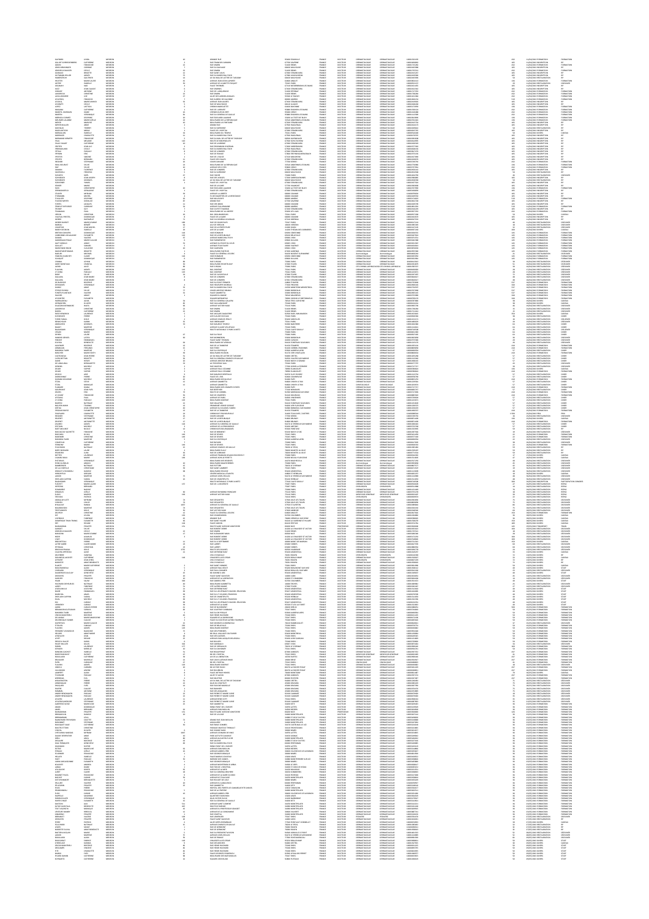|                                                                                          |              |                                                                                                                                                                                                                                  |                                                                                                                                                                                                                                                                                                                                                                                                                                                                                                                              |                                                                                                                                                                                                                                                                |                  |                                                                                                                                                                                                                                                                                                                 |                                                                                                                                                                                                                                                                                                                                                                                                                                 |                                                                                                                                                                                                                                                                    |                                                                                                                                                                 |                                                                                                        |                                                                                                                                                                                                                                                                                                                                                                                           | FORMATION<br>RP<br>FORMATION<br>RP                                                                                                                                                                                                                                                                                                                                                                                                                                |
|------------------------------------------------------------------------------------------|--------------|----------------------------------------------------------------------------------------------------------------------------------------------------------------------------------------------------------------------------------|------------------------------------------------------------------------------------------------------------------------------------------------------------------------------------------------------------------------------------------------------------------------------------------------------------------------------------------------------------------------------------------------------------------------------------------------------------------------------------------------------------------------------|----------------------------------------------------------------------------------------------------------------------------------------------------------------------------------------------------------------------------------------------------------------|------------------|-----------------------------------------------------------------------------------------------------------------------------------------------------------------------------------------------------------------------------------------------------------------------------------------------------------------|---------------------------------------------------------------------------------------------------------------------------------------------------------------------------------------------------------------------------------------------------------------------------------------------------------------------------------------------------------------------------------------------------------------------------------|--------------------------------------------------------------------------------------------------------------------------------------------------------------------------------------------------------------------------------------------------------------------|-----------------------------------------------------------------------------------------------------------------------------------------------------------------|--------------------------------------------------------------------------------------------------------|-------------------------------------------------------------------------------------------------------------------------------------------------------------------------------------------------------------------------------------------------------------------------------------------------------------------------------------------------------------------------------------------|-------------------------------------------------------------------------------------------------------------------------------------------------------------------------------------------------------------------------------------------------------------------------------------------------------------------------------------------------------------------------------------------------------------------------------------------------------------------|
|                                                                                          |              |                                                                                                                                                                                                                                  |                                                                                                                                                                                                                                                                                                                                                                                                                                                                                                                              |                                                                                                                                                                                                                                                                |                  |                                                                                                                                                                                                                                                                                                                 |                                                                                                                                                                                                                                                                                                                                                                                                                                 |                                                                                                                                                                                                                                                                    | 1000132135<br>1000150862<br>10001715382<br>10001715382<br>10001725521<br>10001015387<br>10002429586<br>10002429586<br>10002429586<br>10002429586                |                                                                                                        |                                                                                                                                                                                                                                                                                                                                                                                           |                                                                                                                                                                                                                                                                                                                                                                                                                                                                   |
|                                                                                          |              |                                                                                                                                                                                                                                  |                                                                                                                                                                                                                                                                                                                                                                                                                                                                                                                              |                                                                                                                                                                                                                                                                |                  |                                                                                                                                                                                                                                                                                                                 |                                                                                                                                                                                                                                                                                                                                                                                                                                 |                                                                                                                                                                                                                                                                    |                                                                                                                                                                 |                                                                                                        |                                                                                                                                                                                                                                                                                                                                                                                           |                                                                                                                                                                                                                                                                                                                                                                                                                                                                   |
|                                                                                          |              |                                                                                                                                                                                                                                  |                                                                                                                                                                                                                                                                                                                                                                                                                                                                                                                              |                                                                                                                                                                                                                                                                |                  |                                                                                                                                                                                                                                                                                                                 |                                                                                                                                                                                                                                                                                                                                                                                                                                 |                                                                                                                                                                                                                                                                    |                                                                                                                                                                 |                                                                                                        |                                                                                                                                                                                                                                                                                                                                                                                           |                                                                                                                                                                                                                                                                                                                                                                                                                                                                   |
|                                                                                          |              |                                                                                                                                                                                                                                  |                                                                                                                                                                                                                                                                                                                                                                                                                                                                                                                              |                                                                                                                                                                                                                                                                |                  |                                                                                                                                                                                                                                                                                                                 |                                                                                                                                                                                                                                                                                                                                                                                                                                 |                                                                                                                                                                                                                                                                    |                                                                                                                                                                 |                                                                                                        |                                                                                                                                                                                                                                                                                                                                                                                           |                                                                                                                                                                                                                                                                                                                                                                                                                                                                   |
|                                                                                          |              |                                                                                                                                                                                                                                  |                                                                                                                                                                                                                                                                                                                                                                                                                                                                                                                              |                                                                                                                                                                                                                                                                |                  |                                                                                                                                                                                                                                                                                                                 |                                                                                                                                                                                                                                                                                                                                                                                                                                 |                                                                                                                                                                                                                                                                    |                                                                                                                                                                 |                                                                                                        |                                                                                                                                                                                                                                                                                                                                                                                           |                                                                                                                                                                                                                                                                                                                                                                                                                                                                   |
|                                                                                          |              |                                                                                                                                                                                                                                  |                                                                                                                                                                                                                                                                                                                                                                                                                                                                                                                              |                                                                                                                                                                                                                                                                |                  |                                                                                                                                                                                                                                                                                                                 |                                                                                                                                                                                                                                                                                                                                                                                                                                 |                                                                                                                                                                                                                                                                    |                                                                                                                                                                 |                                                                                                        |                                                                                                                                                                                                                                                                                                                                                                                           |                                                                                                                                                                                                                                                                                                                                                                                                                                                                   |
|                                                                                          |              |                                                                                                                                                                                                                                  |                                                                                                                                                                                                                                                                                                                                                                                                                                                                                                                              |                                                                                                                                                                                                                                                                |                  |                                                                                                                                                                                                                                                                                                                 |                                                                                                                                                                                                                                                                                                                                                                                                                                 |                                                                                                                                                                                                                                                                    |                                                                                                                                                                 |                                                                                                        |                                                                                                                                                                                                                                                                                                                                                                                           | FORMATION<br>FORMATION<br>FORMATION<br>FORMATION<br>FORMATION<br>FORMATION                                                                                                                                                                                                                                                                                                                                                                                        |
|                                                                                          |              |                                                                                                                                                                                                                                  |                                                                                                                                                                                                                                                                                                                                                                                                                                                                                                                              |                                                                                                                                                                                                                                                                |                  |                                                                                                                                                                                                                                                                                                                 |                                                                                                                                                                                                                                                                                                                                                                                                                                 |                                                                                                                                                                                                                                                                    |                                                                                                                                                                 |                                                                                                        |                                                                                                                                                                                                                                                                                                                                                                                           |                                                                                                                                                                                                                                                                                                                                                                                                                                                                   |
|                                                                                          |              |                                                                                                                                                                                                                                  |                                                                                                                                                                                                                                                                                                                                                                                                                                                                                                                              |                                                                                                                                                                                                                                                                |                  |                                                                                                                                                                                                                                                                                                                 |                                                                                                                                                                                                                                                                                                                                                                                                                                 |                                                                                                                                                                                                                                                                    |                                                                                                                                                                 |                                                                                                        |                                                                                                                                                                                                                                                                                                                                                                                           |                                                                                                                                                                                                                                                                                                                                                                                                                                                                   |
|                                                                                          |              |                                                                                                                                                                                                                                  |                                                                                                                                                                                                                                                                                                                                                                                                                                                                                                                              |                                                                                                                                                                                                                                                                |                  |                                                                                                                                                                                                                                                                                                                 |                                                                                                                                                                                                                                                                                                                                                                                                                                 |                                                                                                                                                                                                                                                                    |                                                                                                                                                                 |                                                                                                        |                                                                                                                                                                                                                                                                                                                                                                                           |                                                                                                                                                                                                                                                                                                                                                                                                                                                                   |
|                                                                                          |              |                                                                                                                                                                                                                                  |                                                                                                                                                                                                                                                                                                                                                                                                                                                                                                                              |                                                                                                                                                                                                                                                                |                  |                                                                                                                                                                                                                                                                                                                 |                                                                                                                                                                                                                                                                                                                                                                                                                                 |                                                                                                                                                                                                                                                                    |                                                                                                                                                                 |                                                                                                        |                                                                                                                                                                                                                                                                                                                                                                                           |                                                                                                                                                                                                                                                                                                                                                                                                                                                                   |
|                                                                                          |              |                                                                                                                                                                                                                                  |                                                                                                                                                                                                                                                                                                                                                                                                                                                                                                                              |                                                                                                                                                                                                                                                                |                  |                                                                                                                                                                                                                                                                                                                 |                                                                                                                                                                                                                                                                                                                                                                                                                                 |                                                                                                                                                                                                                                                                    |                                                                                                                                                                 |                                                                                                        |                                                                                                                                                                                                                                                                                                                                                                                           |                                                                                                                                                                                                                                                                                                                                                                                                                                                                   |
|                                                                                          |              |                                                                                                                                                                                                                                  |                                                                                                                                                                                                                                                                                                                                                                                                                                                                                                                              |                                                                                                                                                                                                                                                                |                  |                                                                                                                                                                                                                                                                                                                 |                                                                                                                                                                                                                                                                                                                                                                                                                                 |                                                                                                                                                                                                                                                                    |                                                                                                                                                                 |                                                                                                        |                                                                                                                                                                                                                                                                                                                                                                                           |                                                                                                                                                                                                                                                                                                                                                                                                                                                                   |
|                                                                                          |              |                                                                                                                                                                                                                                  |                                                                                                                                                                                                                                                                                                                                                                                                                                                                                                                              |                                                                                                                                                                                                                                                                |                  |                                                                                                                                                                                                                                                                                                                 |                                                                                                                                                                                                                                                                                                                                                                                                                                 |                                                                                                                                                                                                                                                                    |                                                                                                                                                                 |                                                                                                        |                                                                                                                                                                                                                                                                                                                                                                                           |                                                                                                                                                                                                                                                                                                                                                                                                                                                                   |
|                                                                                          |              |                                                                                                                                                                                                                                  |                                                                                                                                                                                                                                                                                                                                                                                                                                                                                                                              |                                                                                                                                                                                                                                                                |                  |                                                                                                                                                                                                                                                                                                                 |                                                                                                                                                                                                                                                                                                                                                                                                                                 |                                                                                                                                                                                                                                                                    |                                                                                                                                                                 |                                                                                                        |                                                                                                                                                                                                                                                                                                                                                                                           |                                                                                                                                                                                                                                                                                                                                                                                                                                                                   |
|                                                                                          |              |                                                                                                                                                                                                                                  |                                                                                                                                                                                                                                                                                                                                                                                                                                                                                                                              |                                                                                                                                                                                                                                                                |                  |                                                                                                                                                                                                                                                                                                                 |                                                                                                                                                                                                                                                                                                                                                                                                                                 |                                                                                                                                                                                                                                                                    |                                                                                                                                                                 |                                                                                                        |                                                                                                                                                                                                                                                                                                                                                                                           |                                                                                                                                                                                                                                                                                                                                                                                                                                                                   |
|                                                                                          |              |                                                                                                                                                                                                                                  |                                                                                                                                                                                                                                                                                                                                                                                                                                                                                                                              |                                                                                                                                                                                                                                                                |                  |                                                                                                                                                                                                                                                                                                                 |                                                                                                                                                                                                                                                                                                                                                                                                                                 |                                                                                                                                                                                                                                                                    |                                                                                                                                                                 |                                                                                                        |                                                                                                                                                                                                                                                                                                                                                                                           |                                                                                                                                                                                                                                                                                                                                                                                                                                                                   |
|                                                                                          |              |                                                                                                                                                                                                                                  |                                                                                                                                                                                                                                                                                                                                                                                                                                                                                                                              |                                                                                                                                                                                                                                                                |                  |                                                                                                                                                                                                                                                                                                                 |                                                                                                                                                                                                                                                                                                                                                                                                                                 |                                                                                                                                                                                                                                                                    |                                                                                                                                                                 |                                                                                                        |                                                                                                                                                                                                                                                                                                                                                                                           |                                                                                                                                                                                                                                                                                                                                                                                                                                                                   |
|                                                                                          |              |                                                                                                                                                                                                                                  |                                                                                                                                                                                                                                                                                                                                                                                                                                                                                                                              |                                                                                                                                                                                                                                                                |                  |                                                                                                                                                                                                                                                                                                                 |                                                                                                                                                                                                                                                                                                                                                                                                                                 |                                                                                                                                                                                                                                                                    |                                                                                                                                                                 |                                                                                                        |                                                                                                                                                                                                                                                                                                                                                                                           |                                                                                                                                                                                                                                                                                                                                                                                                                                                                   |
|                                                                                          |              |                                                                                                                                                                                                                                  |                                                                                                                                                                                                                                                                                                                                                                                                                                                                                                                              |                                                                                                                                                                                                                                                                |                  |                                                                                                                                                                                                                                                                                                                 |                                                                                                                                                                                                                                                                                                                                                                                                                                 |                                                                                                                                                                                                                                                                    |                                                                                                                                                                 |                                                                                                        |                                                                                                                                                                                                                                                                                                                                                                                           |                                                                                                                                                                                                                                                                                                                                                                                                                                                                   |
|                                                                                          |              |                                                                                                                                                                                                                                  |                                                                                                                                                                                                                                                                                                                                                                                                                                                                                                                              |                                                                                                                                                                                                                                                                |                  |                                                                                                                                                                                                                                                                                                                 |                                                                                                                                                                                                                                                                                                                                                                                                                                 |                                                                                                                                                                                                                                                                    |                                                                                                                                                                 |                                                                                                        |                                                                                                                                                                                                                                                                                                                                                                                           |                                                                                                                                                                                                                                                                                                                                                                                                                                                                   |
|                                                                                          |              |                                                                                                                                                                                                                                  |                                                                                                                                                                                                                                                                                                                                                                                                                                                                                                                              |                                                                                                                                                                                                                                                                |                  |                                                                                                                                                                                                                                                                                                                 |                                                                                                                                                                                                                                                                                                                                                                                                                                 |                                                                                                                                                                                                                                                                    | 10003416229<br>10002657153<br>1000367358<br>10003625533<br>1000362533<br>10003655589<br>10003655555<br>10003655555<br>10003655555<br>10003655555<br>10003655555 |                                                                                                        |                                                                                                                                                                                                                                                                                                                                                                                           |                                                                                                                                                                                                                                                                                                                                                                                                                                                                   |
|                                                                                          |              |                                                                                                                                                                                                                                  | $\begin{matrix} 29 \\ 118 \\ 119 \\ 62 \\ 6 \end{matrix}$                                                                                                                                                                                                                                                                                                                                                                                                                                                                    |                                                                                                                                                                                                                                                                |                  |                                                                                                                                                                                                                                                                                                                 |                                                                                                                                                                                                                                                                                                                                                                                                                                 |                                                                                                                                                                                                                                                                    |                                                                                                                                                                 |                                                                                                        |                                                                                                                                                                                                                                                                                                                                                                                           |                                                                                                                                                                                                                                                                                                                                                                                                                                                                   |
|                                                                                          |              |                                                                                                                                                                                                                                  |                                                                                                                                                                                                                                                                                                                                                                                                                                                                                                                              |                                                                                                                                                                                                                                                                |                  |                                                                                                                                                                                                                                                                                                                 |                                                                                                                                                                                                                                                                                                                                                                                                                                 |                                                                                                                                                                                                                                                                    |                                                                                                                                                                 |                                                                                                        |                                                                                                                                                                                                                                                                                                                                                                                           |                                                                                                                                                                                                                                                                                                                                                                                                                                                                   |
|                                                                                          |              |                                                                                                                                                                                                                                  |                                                                                                                                                                                                                                                                                                                                                                                                                                                                                                                              |                                                                                                                                                                                                                                                                |                  |                                                                                                                                                                                                                                                                                                                 |                                                                                                                                                                                                                                                                                                                                                                                                                                 |                                                                                                                                                                                                                                                                    |                                                                                                                                                                 |                                                                                                        |                                                                                                                                                                                                                                                                                                                                                                                           |                                                                                                                                                                                                                                                                                                                                                                                                                                                                   |
|                                                                                          |              |                                                                                                                                                                                                                                  |                                                                                                                                                                                                                                                                                                                                                                                                                                                                                                                              |                                                                                                                                                                                                                                                                |                  |                                                                                                                                                                                                                                                                                                                 |                                                                                                                                                                                                                                                                                                                                                                                                                                 |                                                                                                                                                                                                                                                                    |                                                                                                                                                                 |                                                                                                        |                                                                                                                                                                                                                                                                                                                                                                                           |                                                                                                                                                                                                                                                                                                                                                                                                                                                                   |
|                                                                                          |              |                                                                                                                                                                                                                                  |                                                                                                                                                                                                                                                                                                                                                                                                                                                                                                                              |                                                                                                                                                                                                                                                                |                  |                                                                                                                                                                                                                                                                                                                 |                                                                                                                                                                                                                                                                                                                                                                                                                                 |                                                                                                                                                                                                                                                                    |                                                                                                                                                                 |                                                                                                        |                                                                                                                                                                                                                                                                                                                                                                                           |                                                                                                                                                                                                                                                                                                                                                                                                                                                                   |
|                                                                                          |              |                                                                                                                                                                                                                                  | $\begin{array}{r} 10 \\ 89 \\ 119 \\ 119 \\ 24 \\ k \\ k \\ \end{array}$                                                                                                                                                                                                                                                                                                                                                                                                                                                     |                                                                                                                                                                                                                                                                |                  |                                                                                                                                                                                                                                                                                                                 |                                                                                                                                                                                                                                                                                                                                                                                                                                 |                                                                                                                                                                                                                                                                    |                                                                                                                                                                 |                                                                                                        |                                                                                                                                                                                                                                                                                                                                                                                           |                                                                                                                                                                                                                                                                                                                                                                                                                                                                   |
|                                                                                          |              |                                                                                                                                                                                                                                  |                                                                                                                                                                                                                                                                                                                                                                                                                                                                                                                              |                                                                                                                                                                                                                                                                |                  |                                                                                                                                                                                                                                                                                                                 |                                                                                                                                                                                                                                                                                                                                                                                                                                 |                                                                                                                                                                                                                                                                    |                                                                                                                                                                 |                                                                                                        |                                                                                                                                                                                                                                                                                                                                                                                           |                                                                                                                                                                                                                                                                                                                                                                                                                                                                   |
|                                                                                          |              |                                                                                                                                                                                                                                  |                                                                                                                                                                                                                                                                                                                                                                                                                                                                                                                              |                                                                                                                                                                                                                                                                |                  |                                                                                                                                                                                                                                                                                                                 |                                                                                                                                                                                                                                                                                                                                                                                                                                 |                                                                                                                                                                                                                                                                    |                                                                                                                                                                 |                                                                                                        |                                                                                                                                                                                                                                                                                                                                                                                           |                                                                                                                                                                                                                                                                                                                                                                                                                                                                   |
|                                                                                          |              |                                                                                                                                                                                                                                  |                                                                                                                                                                                                                                                                                                                                                                                                                                                                                                                              |                                                                                                                                                                                                                                                                |                  |                                                                                                                                                                                                                                                                                                                 |                                                                                                                                                                                                                                                                                                                                                                                                                                 |                                                                                                                                                                                                                                                                    |                                                                                                                                                                 | 化对射发光 经计算机 医神经性性结核病                                                                                    |                                                                                                                                                                                                                                                                                                                                                                                           |                                                                                                                                                                                                                                                                                                                                                                                                                                                                   |
|                                                                                          |              |                                                                                                                                                                                                                                  |                                                                                                                                                                                                                                                                                                                                                                                                                                                                                                                              |                                                                                                                                                                                                                                                                |                  |                                                                                                                                                                                                                                                                                                                 |                                                                                                                                                                                                                                                                                                                                                                                                                                 |                                                                                                                                                                                                                                                                    |                                                                                                                                                                 |                                                                                                        |                                                                                                                                                                                                                                                                                                                                                                                           |                                                                                                                                                                                                                                                                                                                                                                                                                                                                   |
|                                                                                          |              |                                                                                                                                                                                                                                  |                                                                                                                                                                                                                                                                                                                                                                                                                                                                                                                              |                                                                                                                                                                                                                                                                |                  |                                                                                                                                                                                                                                                                                                                 |                                                                                                                                                                                                                                                                                                                                                                                                                                 |                                                                                                                                                                                                                                                                    |                                                                                                                                                                 |                                                                                                        |                                                                                                                                                                                                                                                                                                                                                                                           |                                                                                                                                                                                                                                                                                                                                                                                                                                                                   |
|                                                                                          |              |                                                                                                                                                                                                                                  |                                                                                                                                                                                                                                                                                                                                                                                                                                                                                                                              |                                                                                                                                                                                                                                                                |                  |                                                                                                                                                                                                                                                                                                                 |                                                                                                                                                                                                                                                                                                                                                                                                                                 |                                                                                                                                                                                                                                                                    |                                                                                                                                                                 |                                                                                                        |                                                                                                                                                                                                                                                                                                                                                                                           |                                                                                                                                                                                                                                                                                                                                                                                                                                                                   |
|                                                                                          |              |                                                                                                                                                                                                                                  | $\frac{m}{1}$                                                                                                                                                                                                                                                                                                                                                                                                                                                                                                                |                                                                                                                                                                                                                                                                |                  |                                                                                                                                                                                                                                                                                                                 |                                                                                                                                                                                                                                                                                                                                                                                                                                 |                                                                                                                                                                                                                                                                    |                                                                                                                                                                 |                                                                                                        |                                                                                                                                                                                                                                                                                                                                                                                           |                                                                                                                                                                                                                                                                                                                                                                                                                                                                   |
|                                                                                          |              |                                                                                                                                                                                                                                  |                                                                                                                                                                                                                                                                                                                                                                                                                                                                                                                              |                                                                                                                                                                                                                                                                |                  |                                                                                                                                                                                                                                                                                                                 |                                                                                                                                                                                                                                                                                                                                                                                                                                 |                                                                                                                                                                                                                                                                    |                                                                                                                                                                 |                                                                                                        |                                                                                                                                                                                                                                                                                                                                                                                           |                                                                                                                                                                                                                                                                                                                                                                                                                                                                   |
|                                                                                          |              |                                                                                                                                                                                                                                  |                                                                                                                                                                                                                                                                                                                                                                                                                                                                                                                              |                                                                                                                                                                                                                                                                |                  |                                                                                                                                                                                                                                                                                                                 |                                                                                                                                                                                                                                                                                                                                                                                                                                 |                                                                                                                                                                                                                                                                    |                                                                                                                                                                 |                                                                                                        |                                                                                                                                                                                                                                                                                                                                                                                           |                                                                                                                                                                                                                                                                                                                                                                                                                                                                   |
|                                                                                          |              |                                                                                                                                                                                                                                  |                                                                                                                                                                                                                                                                                                                                                                                                                                                                                                                              |                                                                                                                                                                                                                                                                |                  | N A MAN A MAN A MAN A MAN A MAN A MAN A MAN A MAN A MAN A MAN A MAN A MAN A MAN A MAN A MAN A MAN A MAN A MAN A                                                                                                                                                                                                 |                                                                                                                                                                                                                                                                                                                                                                                                                                 |                                                                                                                                                                                                                                                                    |                                                                                                                                                                 | 美权权 美国德国 计初步存储 法确保 计数字数据 计数字数字 计计数据 经法庭的计算                                                             |                                                                                                                                                                                                                                                                                                                                                                                           | 2018年12月28日,1月28日的1月28日,1月28日,1月28日,1月28日,1月28日,1月28日,1月28日,1月28日,1月28日,1月28日,1月28日,1月28日,1月28日,1月28日,1月28日,1月28日,1月28日,1月28日,1月28日,1月28日,1月28日,1月28日,1月28日,1月28日,1月28日,1月28日,1月28日,1月28日,1月28日,1月28日,1月28日,1月28日,1月28日,1月28日                                                                                                                                                                                                                                     |
|                                                                                          |              |                                                                                                                                                                                                                                  |                                                                                                                                                                                                                                                                                                                                                                                                                                                                                                                              |                                                                                                                                                                                                                                                                |                  |                                                                                                                                                                                                                                                                                                                 |                                                                                                                                                                                                                                                                                                                                                                                                                                 |                                                                                                                                                                                                                                                                    |                                                                                                                                                                 |                                                                                                        |                                                                                                                                                                                                                                                                                                                                                                                           |                                                                                                                                                                                                                                                                                                                                                                                                                                                                   |
|                                                                                          |              |                                                                                                                                                                                                                                  |                                                                                                                                                                                                                                                                                                                                                                                                                                                                                                                              |                                                                                                                                                                                                                                                                |                  |                                                                                                                                                                                                                                                                                                                 |                                                                                                                                                                                                                                                                                                                                                                                                                                 |                                                                                                                                                                                                                                                                    |                                                                                                                                                                 |                                                                                                        |                                                                                                                                                                                                                                                                                                                                                                                           |                                                                                                                                                                                                                                                                                                                                                                                                                                                                   |
|                                                                                          |              |                                                                                                                                                                                                                                  |                                                                                                                                                                                                                                                                                                                                                                                                                                                                                                                              |                                                                                                                                                                                                                                                                |                  |                                                                                                                                                                                                                                                                                                                 |                                                                                                                                                                                                                                                                                                                                                                                                                                 |                                                                                                                                                                                                                                                                    |                                                                                                                                                                 |                                                                                                        |                                                                                                                                                                                                                                                                                                                                                                                           |                                                                                                                                                                                                                                                                                                                                                                                                                                                                   |
|                                                                                          |              |                                                                                                                                                                                                                                  |                                                                                                                                                                                                                                                                                                                                                                                                                                                                                                                              |                                                                                                                                                                                                                                                                |                  |                                                                                                                                                                                                                                                                                                                 |                                                                                                                                                                                                                                                                                                                                                                                                                                 |                                                                                                                                                                                                                                                                    |                                                                                                                                                                 |                                                                                                        |                                                                                                                                                                                                                                                                                                                                                                                           |                                                                                                                                                                                                                                                                                                                                                                                                                                                                   |
|                                                                                          |              |                                                                                                                                                                                                                                  |                                                                                                                                                                                                                                                                                                                                                                                                                                                                                                                              |                                                                                                                                                                                                                                                                |                  |                                                                                                                                                                                                                                                                                                                 |                                                                                                                                                                                                                                                                                                                                                                                                                                 |                                                                                                                                                                                                                                                                    |                                                                                                                                                                 |                                                                                                        |                                                                                                                                                                                                                                                                                                                                                                                           |                                                                                                                                                                                                                                                                                                                                                                                                                                                                   |
|                                                                                          |              |                                                                                                                                                                                                                                  |                                                                                                                                                                                                                                                                                                                                                                                                                                                                                                                              |                                                                                                                                                                                                                                                                |                  |                                                                                                                                                                                                                                                                                                                 |                                                                                                                                                                                                                                                                                                                                                                                                                                 |                                                                                                                                                                                                                                                                    |                                                                                                                                                                 |                                                                                                        |                                                                                                                                                                                                                                                                                                                                                                                           |                                                                                                                                                                                                                                                                                                                                                                                                                                                                   |
|                                                                                          |              |                                                                                                                                                                                                                                  |                                                                                                                                                                                                                                                                                                                                                                                                                                                                                                                              |                                                                                                                                                                                                                                                                |                  |                                                                                                                                                                                                                                                                                                                 |                                                                                                                                                                                                                                                                                                                                                                                                                                 |                                                                                                                                                                                                                                                                    |                                                                                                                                                                 |                                                                                                        |                                                                                                                                                                                                                                                                                                                                                                                           |                                                                                                                                                                                                                                                                                                                                                                                                                                                                   |
|                                                                                          |              |                                                                                                                                                                                                                                  |                                                                                                                                                                                                                                                                                                                                                                                                                                                                                                                              |                                                                                                                                                                                                                                                                |                  |                                                                                                                                                                                                                                                                                                                 |                                                                                                                                                                                                                                                                                                                                                                                                                                 |                                                                                                                                                                                                                                                                    |                                                                                                                                                                 |                                                                                                        |                                                                                                                                                                                                                                                                                                                                                                                           |                                                                                                                                                                                                                                                                                                                                                                                                                                                                   |
|                                                                                          |              |                                                                                                                                                                                                                                  |                                                                                                                                                                                                                                                                                                                                                                                                                                                                                                                              |                                                                                                                                                                                                                                                                |                  |                                                                                                                                                                                                                                                                                                                 |                                                                                                                                                                                                                                                                                                                                                                                                                                 |                                                                                                                                                                                                                                                                    |                                                                                                                                                                 |                                                                                                        |                                                                                                                                                                                                                                                                                                                                                                                           |                                                                                                                                                                                                                                                                                                                                                                                                                                                                   |
|                                                                                          |              |                                                                                                                                                                                                                                  |                                                                                                                                                                                                                                                                                                                                                                                                                                                                                                                              |                                                                                                                                                                                                                                                                |                  |                                                                                                                                                                                                                                                                                                                 |                                                                                                                                                                                                                                                                                                                                                                                                                                 |                                                                                                                                                                                                                                                                    |                                                                                                                                                                 |                                                                                                        |                                                                                                                                                                                                                                                                                                                                                                                           |                                                                                                                                                                                                                                                                                                                                                                                                                                                                   |
|                                                                                          |              |                                                                                                                                                                                                                                  |                                                                                                                                                                                                                                                                                                                                                                                                                                                                                                                              |                                                                                                                                                                                                                                                                |                  |                                                                                                                                                                                                                                                                                                                 |                                                                                                                                                                                                                                                                                                                                                                                                                                 |                                                                                                                                                                                                                                                                    |                                                                                                                                                                 |                                                                                                        |                                                                                                                                                                                                                                                                                                                                                                                           |                                                                                                                                                                                                                                                                                                                                                                                                                                                                   |
|                                                                                          |              |                                                                                                                                                                                                                                  |                                                                                                                                                                                                                                                                                                                                                                                                                                                                                                                              |                                                                                                                                                                                                                                                                |                  |                                                                                                                                                                                                                                                                                                                 |                                                                                                                                                                                                                                                                                                                                                                                                                                 |                                                                                                                                                                                                                                                                    |                                                                                                                                                                 |                                                                                                        |                                                                                                                                                                                                                                                                                                                                                                                           | DESUNAK<br>FORMATION<br>DESUNAK<br>DESUNAK<br>FORMATION<br>RP<br>RP                                                                                                                                                                                                                                                                                                                                                                                               |
|                                                                                          |              |                                                                                                                                                                                                                                  |                                                                                                                                                                                                                                                                                                                                                                                                                                                                                                                              |                                                                                                                                                                                                                                                                |                  |                                                                                                                                                                                                                                                                                                                 |                                                                                                                                                                                                                                                                                                                                                                                                                                 |                                                                                                                                                                                                                                                                    |                                                                                                                                                                 |                                                                                                        |                                                                                                                                                                                                                                                                                                                                                                                           |                                                                                                                                                                                                                                                                                                                                                                                                                                                                   |
|                                                                                          |              |                                                                                                                                                                                                                                  |                                                                                                                                                                                                                                                                                                                                                                                                                                                                                                                              |                                                                                                                                                                                                                                                                |                  |                                                                                                                                                                                                                                                                                                                 |                                                                                                                                                                                                                                                                                                                                                                                                                                 |                                                                                                                                                                                                                                                                    |                                                                                                                                                                 |                                                                                                        |                                                                                                                                                                                                                                                                                                                                                                                           |                                                                                                                                                                                                                                                                                                                                                                                                                                                                   |
|                                                                                          |              |                                                                                                                                                                                                                                  |                                                                                                                                                                                                                                                                                                                                                                                                                                                                                                                              |                                                                                                                                                                                                                                                                |                  |                                                                                                                                                                                                                                                                                                                 |                                                                                                                                                                                                                                                                                                                                                                                                                                 |                                                                                                                                                                                                                                                                    |                                                                                                                                                                 |                                                                                                        |                                                                                                                                                                                                                                                                                                                                                                                           |                                                                                                                                                                                                                                                                                                                                                                                                                                                                   |
|                                                                                          |              |                                                                                                                                                                                                                                  |                                                                                                                                                                                                                                                                                                                                                                                                                                                                                                                              |                                                                                                                                                                                                                                                                |                  |                                                                                                                                                                                                                                                                                                                 |                                                                                                                                                                                                                                                                                                                                                                                                                                 |                                                                                                                                                                                                                                                                    | 1000137256<br>10003983838<br>1000087577<br>1000671507<br>1000115009<br>1000115009<br>1000115009                                                                 |                                                                                                        |                                                                                                                                                                                                                                                                                                                                                                                           | $\begin{tabular}{l c c c} \hline \multicolumn{1}{l}{\textbf{CALU}}\\ \hline \multicolumn{1}{l}{\textbf{CALU}}\\ \hline \multicolumn{1}{l}{\textbf{CALU}}\\ \hline \multicolumn{1}{l}{\textbf{CALU}}\\ \hline \multicolumn{1}{l}{\textbf{CALU}}\\ \hline \multicolumn{1}{l}{\textbf{CALU}}\\ \hline \multicolumn{1}{l}{\textbf{CALU}}\\ \hline \multicolumn{1}{l}{\textbf{CALU}}\\ \hline \multicolumn{1}{l}{\textbf{CALU}}\\ \hline \multicolumn{1}{l}{\textbf{C$ |
|                                                                                          |              |                                                                                                                                                                                                                                  |                                                                                                                                                                                                                                                                                                                                                                                                                                                                                                                              |                                                                                                                                                                                                                                                                |                  |                                                                                                                                                                                                                                                                                                                 |                                                                                                                                                                                                                                                                                                                                                                                                                                 |                                                                                                                                                                                                                                                                    |                                                                                                                                                                 | $\begin{array}{c} 10 \\ 0 \\ 0 \\ 27 \end{array}$                                                      |                                                                                                                                                                                                                                                                                                                                                                                           |                                                                                                                                                                                                                                                                                                                                                                                                                                                                   |
|                                                                                          |              |                                                                                                                                                                                                                                  | 157                                                                                                                                                                                                                                                                                                                                                                                                                                                                                                                          |                                                                                                                                                                                                                                                                |                  |                                                                                                                                                                                                                                                                                                                 |                                                                                                                                                                                                                                                                                                                                                                                                                                 |                                                                                                                                                                                                                                                                    | 10001311033<br>1000170508<br>10000356609<br>10000521988<br>10001131449                                                                                          |                                                                                                        |                                                                                                                                                                                                                                                                                                                                                                                           |                                                                                                                                                                                                                                                                                                                                                                                                                                                                   |
|                                                                                          |              |                                                                                                                                                                                                                                  | $\frac{\omega}{\omega}$                                                                                                                                                                                                                                                                                                                                                                                                                                                                                                      | AVENJE RAYMOND POINCARE<br>AVENJE VICTOR HJSO                                                                                                                                                                                                                  |                  |                                                                                                                                                                                                                                                                                                                 |                                                                                                                                                                                                                                                                                                                                                                                                                                 |                                                                                                                                                                                                                                                                    |                                                                                                                                                                 |                                                                                                        | ER/RUZEN RESIMUARINDE<br>ER/RUZEN RESIMUARINDE<br>ER/RUZEN RESIMUARINDE<br>ER/RUZEN RESIMUARINDE<br>ER/RUZEN RESIMUARINDE<br>ER/RUZEN RESIMUARINDE<br>ER/RUZEN RESIMUARINDE<br>ER/RUZEN RESIMUARINDE<br>ER/RUZEN RESIMUARINDE<br>ER/RUZEN RESIMUARINDE<br>ER                                                                                                                              |                                                                                                                                                                                                                                                                                                                                                                                                                                                                   |
|                                                                                          |              |                                                                                                                                                                                                                                  |                                                                                                                                                                                                                                                                                                                                                                                                                                                                                                                              | AVAILA VATOR HARASSA<br>SEN REGIONES<br>AVAILA VATOR HARASSA DE GRANALA SEN REGIONES<br>AVAILA DO GENERALA DE GRANALA<br>PER DESCRIPCIÓN<br>PER DE GRANALA<br>CARACTERIS<br>PER DE GRANALA<br>PER DE GRANALA<br>PER DE GRANALA<br>PER DE GRANALA<br>PER DE GRA |                  |                                                                                                                                                                                                                                                                                                                 |                                                                                                                                                                                                                                                                                                                                                                                                                                 |                                                                                                                                                                                                                                                                    | 10001755278<br>10000161607<br>10000160974<br>100008092830                                                                                                       |                                                                                                        |                                                                                                                                                                                                                                                                                                                                                                                           |                                                                                                                                                                                                                                                                                                                                                                                                                                                                   |
|                                                                                          |              |                                                                                                                                                                                                                                  |                                                                                                                                                                                                                                                                                                                                                                                                                                                                                                                              |                                                                                                                                                                                                                                                                |                  |                                                                                                                                                                                                                                                                                                                 |                                                                                                                                                                                                                                                                                                                                                                                                                                 |                                                                                                                                                                                                                                                                    | 1000080984<br>1000031684<br>1000031168<br>10000817656<br>10000817656                                                                                            |                                                                                                        |                                                                                                                                                                                                                                                                                                                                                                                           |                                                                                                                                                                                                                                                                                                                                                                                                                                                                   |
|                                                                                          |              |                                                                                                                                                                                                                                  |                                                                                                                                                                                                                                                                                                                                                                                                                                                                                                                              |                                                                                                                                                                                                                                                                |                  |                                                                                                                                                                                                                                                                                                                 |                                                                                                                                                                                                                                                                                                                                                                                                                                 |                                                                                                                                                                                                                                                                    |                                                                                                                                                                 |                                                                                                        |                                                                                                                                                                                                                                                                                                                                                                                           |                                                                                                                                                                                                                                                                                                                                                                                                                                                                   |
|                                                                                          |              |                                                                                                                                                                                                                                  | 151                                                                                                                                                                                                                                                                                                                                                                                                                                                                                                                          |                                                                                                                                                                                                                                                                |                  |                                                                                                                                                                                                                                                                                                                 | ENRANTOLOGUS<br>EGRANTOLOGUS<br>EGRANTOLOGUS<br>EGRANTOLOGUS<br>DERMATOLOGUE<br>DERMATOLOGUE                                                                                                                                                                                                                                                                                                                                    |                                                                                                                                                                                                                                                                    | 10000788649<br>10000588270<br>10003374781<br>10003300000                                                                                                        |                                                                                                        |                                                                                                                                                                                                                                                                                                                                                                                           |                                                                                                                                                                                                                                                                                                                                                                                                                                                                   |
|                                                                                          |              |                                                                                                                                                                                                                                  |                                                                                                                                                                                                                                                                                                                                                                                                                                                                                                                              |                                                                                                                                                                                                                                                                |                  |                                                                                                                                                                                                                                                                                                                 |                                                                                                                                                                                                                                                                                                                                                                                                                                 |                                                                                                                                                                                                                                                                    |                                                                                                                                                                 |                                                                                                        |                                                                                                                                                                                                                                                                                                                                                                                           |                                                                                                                                                                                                                                                                                                                                                                                                                                                                   |
|                                                                                          |              |                                                                                                                                                                                                                                  |                                                                                                                                                                                                                                                                                                                                                                                                                                                                                                                              |                                                                                                                                                                                                                                                                |                  |                                                                                                                                                                                                                                                                                                                 | DERMATOLOGIA<br>DERMATOLOGIA<br>DERMATOLOGIA<br>DERMATOLOGIA<br>DERMATOLOGIA                                                                                                                                                                                                                                                                                                                                                    | DERMATOLOGIE<br>DERMATOLOGIE<br>DERMATOLOGIE<br>DERMATOLOGIE                                                                                                                                                                                                       |                                                                                                                                                                 |                                                                                                        | 07/05/2013 RESTAURATION<br>07/05/2013 RESTAURATION<br>07/05/2013 RESTAURATION<br>07/05/2013 RESTAURATION<br>10/05/2013 RESTAURATION<br>10/05/2013 RESTAURATION                                                                                                                                                                                                                            |                                                                                                                                                                                                                                                                                                                                                                                                                                                                   |
|                                                                                          | CLAIRE MARIE | MEDECN<br>MEDECN                                                                                                                                                                                                                 | $\frac{21}{1255}$                                                                                                                                                                                                                                                                                                                                                                                                                                                                                                            |                                                                                                                                                                                                                                                                | FRANCE<br>FRANCE | DOCTEUR<br>DOCTEUR<br>DOCTEUR<br>DOCTEUR<br>DOCTEUR                                                                                                                                                                                                                                                             |                                                                                                                                                                                                                                                                                                                                                                                                                                 |                                                                                                                                                                                                                                                                    | 10002886934<br>10003296778                                                                                                                                      | $\frac{60}{24}$                                                                                        | 10/05/2013 RESTAURATION<br>13/05/2013 RESTAURATION                                                                                                                                                                                                                                                                                                                                        | DESUNER<br>DESUNER                                                                                                                                                                                                                                                                                                                                                                                                                                                |
|                                                                                          |              | MÉDÉCN<br>MÉDÉCN                                                                                                                                                                                                                 | 118                                                                                                                                                                                                                                                                                                                                                                                                                                                                                                                          |                                                                                                                                                                                                                                                                | FRANCE<br>FRANCE |                                                                                                                                                                                                                                                                                                                 |                                                                                                                                                                                                                                                                                                                                                                                                                                 | DERMATOLOGIJE<br>DERMATOLOGIJE<br>DERMATOLOGIJE<br>OHRURGER                                                                                                                                                                                                        | 10005619237                                                                                                                                                     | $\frac{33}{72}$                                                                                        | 13,105/2013 DIVERS<br>13,105/2013 DIVERS                                                                                                                                                                                                                                                                                                                                                  | $\frac{1}{2}$                                                                                                                                                                                                                                                                                                                                                                                                                                                     |
|                                                                                          |              |                                                                                                                                                                                                                                  |                                                                                                                                                                                                                                                                                                                                                                                                                                                                                                                              |                                                                                                                                                                                                                                                                |                  |                                                                                                                                                                                                                                                                                                                 |                                                                                                                                                                                                                                                                                                                                                                                                                                 |                                                                                                                                                                                                                                                                    | 10100156390<br>10005629027<br>10005963661<br>1000596861<br>10005961112<br>100059612118<br>10003166361<br>10003166361<br>10003166361<br>10003166361              | 222002010                                                                                              |                                                                                                                                                                                                                                                                                                                                                                                           | $\begin{matrix} 0.05440 \\ 0 \\ 0 \\ 0 \end{matrix}$                                                                                                                                                                                                                                                                                                                                                                                                              |
|                                                                                          |              |                                                                                                                                                                                                                                  | $\frac{2}{5}$                                                                                                                                                                                                                                                                                                                                                                                                                                                                                                                |                                                                                                                                                                                                                                                                |                  |                                                                                                                                                                                                                                                                                                                 |                                                                                                                                                                                                                                                                                                                                                                                                                                 |                                                                                                                                                                                                                                                                    |                                                                                                                                                                 |                                                                                                        |                                                                                                                                                                                                                                                                                                                                                                                           |                                                                                                                                                                                                                                                                                                                                                                                                                                                                   |
|                                                                                          |              |                                                                                                                                                                                                                                  |                                                                                                                                                                                                                                                                                                                                                                                                                                                                                                                              |                                                                                                                                                                                                                                                                |                  |                                                                                                                                                                                                                                                                                                                 |                                                                                                                                                                                                                                                                                                                                                                                                                                 |                                                                                                                                                                                                                                                                    |                                                                                                                                                                 |                                                                                                        |                                                                                                                                                                                                                                                                                                                                                                                           |                                                                                                                                                                                                                                                                                                                                                                                                                                                                   |
|                                                                                          |              |                                                                                                                                                                                                                                  |                                                                                                                                                                                                                                                                                                                                                                                                                                                                                                                              |                                                                                                                                                                                                                                                                |                  | SOCTIUS<br>DOCTIUS<br>DOCTIUS<br>DOCTIUS<br>DOCTIUS<br>DOCTIUS<br>DOCTIUS<br>DOCTIUS<br>DOCTIUS<br>DOCTIUS<br>DOCTIUS<br>DOCTIUS<br>DOCTIUS<br>DOCTIUS<br>DOCTIUS<br>DOCTIUS<br>DOCTIUS<br>DOCTIUS<br>DOCTIUS<br>DOCTIUS<br>DOCTIUS<br>DOCTIUS<br>DOCTIUS<br>DOCTIUS<br>DOCTIUS<br>DOCTIUS<br>DOCTIUS<br>DOCTIU | EGRANTOLOGIE<br>EGRANTOLOGIE<br>EGRANTOLOGIE<br>EGRANTOLOGIE<br>EGRANTOLOGIE<br>CHRUCHES<br>CHRUCHES<br>EGRANTOLOGIE<br>EGRANTOLOGIE<br>EGRANTOLOGIE<br>EGRANTOLOGIE<br>EGRANTOLOGIE<br>EGRANTOLOGIE<br>EGRANTOLOGIE<br>EGRANTOLOGIE<br>EGRANTOLOGIE<br>EGRANTOLOGIE<br>EGRANTOLO                                                                                                                                               | CHRISTING<br>CHRISTING<br>CHRISTING<br>CHRISTING<br>CHRISTING<br>CHRISTING<br>CHRISTING<br>CHRISTING<br>CHRISTING<br>CHRISTING<br>CHRISTING<br>CHRISTING<br>CHRISTING<br>CHRISTING<br>CHRISTING<br>CHRISTING<br>CHRISTING<br>CHRISTING<br>CHRISTING<br>CHRISTING   | 10001011111<br>10003012441<br>10001312643                                                                                                                       | $\frac{25}{27}$                                                                                        | $\begin{split} &1.100/22012~\text{GeV}^{1/6}\\ &1.00/22012~\text{GeV}^{1/6}\\ &1.00/22012~\text{GeV}^{1/6}\\ &1.10/22012~\text{GeV}^{1/6}\\ &1.10/22012~\text{GeV}^{1/6}\\ &1.00/22012~\text{GeV}^{1/6}\\ &1.00/22012~\text{GeV}^{1/6}\\ &1.00/22012~\text{GeV}^{1/6}\\ &1.00/22012~\text{GeV}^{1/6}\\ &1.00/22012~\text{GeV$                                                             | $\begin{array}{l} \text{COLIM} \\ \text{SIMH} \\ \text{SIMH} \\ \text{DASUMAR} \\ \text{DASUMAR} \\ \text{DASUMAR} \\ \text{DASUMAR} \\ \text{DASUMAR} \\ \text{DASUMAR} \\ \text{SIMH} \\ \text{SIMH} \\ \text{SIMH} \\ \text{SIMH} \\ \text{SIMH} \\ \text{SIMH} \\ \text{SIMH} \\ \text{SIMH} \\ \text{SIMH} \\ \text{SIMH} \\ \text{SIMH} \\ \text{SIMH} \\ \text{SIMH} \\ \text{SIMH} \\ \text{SIMH} \\ \text{SIMH} \\ \text{SIMH}$                          |
|                                                                                          |              |                                                                                                                                                                                                                                  |                                                                                                                                                                                                                                                                                                                                                                                                                                                                                                                              |                                                                                                                                                                                                                                                                |                  |                                                                                                                                                                                                                                                                                                                 |                                                                                                                                                                                                                                                                                                                                                                                                                                 |                                                                                                                                                                                                                                                                    | 1000544686                                                                                                                                                      | $\frac{40}{40}$                                                                                        |                                                                                                                                                                                                                                                                                                                                                                                           |                                                                                                                                                                                                                                                                                                                                                                                                                                                                   |
|                                                                                          |              |                                                                                                                                                                                                                                  |                                                                                                                                                                                                                                                                                                                                                                                                                                                                                                                              |                                                                                                                                                                                                                                                                |                  |                                                                                                                                                                                                                                                                                                                 |                                                                                                                                                                                                                                                                                                                                                                                                                                 |                                                                                                                                                                                                                                                                    | 10001311033<br>10001312336<br>10001322063<br>1000208051                                                                                                         |                                                                                                        |                                                                                                                                                                                                                                                                                                                                                                                           |                                                                                                                                                                                                                                                                                                                                                                                                                                                                   |
|                                                                                          |              |                                                                                                                                                                                                                                  |                                                                                                                                                                                                                                                                                                                                                                                                                                                                                                                              |                                                                                                                                                                                                                                                                |                  |                                                                                                                                                                                                                                                                                                                 | <b>DERMYDDOLLE</b><br>DERMYDDOLLE<br>DERMYDDOLLE<br>DERMYDDOLLE<br>DERMYDDOLLE<br>DERMYDDOLLE<br>DERMYDDOLLE<br>DERMYDDOLLE<br>DERMYDDOLLE<br>DERMYDDOLLE<br>DERMYDDOLLE<br>DERMYDDOLLE                                                                                                                                                                                                                                         | DERMATOLOGIES<br>DERMATOLOGIES<br>DERMATOLOGIES<br>DERMATOLOGIES<br>DERMATOLOGIES<br>DERMATOLOGIES<br>DERMATOLOGIES<br>DERMATOLOGIES<br>DERMATOLOGIES<br>DERMATOLOGIES<br>DERMATOLOGIES                                                                            | 10002088051<br>10002765862<br>10000221225<br>10000221225                                                                                                        | 8888888                                                                                                |                                                                                                                                                                                                                                                                                                                                                                                           |                                                                                                                                                                                                                                                                                                                                                                                                                                                                   |
|                                                                                          |              |                                                                                                                                                                                                                                  | $\frac{2}{2}$                                                                                                                                                                                                                                                                                                                                                                                                                                                                                                                |                                                                                                                                                                                                                                                                |                  |                                                                                                                                                                                                                                                                                                                 |                                                                                                                                                                                                                                                                                                                                                                                                                                 |                                                                                                                                                                                                                                                                    | 100001721%                                                                                                                                                      |                                                                                                        |                                                                                                                                                                                                                                                                                                                                                                                           |                                                                                                                                                                                                                                                                                                                                                                                                                                                                   |
|                                                                                          |              |                                                                                                                                                                                                                                  |                                                                                                                                                                                                                                                                                                                                                                                                                                                                                                                              |                                                                                                                                                                                                                                                                |                  |                                                                                                                                                                                                                                                                                                                 |                                                                                                                                                                                                                                                                                                                                                                                                                                 |                                                                                                                                                                                                                                                                    |                                                                                                                                                                 |                                                                                                        |                                                                                                                                                                                                                                                                                                                                                                                           |                                                                                                                                                                                                                                                                                                                                                                                                                                                                   |
|                                                                                          |              |                                                                                                                                                                                                                                  | $\begin{array}{r} 15 \\ 256 \\ 128 \\ 76 \\ 4 \end{array}$                                                                                                                                                                                                                                                                                                                                                                                                                                                                   |                                                                                                                                                                                                                                                                |                  |                                                                                                                                                                                                                                                                                                                 |                                                                                                                                                                                                                                                                                                                                                                                                                                 |                                                                                                                                                                                                                                                                    |                                                                                                                                                                 | 8888888888                                                                                             |                                                                                                                                                                                                                                                                                                                                                                                           |                                                                                                                                                                                                                                                                                                                                                                                                                                                                   |
|                                                                                          |              |                                                                                                                                                                                                                                  |                                                                                                                                                                                                                                                                                                                                                                                                                                                                                                                              |                                                                                                                                                                                                                                                                |                  |                                                                                                                                                                                                                                                                                                                 |                                                                                                                                                                                                                                                                                                                                                                                                                                 |                                                                                                                                                                                                                                                                    | 10004001626<br>10008102174<br>10008102174<br>1000810184138<br>10008184138<br>10008181586<br>10008191660<br>10008191660<br>10008191668                           |                                                                                                        |                                                                                                                                                                                                                                                                                                                                                                                           |                                                                                                                                                                                                                                                                                                                                                                                                                                                                   |
|                                                                                          |              |                                                                                                                                                                                                                                  |                                                                                                                                                                                                                                                                                                                                                                                                                                                                                                                              |                                                                                                                                                                                                                                                                |                  |                                                                                                                                                                                                                                                                                                                 |                                                                                                                                                                                                                                                                                                                                                                                                                                 |                                                                                                                                                                                                                                                                    |                                                                                                                                                                 |                                                                                                        |                                                                                                                                                                                                                                                                                                                                                                                           |                                                                                                                                                                                                                                                                                                                                                                                                                                                                   |
|                                                                                          |              |                                                                                                                                                                                                                                  |                                                                                                                                                                                                                                                                                                                                                                                                                                                                                                                              |                                                                                                                                                                                                                                                                |                  |                                                                                                                                                                                                                                                                                                                 |                                                                                                                                                                                                                                                                                                                                                                                                                                 |                                                                                                                                                                                                                                                                    | 10000381747<br>10000397772<br>10000682186<br>10000690166                                                                                                        |                                                                                                        |                                                                                                                                                                                                                                                                                                                                                                                           |                                                                                                                                                                                                                                                                                                                                                                                                                                                                   |
|                                                                                          |              |                                                                                                                                                                                                                                  | $\begin{array}{c} 0 \\ 0 \\ 0 \\ 1 \end{array}$                                                                                                                                                                                                                                                                                                                                                                                                                                                                              |                                                                                                                                                                                                                                                                |                  |                                                                                                                                                                                                                                                                                                                 |                                                                                                                                                                                                                                                                                                                                                                                                                                 |                                                                                                                                                                                                                                                                    |                                                                                                                                                                 |                                                                                                        |                                                                                                                                                                                                                                                                                                                                                                                           |                                                                                                                                                                                                                                                                                                                                                                                                                                                                   |
|                                                                                          |              |                                                                                                                                                                                                                                  |                                                                                                                                                                                                                                                                                                                                                                                                                                                                                                                              |                                                                                                                                                                                                                                                                |                  |                                                                                                                                                                                                                                                                                                                 |                                                                                                                                                                                                                                                                                                                                                                                                                                 |                                                                                                                                                                                                                                                                    |                                                                                                                                                                 |                                                                                                        |                                                                                                                                                                                                                                                                                                                                                                                           |                                                                                                                                                                                                                                                                                                                                                                                                                                                                   |
|                                                                                          |              |                                                                                                                                                                                                                                  |                                                                                                                                                                                                                                                                                                                                                                                                                                                                                                                              |                                                                                                                                                                                                                                                                |                  |                                                                                                                                                                                                                                                                                                                 |                                                                                                                                                                                                                                                                                                                                                                                                                                 | <b>医血管膜炎 医血管膜炎 医血管膜炎 医血管膜炎 医血管膜炎 医血管膜炎 医血管膜炎 医血管膜炎 医血管膜炎 医血管膜炎 医血管膜炎 医血管膜炎 医血管膜炎 医血管膜炎 医血管膜炎 医血管膜炎 医血管膜炎 医血管膜炎 医血管膜炎 医血管膜炎 医血管膜炎 医血管膜炎 医血管膜炎 医血管膜炎 医血管膜炎 医血管膜炎 医血管膜炎 医血管膜炎 医血管膜炎 医血管膜炎 医血管膜炎 医血管膜炎 医血管膜炎 医血管膜炎 医血管膜炎 医血管膜炎 医血管膜</b>                                | 10003026517<br>1000363681<br>1000503681<br>1000503118<br>10005031581<br>100030757181<br>100030757181<br>10003031261<br>10003031261                              | <b>222222222222</b>                                                                                    | $\begin{tabular}{l cccccc} \hline \textbf{1.8} & \textbf{0.8} & \textbf{0.8} & \textbf{0.8} & \textbf{0.8} & \textbf{0.8} & \textbf{0.8} & \textbf{0.8} & \textbf{0.8} & \textbf{0.8} & \textbf{0.8} & \textbf{0.8} & \textbf{0.8} & \textbf{0.8} & \textbf{0.8} & \textbf{0.8} & \textbf{0.8} & \textbf{0.8} & \textbf{0.8} & \textbf{0.8} & \textbf{0.8} & \textbf{0.8} & \textbf{0.8}$ | $\begin{array}{cccccccccccccc} \text{GEMAL} & \text{GEMAL} & \text{GEMAL} & \text{GEMAL} & \text{GEMAL} \\ \text{GEMAL} & \text{GEMAL} & \text{GEMAL} & \text{GEMAL} & \text{GEMAL} & \text{GEMAL} \\ \text{GEMAL} & \text{GEMAL} & \text{GEMAL} & \text{GEMAL} & \text{GEMAL} & \text{GEMAL} & \text{GEMAL} \\ \text{GEMAL} & \text{GEMAL} & \text{GEMAL} & \text{GEMAL} & \text{GEMAL} & \text{GEMAL} & \text{GEMAL} & \text{GEMAL} \\ \text$                   |
|                                                                                          |              |                                                                                                                                                                                                                                  | $\frac{22}{16}$                                                                                                                                                                                                                                                                                                                                                                                                                                                                                                              |                                                                                                                                                                                                                                                                |                  |                                                                                                                                                                                                                                                                                                                 |                                                                                                                                                                                                                                                                                                                                                                                                                                 |                                                                                                                                                                                                                                                                    |                                                                                                                                                                 |                                                                                                        |                                                                                                                                                                                                                                                                                                                                                                                           |                                                                                                                                                                                                                                                                                                                                                                                                                                                                   |
|                                                                                          |              |                                                                                                                                                                                                                                  |                                                                                                                                                                                                                                                                                                                                                                                                                                                                                                                              |                                                                                                                                                                                                                                                                |                  |                                                                                                                                                                                                                                                                                                                 |                                                                                                                                                                                                                                                                                                                                                                                                                                 |                                                                                                                                                                                                                                                                    | 10002067780<br>100020781%<br>10002073889<br>100020798160<br>1000208134<br>10002198433<br>10002198433<br>10002198433<br>10002198433                              | <b>KKK KK 6 X X</b>                                                                                    |                                                                                                                                                                                                                                                                                                                                                                                           |                                                                                                                                                                                                                                                                                                                                                                                                                                                                   |
|                                                                                          |              |                                                                                                                                                                                                                                  |                                                                                                                                                                                                                                                                                                                                                                                                                                                                                                                              |                                                                                                                                                                                                                                                                |                  |                                                                                                                                                                                                                                                                                                                 |                                                                                                                                                                                                                                                                                                                                                                                                                                 |                                                                                                                                                                                                                                                                    |                                                                                                                                                                 |                                                                                                        |                                                                                                                                                                                                                                                                                                                                                                                           |                                                                                                                                                                                                                                                                                                                                                                                                                                                                   |
|                                                                                          |              |                                                                                                                                                                                                                                  | $\frac{\omega}{16}$                                                                                                                                                                                                                                                                                                                                                                                                                                                                                                          |                                                                                                                                                                                                                                                                |                  |                                                                                                                                                                                                                                                                                                                 |                                                                                                                                                                                                                                                                                                                                                                                                                                 |                                                                                                                                                                                                                                                                    |                                                                                                                                                                 |                                                                                                        |                                                                                                                                                                                                                                                                                                                                                                                           |                                                                                                                                                                                                                                                                                                                                                                                                                                                                   |
|                                                                                          |              |                                                                                                                                                                                                                                  |                                                                                                                                                                                                                                                                                                                                                                                                                                                                                                                              |                                                                                                                                                                                                                                                                |                  |                                                                                                                                                                                                                                                                                                                 |                                                                                                                                                                                                                                                                                                                                                                                                                                 |                                                                                                                                                                                                                                                                    | 10003101114<br>100031038366<br>10003110688<br>1000321238                                                                                                        | $\mathbb{R} \times \mathbb{R} \times \mathbb{R} \times \mathbb{R} \times \mathbb{R} \times \mathbb{R}$ |                                                                                                                                                                                                                                                                                                                                                                                           |                                                                                                                                                                                                                                                                                                                                                                                                                                                                   |
|                                                                                          |              |                                                                                                                                                                                                                                  | $\frac{n}{\mathrm{s}}$                                                                                                                                                                                                                                                                                                                                                                                                                                                                                                       |                                                                                                                                                                                                                                                                |                  |                                                                                                                                                                                                                                                                                                                 |                                                                                                                                                                                                                                                                                                                                                                                                                                 |                                                                                                                                                                                                                                                                    |                                                                                                                                                                 |                                                                                                        |                                                                                                                                                                                                                                                                                                                                                                                           |                                                                                                                                                                                                                                                                                                                                                                                                                                                                   |
|                                                                                          |              |                                                                                                                                                                                                                                  | $\begin{array}{c} \phantom{00} \phantom{0} i\phantom{0} 0 \\ \phantom{00} 0 \\ \phantom{00} 0 \\ \phantom{00} 0 \end{array}$                                                                                                                                                                                                                                                                                                                                                                                                 |                                                                                                                                                                                                                                                                |                  |                                                                                                                                                                                                                                                                                                                 |                                                                                                                                                                                                                                                                                                                                                                                                                                 |                                                                                                                                                                                                                                                                    | 1000322265<br>1000321257<br>1000326825<br>10003269622                                                                                                           |                                                                                                        |                                                                                                                                                                                                                                                                                                                                                                                           |                                                                                                                                                                                                                                                                                                                                                                                                                                                                   |
|                                                                                          |              |                                                                                                                                                                                                                                  |                                                                                                                                                                                                                                                                                                                                                                                                                                                                                                                              |                                                                                                                                                                                                                                                                |                  |                                                                                                                                                                                                                                                                                                                 |                                                                                                                                                                                                                                                                                                                                                                                                                                 |                                                                                                                                                                                                                                                                    |                                                                                                                                                                 |                                                                                                        |                                                                                                                                                                                                                                                                                                                                                                                           |                                                                                                                                                                                                                                                                                                                                                                                                                                                                   |
|                                                                                          |              |                                                                                                                                                                                                                                  | $\frac{62}{16}$                                                                                                                                                                                                                                                                                                                                                                                                                                                                                                              |                                                                                                                                                                                                                                                                |                  |                                                                                                                                                                                                                                                                                                                 |                                                                                                                                                                                                                                                                                                                                                                                                                                 |                                                                                                                                                                                                                                                                    | 100032716<br>1000328565<br>1000328565<br>1000328866                                                                                                             |                                                                                                        |                                                                                                                                                                                                                                                                                                                                                                                           |                                                                                                                                                                                                                                                                                                                                                                                                                                                                   |
|                                                                                          |              |                                                                                                                                                                                                                                  |                                                                                                                                                                                                                                                                                                                                                                                                                                                                                                                              |                                                                                                                                                                                                                                                                |                  |                                                                                                                                                                                                                                                                                                                 |                                                                                                                                                                                                                                                                                                                                                                                                                                 |                                                                                                                                                                                                                                                                    |                                                                                                                                                                 |                                                                                                        |                                                                                                                                                                                                                                                                                                                                                                                           |                                                                                                                                                                                                                                                                                                                                                                                                                                                                   |
|                                                                                          |              |                                                                                                                                                                                                                                  |                                                                                                                                                                                                                                                                                                                                                                                                                                                                                                                              |                                                                                                                                                                                                                                                                |                  |                                                                                                                                                                                                                                                                                                                 |                                                                                                                                                                                                                                                                                                                                                                                                                                 |                                                                                                                                                                                                                                                                    | 10001111467<br>10008215162<br>10001116826<br>10001116880<br>10004128117<br>10004121711<br>100041217111<br>100041217111<br>100041217111                          |                                                                                                        |                                                                                                                                                                                                                                                                                                                                                                                           |                                                                                                                                                                                                                                                                                                                                                                                                                                                                   |
|                                                                                          |              |                                                                                                                                                                                                                                  |                                                                                                                                                                                                                                                                                                                                                                                                                                                                                                                              |                                                                                                                                                                                                                                                                |                  |                                                                                                                                                                                                                                                                                                                 |                                                                                                                                                                                                                                                                                                                                                                                                                                 |                                                                                                                                                                                                                                                                    |                                                                                                                                                                 |                                                                                                        |                                                                                                                                                                                                                                                                                                                                                                                           |                                                                                                                                                                                                                                                                                                                                                                                                                                                                   |
|                                                                                          |              |                                                                                                                                                                                                                                  |                                                                                                                                                                                                                                                                                                                                                                                                                                                                                                                              |                                                                                                                                                                                                                                                                |                  |                                                                                                                                                                                                                                                                                                                 |                                                                                                                                                                                                                                                                                                                                                                                                                                 |                                                                                                                                                                                                                                                                    |                                                                                                                                                                 |                                                                                                        |                                                                                                                                                                                                                                                                                                                                                                                           |                                                                                                                                                                                                                                                                                                                                                                                                                                                                   |
|                                                                                          |              |                                                                                                                                                                                                                                  | $\frac{1}{25}$                                                                                                                                                                                                                                                                                                                                                                                                                                                                                                               |                                                                                                                                                                                                                                                                |                  |                                                                                                                                                                                                                                                                                                                 |                                                                                                                                                                                                                                                                                                                                                                                                                                 |                                                                                                                                                                                                                                                                    | 10003183269<br>10003218210<br>10003218210<br>1000322511                                                                                                         |                                                                                                        |                                                                                                                                                                                                                                                                                                                                                                                           |                                                                                                                                                                                                                                                                                                                                                                                                                                                                   |
|                                                                                          |              |                                                                                                                                                                                                                                  | $\frac{5}{16}$                                                                                                                                                                                                                                                                                                                                                                                                                                                                                                               |                                                                                                                                                                                                                                                                |                  |                                                                                                                                                                                                                                                                                                                 |                                                                                                                                                                                                                                                                                                                                                                                                                                 |                                                                                                                                                                                                                                                                    |                                                                                                                                                                 |                                                                                                        |                                                                                                                                                                                                                                                                                                                                                                                           |                                                                                                                                                                                                                                                                                                                                                                                                                                                                   |
|                                                                                          |              |                                                                                                                                                                                                                                  | $\begin{array}{l} \text{ } & \text{ } \\ \text{ } & \text{ } \\ \text{ } & \text{ } \\ \text{ } & \text{ } \\ \text{ } & \text{ } \\ \text{ } & \text{ } \\ \text{ } & \text{ } \\ \text{ } & \text{ } \\ \text{ } & \text{ } \\ \text{ } & \text{ } \\ \text{ } & \text{ } \\ \text{ } & \text{ } \\ \text{ } & \text{ } \\ \text{ } & \text{ } \\ \text{ } & \text{ } \\ \text{ } & \text{ } \\ \text{ } & \text{ } \\ \text{ } & \text{ } \\ \text{ } & \text{ } \\ \text{ } & \text{ } \\ \text{ } & \text{ } \\ \text{$ |                                                                                                                                                                                                                                                                |                  |                                                                                                                                                                                                                                                                                                                 |                                                                                                                                                                                                                                                                                                                                                                                                                                 |                                                                                                                                                                                                                                                                    | 10001251286<br>10001364129<br>1000123612<br>10001212601                                                                                                         |                                                                                                        |                                                                                                                                                                                                                                                                                                                                                                                           |                                                                                                                                                                                                                                                                                                                                                                                                                                                                   |
|                                                                                          |              |                                                                                                                                                                                                                                  |                                                                                                                                                                                                                                                                                                                                                                                                                                                                                                                              |                                                                                                                                                                                                                                                                |                  |                                                                                                                                                                                                                                                                                                                 |                                                                                                                                                                                                                                                                                                                                                                                                                                 |                                                                                                                                                                                                                                                                    | 10003211358<br>10003209555<br>10003215156<br>10003215156                                                                                                        |                                                                                                        |                                                                                                                                                                                                                                                                                                                                                                                           |                                                                                                                                                                                                                                                                                                                                                                                                                                                                   |
|                                                                                          |              |                                                                                                                                                                                                                                  |                                                                                                                                                                                                                                                                                                                                                                                                                                                                                                                              |                                                                                                                                                                                                                                                                |                  |                                                                                                                                                                                                                                                                                                                 |                                                                                                                                                                                                                                                                                                                                                                                                                                 |                                                                                                                                                                                                                                                                    |                                                                                                                                                                 |                                                                                                        |                                                                                                                                                                                                                                                                                                                                                                                           |                                                                                                                                                                                                                                                                                                                                                                                                                                                                   |
|                                                                                          |              |                                                                                                                                                                                                                                  |                                                                                                                                                                                                                                                                                                                                                                                                                                                                                                                              |                                                                                                                                                                                                                                                                |                  |                                                                                                                                                                                                                                                                                                                 |                                                                                                                                                                                                                                                                                                                                                                                                                                 |                                                                                                                                                                                                                                                                    | 10002156031<br>1000031093<br>10005365682<br>1000296951                                                                                                          | 机打打 地名美国阿尔伯 医阿尔伯氏 医阿尔伯氏 医阿尔伯氏 医阿尔伯氏 医阿尔伯氏试验                                                            |                                                                                                                                                                                                                                                                                                                                                                                           | <b>FORMATON FORMATON COMMITMENT COMMITMENT COMMITMENT COMMITMENT COMMITMENT COMMITMENT COMMITMENT COMMITMENT COMMITMENT COMMITMENT COMMITMENT COMMITMENT COMMITMENT COMMITMENT COMMITMENT COMMITMENT COMMITMENT COMMITMENT COMMI</b>                                                                                                                                                                                                                              |
|                                                                                          |              |                                                                                                                                                                                                                                  |                                                                                                                                                                                                                                                                                                                                                                                                                                                                                                                              |                                                                                                                                                                                                                                                                |                  |                                                                                                                                                                                                                                                                                                                 | $\begin{smallmatrix} \mathbf{G} \mathbf{H} \mathbf{H} \mathbf{H} \mathbf{H} \mathbf{H} \mathbf{H} \mathbf{H} \mathbf{H} \mathbf{H} \mathbf{H} \mathbf{H} \mathbf{H} \mathbf{H} \mathbf{H} \mathbf{H} \mathbf{H} \mathbf{H} \mathbf{H} \mathbf{H} \mathbf{H} \mathbf{H} \mathbf{H} \mathbf{H} \mathbf{H} \mathbf{H} \mathbf{H} \mathbf{H} \mathbf{H} \mathbf{H} \mathbf{H} \mathbf{H} \mathbf{H} \mathbf{H} \mathbf{H} \mathbf{$ | ERMANDLOST<br>ERMANDLOST<br>ERMANDLOST<br>ERMANDLOST<br>ERMANDLOST<br>ERMANDLOST<br>ERMANDLOST<br>ERMANDLOST<br>ERMANDLOST<br>ERMANDLOST<br>ERMANDLOST<br>ERMANDLOST<br>ERMANDLOST<br>ERMANDLOST<br>ERMANDLOST<br>ERMANDLOST<br>ERMANDLOST<br>ERMANDLOST<br>ERMAND |                                                                                                                                                                 |                                                                                                        |                                                                                                                                                                                                                                                                                                                                                                                           |                                                                                                                                                                                                                                                                                                                                                                                                                                                                   |
|                                                                                          |              |                                                                                                                                                                                                                                  |                                                                                                                                                                                                                                                                                                                                                                                                                                                                                                                              |                                                                                                                                                                                                                                                                |                  |                                                                                                                                                                                                                                                                                                                 |                                                                                                                                                                                                                                                                                                                                                                                                                                 |                                                                                                                                                                                                                                                                    | 10001461333<br>10001214989<br>10000611980<br>10000683601<br>10001547925                                                                                         |                                                                                                        | $\begin{array}{l} 27\langle 66 \rangle (2011165550448A74288 \\ 27\langle 66 \rangle (2011165570448584728) \\ 27\langle 66 \rangle (201116938547288728) \\ 27\langle 66 \rangle (2011165554448474288728) \\ 27\langle 66 \rangle (20111655564484742888728) \\ 27\langle 66 \rangle (20111655564484742888728) \\ 28\langle 66 \rangle (2$                                                   |                                                                                                                                                                                                                                                                                                                                                                                                                                                                   |
| CHERCUATI<br>CROCKMANTRIEU<br>DESCAMPS<br>MARCK<br>PICARD DANNAN<br>SCHWARTZ<br>SCHWARTZ |              | и и принятия и на принятия и на принятия и на принятия и на принятия и на принятия и началось и принятия и нач<br>В принятия и на принятия и началось и началось и началось и началось и началось и началось и началось и начало |                                                                                                                                                                                                                                                                                                                                                                                                                                                                                                                              | For LUNCHICH SUPPORT AND RESIDENCE AND A MANUSCRIPT OF A MANUSCRIPT WAS SUPPORTED AND A DISCRETE VALUE OF A MANUSCRIPT WAS SUPPORTED AND A MANUSCRIPT WAS SUPPORTED AND A MANUSCRIPT WAS SUPPORTED AND A MANUSCRIPT OF A MANU                                  |                  |                                                                                                                                                                                                                                                                                                                 | dermatologije<br>Dermatologije<br>Dermatologije<br>Dermatologije<br>Dermatologije<br>Dermatologije<br>Dermatologije<br>Dermatologije                                                                                                                                                                                                                                                                                            | 168MAT010Gus<br>168MAT010Gus<br>168MAT010Gus<br>168MAT010Gus<br>168MAT010Gus<br>168MAT010Gus                                                                                                                                                                       | 10000311225<br>10000495795<br>11000649695<br>10000649697<br>10000639655                                                                                         |                                                                                                        | 28/05/2013 DIVIES<br>28/05/2013 DIVIES<br>28/05/2013 DIVIES<br>28/05/2013 DIVIES<br>28/05/2013 DIVIES<br>28/05/2013 DIVIES                                                                                                                                                                                                                                                                | <b>EP</b><br>DÉLUMÉR<br>DÉLUMÉR<br>DÉLUMÉR<br>DÉLUMÉR<br>STAPP<br>STAPP<br>STAPP<br>STAPP<br>STAPP<br>STAPP<br>STAPP                                                                                                                                                                                                                                                                                                                                              |
|                                                                                          |              |                                                                                                                                                                                                                                  | $\begin{array}{c}\underline{a}\underline{c}\\ \underline{c}\underline{c}\\ \underline{c}\underline{d}\\ \underline{d}\underline{d} \end{array}$                                                                                                                                                                                                                                                                                                                                                                              |                                                                                                                                                                                                                                                                |                  |                                                                                                                                                                                                                                                                                                                 |                                                                                                                                                                                                                                                                                                                                                                                                                                 |                                                                                                                                                                                                                                                                    |                                                                                                                                                                 |                                                                                                        |                                                                                                                                                                                                                                                                                                                                                                                           |                                                                                                                                                                                                                                                                                                                                                                                                                                                                   |
|                                                                                          |              |                                                                                                                                                                                                                                  |                                                                                                                                                                                                                                                                                                                                                                                                                                                                                                                              |                                                                                                                                                                                                                                                                |                  |                                                                                                                                                                                                                                                                                                                 |                                                                                                                                                                                                                                                                                                                                                                                                                                 |                                                                                                                                                                                                                                                                    |                                                                                                                                                                 |                                                                                                        |                                                                                                                                                                                                                                                                                                                                                                                           |                                                                                                                                                                                                                                                                                                                                                                                                                                                                   |

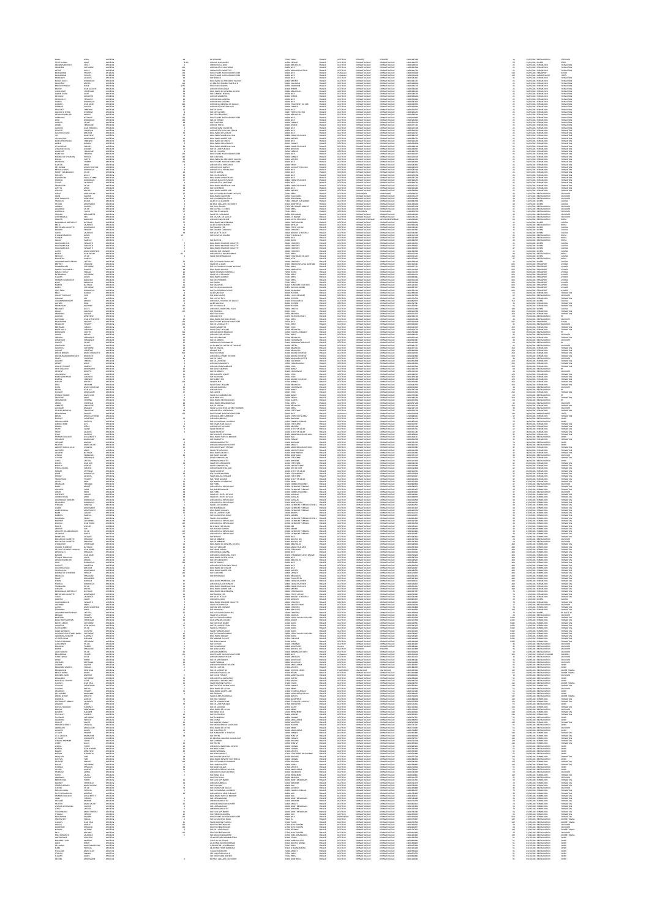